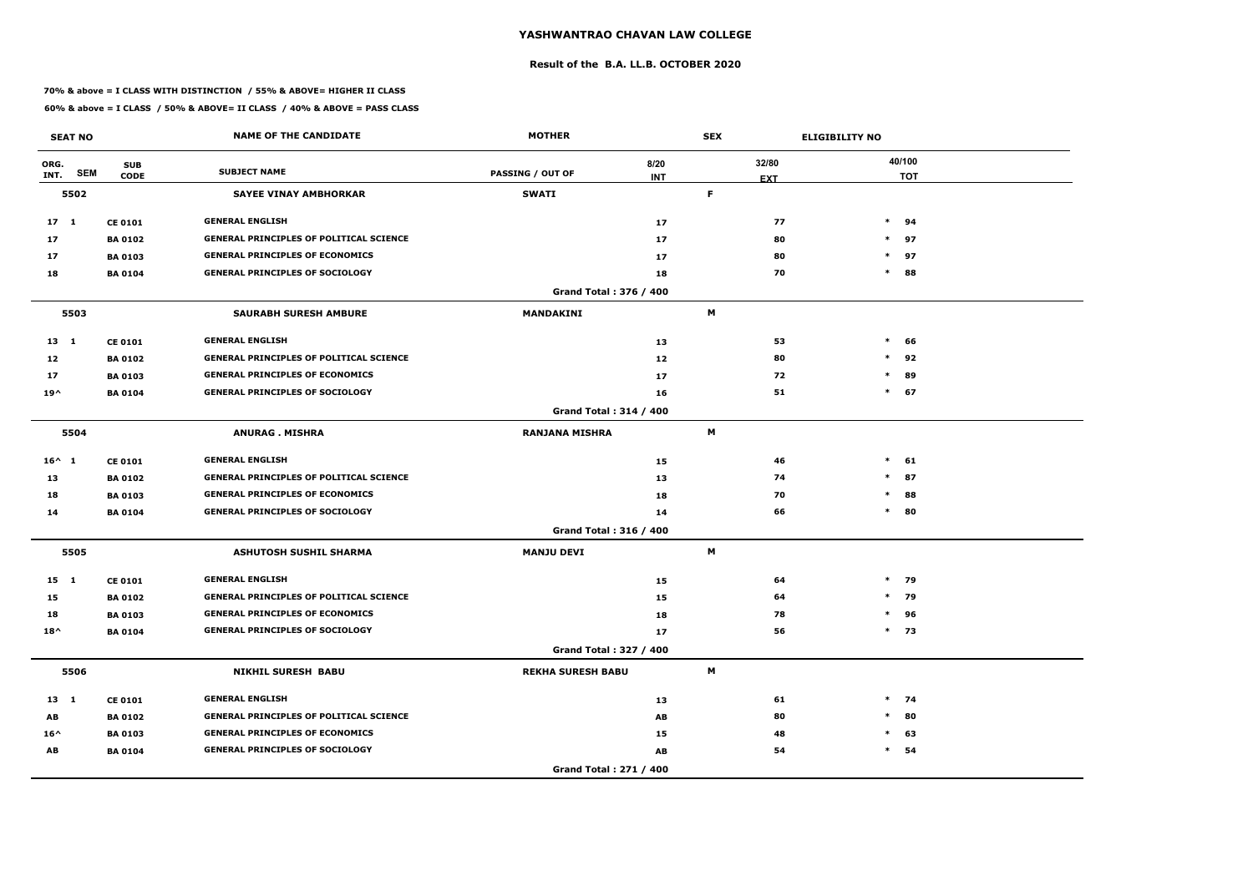### **Result of the B.A. LL.B. OCTOBER 2020**

### **70% & above = I CLASS WITH DISTINCTION / 55% & ABOVE= HIGHER II CLASS**

| <b>SEAT NO</b>  |            |                           | <b>NAME OF THE CANDIDATE</b>                   | <b>MOTHER</b>                 |                                     | <b>SEX</b> |                     | <b>ELIGIBILITY NO</b> |                      |
|-----------------|------------|---------------------------|------------------------------------------------|-------------------------------|-------------------------------------|------------|---------------------|-----------------------|----------------------|
| ORG.<br>INT.    | <b>SEM</b> | <b>SUB</b><br><b>CODE</b> | <b>SUBJECT NAME</b>                            | <b>PASSING / OUT OF</b>       | 8/20<br><b>INT</b>                  |            | 32/80<br><b>EXT</b> |                       | 40/100<br><b>TOT</b> |
|                 | 5502       |                           | <b>SAYEE VINAY AMBHORKAR</b>                   | <b>SWATI</b>                  |                                     | F          |                     |                       |                      |
| $17-1$          |            | <b>CE 0101</b>            | <b>GENERAL ENGLISH</b>                         |                               | 17                                  |            | 77                  |                       | $*$ 94               |
| 17              |            | <b>BA 0102</b>            | <b>GENERAL PRINCIPLES OF POLITICAL SCIENCE</b> |                               | 17                                  |            | 80                  |                       | $*$ 97               |
| 17              |            | <b>BA 0103</b>            | <b>GENERAL PRINCIPLES OF ECONOMICS</b>         |                               | 17                                  |            | 80                  |                       | $*$ 97               |
| 18              |            | <b>BA 0104</b>            | <b>GENERAL PRINCIPLES OF SOCIOLOGY</b>         |                               | 18                                  |            | 70                  | $\ast$                | 88                   |
|                 |            |                           |                                                | Grand Total: 376 / 400        |                                     |            |                     |                       |                      |
|                 | 5503       |                           | <b>SAURABH SURESH AMBURE</b>                   | MANDAKINI                     |                                     | M          |                     |                       |                      |
| $13 \quad 1$    |            | <b>CE 0101</b>            | <b>GENERAL ENGLISH</b>                         |                               | 13                                  |            | 53                  | $\ast$                | 66                   |
| 12              |            | <b>BA 0102</b>            | <b>GENERAL PRINCIPLES OF POLITICAL SCIENCE</b> |                               | 12                                  |            | 80                  | $\ast$                | 92                   |
| 17              |            | <b>BA 0103</b>            | <b>GENERAL PRINCIPLES OF ECONOMICS</b>         |                               | 17                                  |            | 72                  | $\ast$                | 89                   |
| $19^{\wedge}$   |            | <b>BA 0104</b>            | <b>GENERAL PRINCIPLES OF SOCIOLOGY</b>         |                               | 16                                  |            | 51                  |                       | $*$ 67               |
|                 |            |                           |                                                | <b>Grand Total: 314 / 400</b> |                                     |            |                     |                       |                      |
|                 | 5504       |                           | <b>ANURAG. MISHRA</b>                          | <b>RANJANA MISHRA</b>         |                                     | M          |                     |                       |                      |
| $16^{\wedge}$ 1 |            | <b>CE 0101</b>            | <b>GENERAL ENGLISH</b>                         |                               | 15                                  |            | 46                  | $\ast$                | 61                   |
| 13              |            | <b>BA 0102</b>            | <b>GENERAL PRINCIPLES OF POLITICAL SCIENCE</b> |                               | 13                                  |            | 74                  | $\ast$                | 87                   |
| 18              |            | <b>BA 0103</b>            | <b>GENERAL PRINCIPLES OF ECONOMICS</b>         |                               | 18                                  |            | 70                  | $\ast$                | 88                   |
| 14              |            | <b>BA 0104</b>            | <b>GENERAL PRINCIPLES OF SOCIOLOGY</b>         |                               | 14                                  |            | 66                  |                       | $*$ 80               |
|                 |            |                           |                                                | <b>Grand Total: 316 / 400</b> |                                     |            |                     |                       |                      |
|                 | 5505       |                           | <b>ASHUTOSH SUSHIL SHARMA</b>                  | <b>MANJU DEVI</b>             |                                     | M          |                     |                       |                      |
| $15 \quad 1$    |            | <b>CE 0101</b>            | <b>GENERAL ENGLISH</b>                         |                               | 15                                  |            | 64                  |                       | $*$ 79               |
| 15              |            | <b>BA 0102</b>            | <b>GENERAL PRINCIPLES OF POLITICAL SCIENCE</b> |                               | 15                                  |            | 64                  |                       | $*$ 79               |
| 18              |            | <b>BA 0103</b>            | <b>GENERAL PRINCIPLES OF ECONOMICS</b>         |                               | 18                                  |            | 78                  |                       | $*$ 96               |
| $18^{\wedge}$   |            | <b>BA 0104</b>            | <b>GENERAL PRINCIPLES OF SOCIOLOGY</b>         |                               | 17                                  |            | 56                  |                       | $*$ 73               |
|                 |            |                           |                                                | Grand Total: 327 / 400        |                                     |            |                     |                       |                      |
|                 | 5506       |                           | <b>NIKHIL SURESH BABU</b>                      | <b>REKHA SURESH BABU</b>      |                                     | M          |                     |                       |                      |
| $13 \quad 1$    |            | <b>CE 0101</b>            | <b>GENERAL ENGLISH</b>                         |                               | 13                                  |            | 61                  |                       | $*$ 74               |
| AB              |            | <b>BA 0102</b>            | <b>GENERAL PRINCIPLES OF POLITICAL SCIENCE</b> |                               | $\boldsymbol{\mathsf{A}\mathsf{B}}$ |            | 80                  | $\ast$                | 80                   |
| $16^{\wedge}$   |            | <b>BA 0103</b>            | <b>GENERAL PRINCIPLES OF ECONOMICS</b>         |                               | 15                                  |            | 48                  | $\ast$                | 63                   |
| AB              |            | <b>BA 0104</b>            | <b>GENERAL PRINCIPLES OF SOCIOLOGY</b>         |                               | AB                                  |            | 54                  |                       | $*$ 54               |
|                 |            |                           |                                                | Grand Total: 271 / 400        |                                     |            |                     |                       |                      |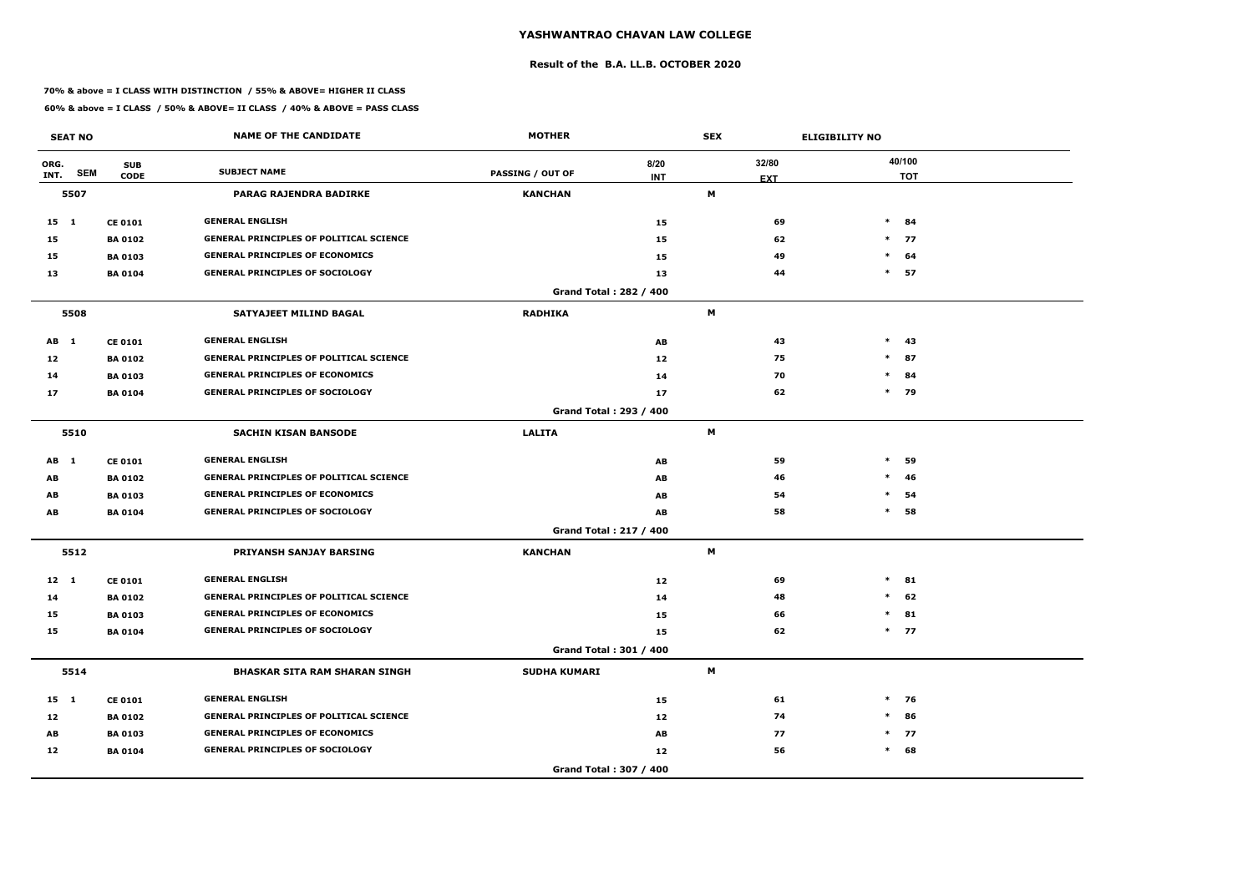### **Result of the B.A. LL.B. OCTOBER 2020**

### **70% & above = I CLASS WITH DISTINCTION / 55% & ABOVE= HIGHER II CLASS**

|              | <b>SEAT NO</b> |                           | <b>NAME OF THE CANDIDATE</b>                   | <b>MOTHER</b>           |                        | <b>SEX</b> |            | <b>ELIGIBILITY NO</b> |                      |
|--------------|----------------|---------------------------|------------------------------------------------|-------------------------|------------------------|------------|------------|-----------------------|----------------------|
| ORG.<br>INT. | <b>SEM</b>     | <b>SUB</b><br><b>CODE</b> | <b>SUBJECT NAME</b>                            | <b>PASSING / OUT OF</b> | 8/20<br><b>INT</b>     | 32/80      | <b>EXT</b> |                       | 40/100<br><b>TOT</b> |
|              | 5507           |                           | PARAG RAJENDRA BADIRKE                         | <b>KANCHAN</b>          |                        | М          |            |                       |                      |
| $15 \quad 1$ |                | <b>CE 0101</b>            | <b>GENERAL ENGLISH</b>                         |                         | 15                     |            | 69         |                       | $*$ 84               |
| 15           |                | <b>BA 0102</b>            | <b>GENERAL PRINCIPLES OF POLITICAL SCIENCE</b> |                         | 15                     |            | 62         |                       | $*$ 77               |
| 15           |                | <b>BA 0103</b>            | <b>GENERAL PRINCIPLES OF ECONOMICS</b>         |                         | 15                     |            | 49         | $*$                   | 64                   |
| 13           |                | <b>BA 0104</b>            | <b>GENERAL PRINCIPLES OF SOCIOLOGY</b>         |                         | 13                     |            | 44         | $\ast$                | 57                   |
|              |                |                           |                                                |                         | Grand Total: 282 / 400 |            |            |                       |                      |
|              | 5508           |                           | SATYAJEET MILIND BAGAL                         | <b>RADHIKA</b>          |                        | M          |            |                       |                      |
| AB 1         |                | <b>CE 0101</b>            | <b>GENERAL ENGLISH</b>                         |                         | AB                     |            | 43         | $*$                   | -43                  |
| 12           |                | <b>BA0102</b>             | <b>GENERAL PRINCIPLES OF POLITICAL SCIENCE</b> |                         | 12                     |            | 75         | $*$                   | 87                   |
| 14           |                | <b>BA 0103</b>            | <b>GENERAL PRINCIPLES OF ECONOMICS</b>         |                         | 14                     |            | 70         | $\ast$                | 84                   |
| 17           |                | <b>BA 0104</b>            | <b>GENERAL PRINCIPLES OF SOCIOLOGY</b>         |                         | 17                     |            | 62         |                       | * 79                 |
|              |                |                           |                                                |                         | Grand Total: 293 / 400 |            |            |                       |                      |
|              | 5510           |                           | <b>SACHIN KISAN BANSODE</b>                    | <b>LALITA</b>           |                        | M          |            |                       |                      |
| AB 1         |                | <b>CE 0101</b>            | <b>GENERAL ENGLISH</b>                         |                         | AB                     |            | 59         | $\ast$                | 59                   |
| AB           |                | <b>BA 0102</b>            | <b>GENERAL PRINCIPLES OF POLITICAL SCIENCE</b> |                         | AB                     |            | 46         | $\ast$                | 46                   |
| AB           |                | <b>BA 0103</b>            | <b>GENERAL PRINCIPLES OF ECONOMICS</b>         |                         | AB                     |            | 54         | $\ast$                | 54                   |
| AB           |                | <b>BA 0104</b>            | <b>GENERAL PRINCIPLES OF SOCIOLOGY</b>         |                         | AB                     |            | 58         | $\ast$                | 58                   |
|              |                |                           |                                                |                         | Grand Total: 217 / 400 |            |            |                       |                      |
|              | 5512           |                           | <b>PRIYANSH SANJAY BARSING</b>                 | <b>KANCHAN</b>          |                        | М          |            |                       |                      |
| $12 \quad 1$ |                | <b>CE 0101</b>            | <b>GENERAL ENGLISH</b>                         |                         | 12                     |            | 69         |                       | $*$ 81               |
| 14           |                | <b>BA 0102</b>            | <b>GENERAL PRINCIPLES OF POLITICAL SCIENCE</b> |                         | 14                     |            | 48         | $\ast$                | 62                   |
| 15           |                | <b>BA 0103</b>            | <b>GENERAL PRINCIPLES OF ECONOMICS</b>         |                         | 15                     |            | 66         |                       | $*$ 81               |
| 15           |                | <b>BA 0104</b>            | <b>GENERAL PRINCIPLES OF SOCIOLOGY</b>         |                         | 15                     |            | 62         |                       | $*$ 77               |
|              |                |                           |                                                |                         | Grand Total: 301 / 400 |            |            |                       |                      |
|              | 5514           |                           | <b>BHASKAR SITA RAM SHARAN SINGH</b>           | <b>SUDHA KUMARI</b>     |                        | M          |            |                       |                      |
| 15 1         |                | <b>CE 0101</b>            | <b>GENERAL ENGLISH</b>                         |                         | 15                     |            | 61         |                       | $*$ 76               |
| 12           |                | <b>BA 0102</b>            | <b>GENERAL PRINCIPLES OF POLITICAL SCIENCE</b> |                         | 12                     |            | 74         | $\ast$                | 86                   |
| AB           |                | <b>BA 0103</b>            | <b>GENERAL PRINCIPLES OF ECONOMICS</b>         |                         | AB                     |            | 77         |                       | $*$ 77               |
| 12           |                | <b>BA 0104</b>            | <b>GENERAL PRINCIPLES OF SOCIOLOGY</b>         |                         | 12                     |            | 56         |                       | $*$ 68               |
|              |                |                           |                                                |                         | Grand Total: 307 / 400 |            |            |                       |                      |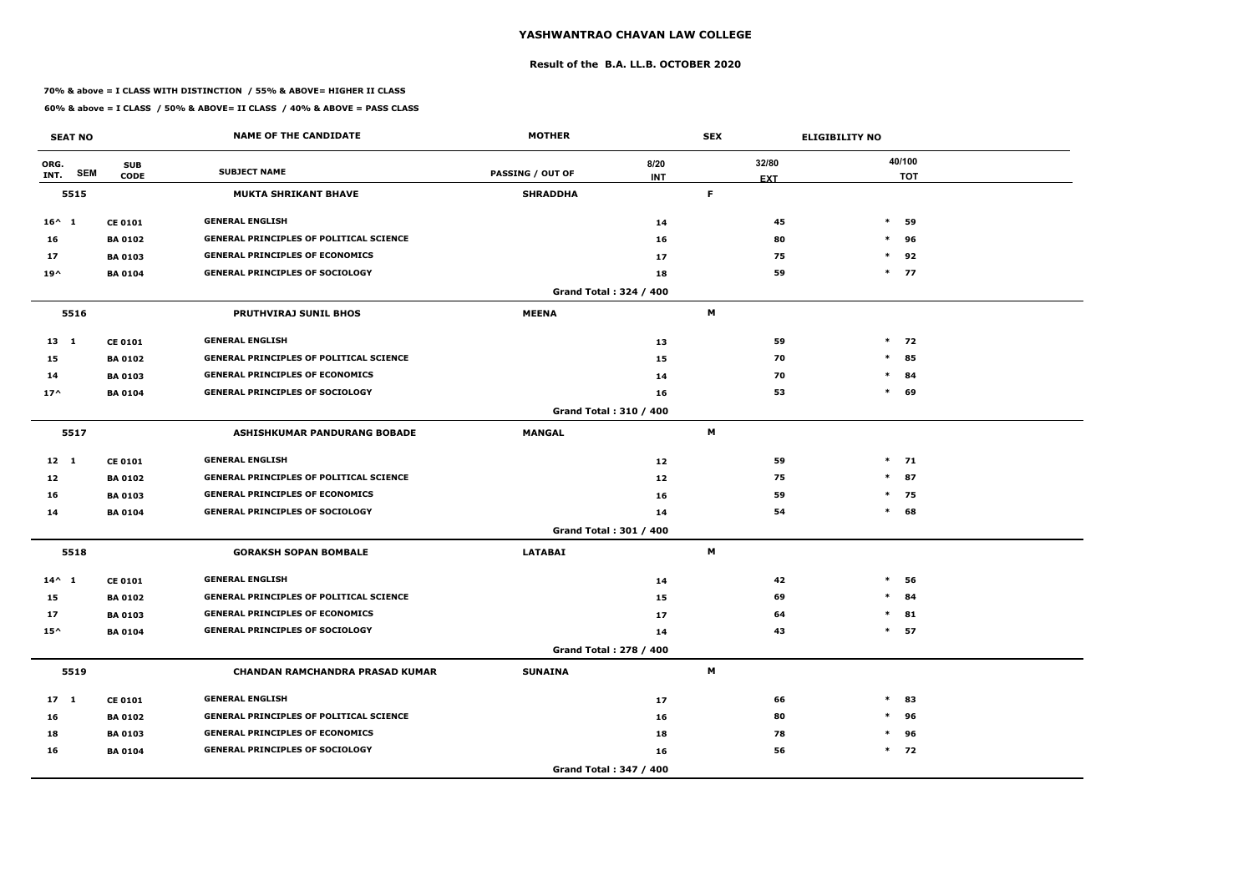### **Result of the B.A. LL.B. OCTOBER 2020**

### **70% & above = I CLASS WITH DISTINCTION / 55% & ABOVE= HIGHER II CLASS**

|                 | <b>SEAT NO</b> |                           | <b>NAME OF THE CANDIDATE</b>                   | <b>MOTHER</b>           |                        | <b>SEX</b> | <b>ELIGIBILITY NO</b> |        |                      |
|-----------------|----------------|---------------------------|------------------------------------------------|-------------------------|------------------------|------------|-----------------------|--------|----------------------|
| ORG.<br>INT.    | <b>SEM</b>     | <b>SUB</b><br><b>CODE</b> | <b>SUBJECT NAME</b>                            | <b>PASSING / OUT OF</b> | 8/20<br><b>INT</b>     |            | 32/80                 |        | 40/100<br><b>TOT</b> |
|                 | 5515           |                           | <b>MUKTA SHRIKANT BHAVE</b>                    | <b>SHRADDHA</b>         |                        | F.         | <b>EXT</b>            |        |                      |
| $16^{\wedge}$ 1 |                | <b>CE 0101</b>            | <b>GENERAL ENGLISH</b>                         |                         | 14                     |            | 45                    | $\ast$ | 59                   |
| 16              |                | <b>BA 0102</b>            | <b>GENERAL PRINCIPLES OF POLITICAL SCIENCE</b> |                         | 16                     |            | 80                    | $\ast$ | 96                   |
| 17              |                | <b>BA 0103</b>            | <b>GENERAL PRINCIPLES OF ECONOMICS</b>         |                         | 17                     |            | 75                    | $\ast$ | 92                   |
| $19^{\wedge}$   |                | <b>BA 0104</b>            | <b>GENERAL PRINCIPLES OF SOCIOLOGY</b>         |                         | 18                     |            | 59                    |        | $*$ 77               |
|                 |                |                           |                                                |                         | Grand Total: 324 / 400 |            |                       |        |                      |
|                 | 5516           |                           | <b>PRUTHVIRAJ SUNIL BHOS</b>                   | <b>MEENA</b>            |                        | M          |                       |        |                      |
| $13 \quad 1$    |                | <b>CE 0101</b>            | <b>GENERAL ENGLISH</b>                         |                         | 13                     |            | 59                    |        | $*$ 72               |
| 15              |                | <b>BA 0102</b>            | <b>GENERAL PRINCIPLES OF POLITICAL SCIENCE</b> |                         | 15                     |            | 70                    | $\ast$ | 85                   |
| 14              |                | <b>BA 0103</b>            | <b>GENERAL PRINCIPLES OF ECONOMICS</b>         |                         | 14                     |            | 70                    | $\ast$ | 84                   |
| $17^$           |                | <b>BA 0104</b>            | <b>GENERAL PRINCIPLES OF SOCIOLOGY</b>         |                         | 16                     |            | 53                    | $\ast$ | 69                   |
|                 |                |                           |                                                |                         | Grand Total: 310 / 400 |            |                       |        |                      |
|                 | 5517           |                           | <b>ASHISHKUMAR PANDURANG BOBADE</b>            | <b>MANGAL</b>           |                        | M          |                       |        |                      |
| $12 \quad 1$    |                | <b>CE 0101</b>            | <b>GENERAL ENGLISH</b>                         |                         | 12                     |            | 59                    |        | $*$ 71               |
| 12              |                | <b>BA 0102</b>            | <b>GENERAL PRINCIPLES OF POLITICAL SCIENCE</b> |                         | 12                     |            | 75                    | $\ast$ | 87                   |
| 16              |                | <b>BA 0103</b>            | <b>GENERAL PRINCIPLES OF ECONOMICS</b>         |                         | 16                     |            | 59                    | $\ast$ | 75                   |
| 14              |                | <b>BA 0104</b>            | <b>GENERAL PRINCIPLES OF SOCIOLOGY</b>         |                         | 14                     |            | 54                    | $*$    | 68                   |
|                 |                |                           |                                                |                         | Grand Total: 301 / 400 |            |                       |        |                      |
|                 | 5518           |                           | <b>GORAKSH SOPAN BOMBALE</b>                   | <b>LATABAI</b>          |                        | M          |                       |        |                      |
| $14^{\wedge} 1$ |                | <b>CE 0101</b>            | <b>GENERAL ENGLISH</b>                         |                         | 14                     |            | 42                    | $\ast$ | 56                   |
| 15              |                | <b>BA 0102</b>            | <b>GENERAL PRINCIPLES OF POLITICAL SCIENCE</b> |                         | 15                     |            | 69                    | $\ast$ | 84                   |
| 17              |                | <b>BA 0103</b>            | <b>GENERAL PRINCIPLES OF ECONOMICS</b>         |                         | 17                     |            | 64                    |        | $*$ 81               |
| $15^{\wedge}$   |                | <b>BA 0104</b>            | <b>GENERAL PRINCIPLES OF SOCIOLOGY</b>         |                         | 14                     |            | 43                    |        | $*$ 57               |
|                 |                |                           |                                                |                         | Grand Total: 278 / 400 |            |                       |        |                      |
|                 | 5519           |                           | <b>CHANDAN RAMCHANDRA PRASAD KUMAR</b>         | <b>SUNAINA</b>          |                        | M          |                       |        |                      |
| $17 \quad 1$    |                | <b>CE 0101</b>            | <b>GENERAL ENGLISH</b>                         |                         | 17                     |            | 66                    | $\ast$ | 83                   |
| 16              |                | <b>BA 0102</b>            | <b>GENERAL PRINCIPLES OF POLITICAL SCIENCE</b> |                         | 16                     |            | 80                    | $\ast$ | 96                   |
| 18              |                | <b>BA 0103</b>            | <b>GENERAL PRINCIPLES OF ECONOMICS</b>         |                         | 18                     |            | 78                    | $\ast$ | 96                   |
| 16              |                | <b>BA 0104</b>            | <b>GENERAL PRINCIPLES OF SOCIOLOGY</b>         |                         | 16                     |            | 56                    |        | $*$ 72               |
|                 |                |                           |                                                |                         | Grand Total: 347 / 400 |            |                       |        |                      |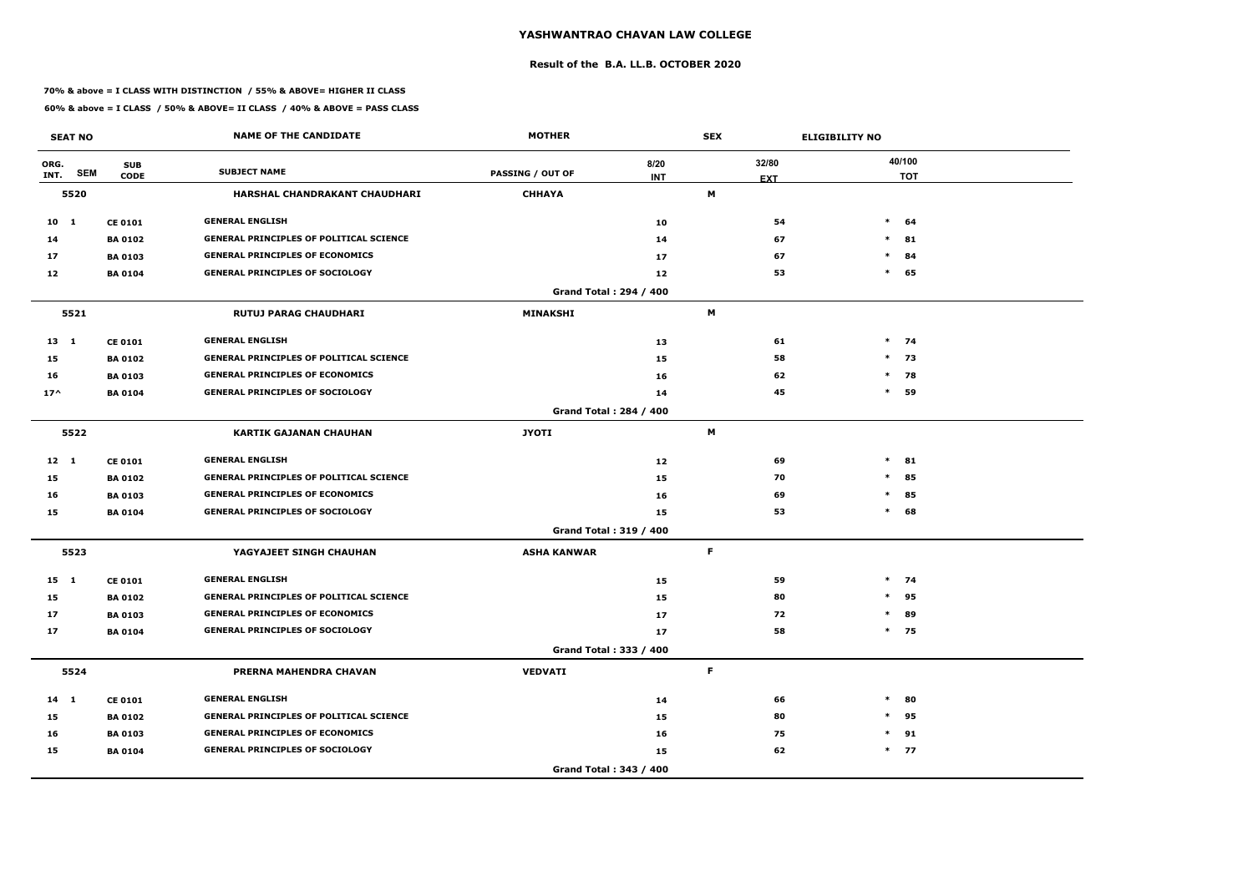### **Result of the B.A. LL.B. OCTOBER 2020**

### **70% & above = I CLASS WITH DISTINCTION / 55% & ABOVE= HIGHER II CLASS**

| <b>SEAT NO</b> |            |                           | <b>NAME OF THE CANDIDATE</b>                   | <b>MOTHER</b>           |                               | <b>SEX</b>          | <b>ELIGIBILITY NO</b> |
|----------------|------------|---------------------------|------------------------------------------------|-------------------------|-------------------------------|---------------------|-----------------------|
| ORG.<br>INT.   | <b>SEM</b> | <b>SUB</b><br><b>CODE</b> | <b>SUBJECT NAME</b>                            | <b>PASSING / OUT OF</b> | 8/20<br><b>INT</b>            | 32/80<br><b>EXT</b> | 40/100<br><b>TOT</b>  |
|                | 5520       |                           | HARSHAL CHANDRAKANT CHAUDHARI                  | <b>CHHAYA</b>           |                               | M                   |                       |
| $10 \quad 1$   |            | <b>CE 0101</b>            | <b>GENERAL ENGLISH</b>                         |                         | 10                            | 54                  | $\ast$<br>64          |
| 14             |            | <b>BA 0102</b>            | <b>GENERAL PRINCIPLES OF POLITICAL SCIENCE</b> |                         | 14                            | 67                  | $*$ 81                |
| 17             |            | <b>BA 0103</b>            | <b>GENERAL PRINCIPLES OF ECONOMICS</b>         |                         | 17                            | 67                  | $\ast$<br>84          |
| 12             |            | <b>BA 0104</b>            | <b>GENERAL PRINCIPLES OF SOCIOLOGY</b>         |                         | 12                            | 53                  | $\ast$<br>65          |
|                |            |                           |                                                |                         | <b>Grand Total: 294 / 400</b> |                     |                       |
|                | 5521       |                           | <b>RUTUJ PARAG CHAUDHARI</b>                   | <b>MINAKSHI</b>         |                               | M                   |                       |
| $13 \quad 1$   |            | <b>CE 0101</b>            | <b>GENERAL ENGLISH</b>                         |                         | 13                            | 61                  | $*$ 74                |
| 15             |            | <b>BA0102</b>             | <b>GENERAL PRINCIPLES OF POLITICAL SCIENCE</b> |                         | 15                            | 58                  | $*$ 73                |
| 16             |            | <b>BA 0103</b>            | <b>GENERAL PRINCIPLES OF ECONOMICS</b>         |                         | 16                            | 62                  | $*$ 78                |
| $17^$          |            | <b>BA 0104</b>            | <b>GENERAL PRINCIPLES OF SOCIOLOGY</b>         |                         | 14                            | 45                  | $*$ 59                |
|                |            |                           |                                                |                         | <b>Grand Total: 284 / 400</b> |                     |                       |
|                | 5522       |                           | <b>KARTIK GAJANAN CHAUHAN</b>                  | <b>JYOTI</b>            |                               | M                   |                       |
| $12 \quad 1$   |            | <b>CE 0101</b>            | <b>GENERAL ENGLISH</b>                         |                         | 12                            | 69                  | $\ast$<br>81          |
| 15             |            | <b>BA 0102</b>            | <b>GENERAL PRINCIPLES OF POLITICAL SCIENCE</b> |                         | 15                            | 70                  | 85<br>$\ast$          |
| 16             |            | <b>BA 0103</b>            | <b>GENERAL PRINCIPLES OF ECONOMICS</b>         |                         | 16                            | 69                  | $\ast$<br>85          |
| 15             |            | <b>BA0104</b>             | <b>GENERAL PRINCIPLES OF SOCIOLOGY</b>         |                         | 15                            | 53                  | $\ast$<br>68          |
|                |            |                           |                                                |                         | <b>Grand Total: 319 / 400</b> |                     |                       |
|                | 5523       |                           | YAGYAJEET SINGH CHAUHAN                        | <b>ASHA KANWAR</b>      |                               | F.                  |                       |
| $15 \quad 1$   |            | <b>CE 0101</b>            | <b>GENERAL ENGLISH</b>                         |                         | 15                            | 59                  | $*$ 74                |
| 15             |            | <b>BA 0102</b>            | <b>GENERAL PRINCIPLES OF POLITICAL SCIENCE</b> |                         | 15                            | 80                  | $*$<br>95             |
| 17             |            | <b>BA 0103</b>            | <b>GENERAL PRINCIPLES OF ECONOMICS</b>         |                         | 17                            | 72                  | $*$ 89                |
| 17             |            | <b>BA 0104</b>            | <b>GENERAL PRINCIPLES OF SOCIOLOGY</b>         |                         | 17                            | 58                  | $*$ 75                |
|                |            |                           |                                                |                         | Grand Total: 333 / 400        |                     |                       |
|                | 5524       |                           | PRERNA MAHENDRA CHAVAN                         | <b>VEDVATI</b>          |                               | $\mathsf F$         |                       |
| $14 \quad 1$   |            | <b>CE 0101</b>            | <b>GENERAL ENGLISH</b>                         |                         | 14                            | 66                  | $*$ 80                |
| 15             |            | <b>BA 0102</b>            | <b>GENERAL PRINCIPLES OF POLITICAL SCIENCE</b> |                         | 15                            | 80                  | $*$ 95                |
| 16             |            | <b>BA 0103</b>            | <b>GENERAL PRINCIPLES OF ECONOMICS</b>         |                         | 16                            | 75                  | $*$ 91                |
| 15             |            | <b>BA 0104</b>            | <b>GENERAL PRINCIPLES OF SOCIOLOGY</b>         |                         | 15                            | 62                  | $*$ 77                |
|                |            |                           |                                                |                         | Grand Total: 343 / 400        |                     |                       |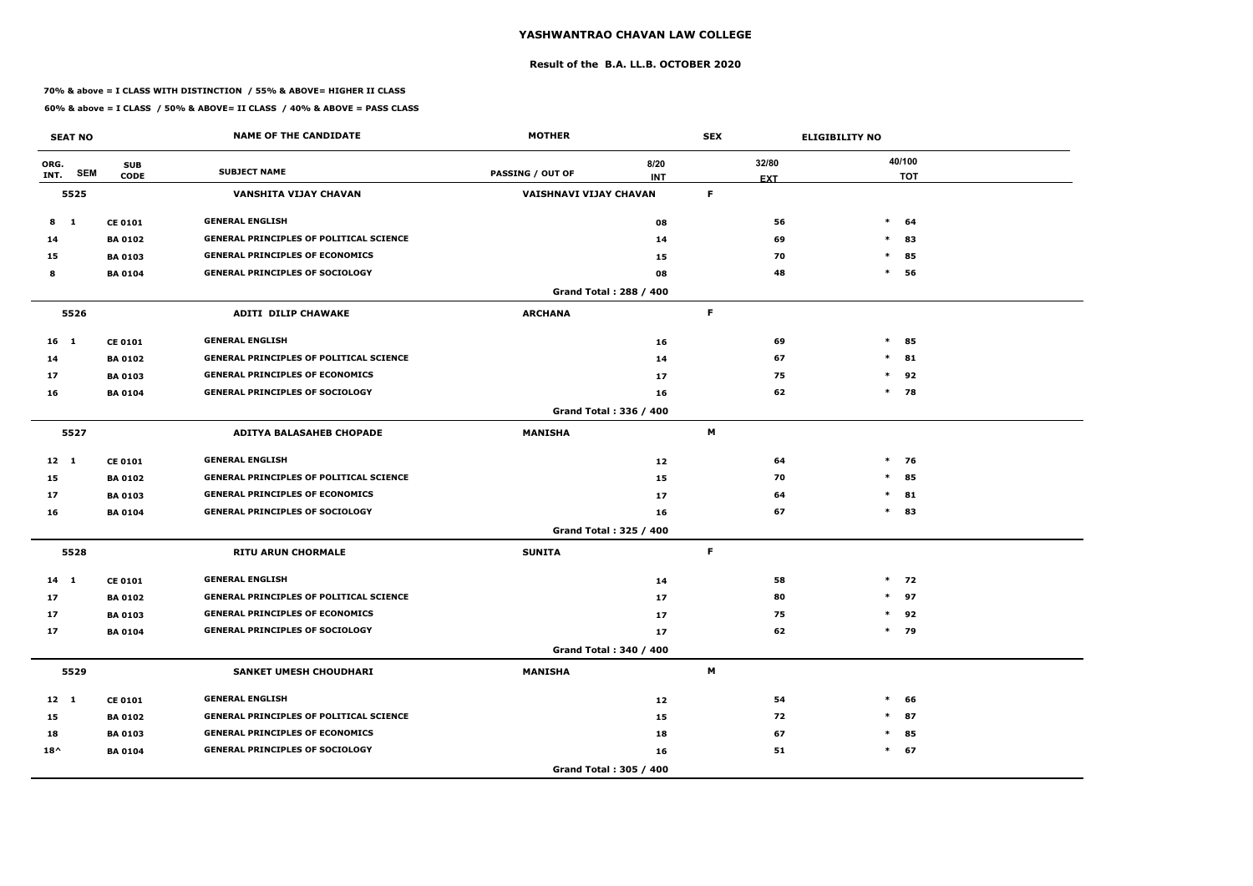### **Result of the B.A. LL.B. OCTOBER 2020**

### **70% & above = I CLASS WITH DISTINCTION / 55% & ABOVE= HIGHER II CLASS**

|                 | <b>SEAT NO</b> |                           | <b>NAME OF THE CANDIDATE</b>                   | <b>MOTHER</b>           |                               | <b>SEX</b>          | <b>ELIGIBILITY NO</b> |  |  |
|-----------------|----------------|---------------------------|------------------------------------------------|-------------------------|-------------------------------|---------------------|-----------------------|--|--|
| ORG.<br>INT.    | <b>SEM</b>     | <b>SUB</b><br><b>CODE</b> | <b>SUBJECT NAME</b>                            | <b>PASSING / OUT OF</b> | 8/20<br><b>INT</b>            | 32/80<br><b>EXT</b> | 40/100<br><b>TOT</b>  |  |  |
|                 | 5525           |                           | VANSHITA VIJAY CHAVAN                          | VAISHNAVI VIJAY CHAVAN  |                               | F.                  |                       |  |  |
| 8               | $\blacksquare$ | <b>CE 0101</b>            | <b>GENERAL ENGLISH</b>                         |                         | 08                            | 56                  | $\ast$<br>64          |  |  |
| 14              |                | <b>BA 0102</b>            | <b>GENERAL PRINCIPLES OF POLITICAL SCIENCE</b> |                         | 14                            | 69                  | $\ast$<br>83          |  |  |
| 15              |                | <b>BA 0103</b>            | <b>GENERAL PRINCIPLES OF ECONOMICS</b>         |                         | 15                            | 70                  | $\ast$<br>85          |  |  |
| 8               |                | <b>BA 0104</b>            | <b>GENERAL PRINCIPLES OF SOCIOLOGY</b>         |                         | 08                            | 48                  | $\ast$<br>56          |  |  |
|                 |                |                           |                                                |                         | <b>Grand Total: 288 / 400</b> |                     |                       |  |  |
|                 | 5526           |                           | <b>ADITI DILIP CHAWAKE</b>                     | <b>ARCHANA</b>          |                               | F                   |                       |  |  |
| 16 <sub>1</sub> |                | <b>CE 0101</b>            | <b>GENERAL ENGLISH</b>                         |                         | 16                            | 69                  | $\ast$<br>85          |  |  |
| 14              |                | <b>BA 0102</b>            | <b>GENERAL PRINCIPLES OF POLITICAL SCIENCE</b> |                         | 14                            | 67                  | $\ast$<br>81          |  |  |
| 17              |                | <b>BA 0103</b>            | <b>GENERAL PRINCIPLES OF ECONOMICS</b>         |                         | 17                            | 75                  | $\ast$<br>92          |  |  |
| 16              |                | <b>BA 0104</b>            | <b>GENERAL PRINCIPLES OF SOCIOLOGY</b>         |                         | 16                            | 62                  | $*$ 78                |  |  |
|                 |                |                           |                                                |                         | Grand Total: 336 / 400        |                     |                       |  |  |
|                 | 5527           |                           | <b>ADITYA BALASAHEB CHOPADE</b>                | <b>MANISHA</b>          |                               | M                   |                       |  |  |
| $12 \quad 1$    |                | <b>CE 0101</b>            | <b>GENERAL ENGLISH</b>                         |                         | 12                            | 64                  | $\ast$<br>76          |  |  |
| 15              |                | <b>BA 0102</b>            | <b>GENERAL PRINCIPLES OF POLITICAL SCIENCE</b> |                         | 15                            | 70                  | 85<br>$\ast$          |  |  |
| 17              |                | <b>BA 0103</b>            | <b>GENERAL PRINCIPLES OF ECONOMICS</b>         |                         | 17                            | 64                  | $\ast$<br>81          |  |  |
| 16              |                | <b>BA 0104</b>            | <b>GENERAL PRINCIPLES OF SOCIOLOGY</b>         |                         | 16                            | 67                  | $\ast$<br>83          |  |  |
|                 |                |                           |                                                |                         | Grand Total: 325 / 400        |                     |                       |  |  |
|                 | 5528           |                           | <b>RITU ARUN CHORMALE</b>                      | <b>SUNITA</b>           |                               | F.                  |                       |  |  |
| $14$ 1          |                | <b>CE 0101</b>            | <b>GENERAL ENGLISH</b>                         |                         | 14                            | 58                  | $*$ 72                |  |  |
| 17              |                | <b>BA 0102</b>            | <b>GENERAL PRINCIPLES OF POLITICAL SCIENCE</b> |                         | 17                            | 80                  | $\ast$<br>97          |  |  |
| 17              |                | <b>BA 0103</b>            | <b>GENERAL PRINCIPLES OF ECONOMICS</b>         |                         | 17                            | 75                  | $*$ 92                |  |  |
| 17              |                | <b>BA 0104</b>            | <b>GENERAL PRINCIPLES OF SOCIOLOGY</b>         |                         | 17                            | 62                  | $*$ 79                |  |  |
|                 |                |                           |                                                |                         | Grand Total: 340 / 400        |                     |                       |  |  |
|                 | 5529           |                           | <b>SANKET UMESH CHOUDHARI</b>                  | <b>MANISHA</b>          |                               | M                   |                       |  |  |
| $12 \quad 1$    |                | <b>CE 0101</b>            | <b>GENERAL ENGLISH</b>                         |                         | 12                            | 54                  | $*$<br>66             |  |  |
| 15              |                | <b>BA 0102</b>            | <b>GENERAL PRINCIPLES OF POLITICAL SCIENCE</b> |                         | 15                            | 72                  | $\ast$<br>87          |  |  |
| 18              |                | <b>BA 0103</b>            | <b>GENERAL PRINCIPLES OF ECONOMICS</b>         |                         | 18                            | 67                  | 85<br>$\ast$          |  |  |
| $18^{\wedge}$   |                | <b>BA 0104</b>            | <b>GENERAL PRINCIPLES OF SOCIOLOGY</b>         |                         | 16                            | 51                  | $*$ 67                |  |  |
|                 |                |                           |                                                |                         | Grand Total: 305 / 400        |                     |                       |  |  |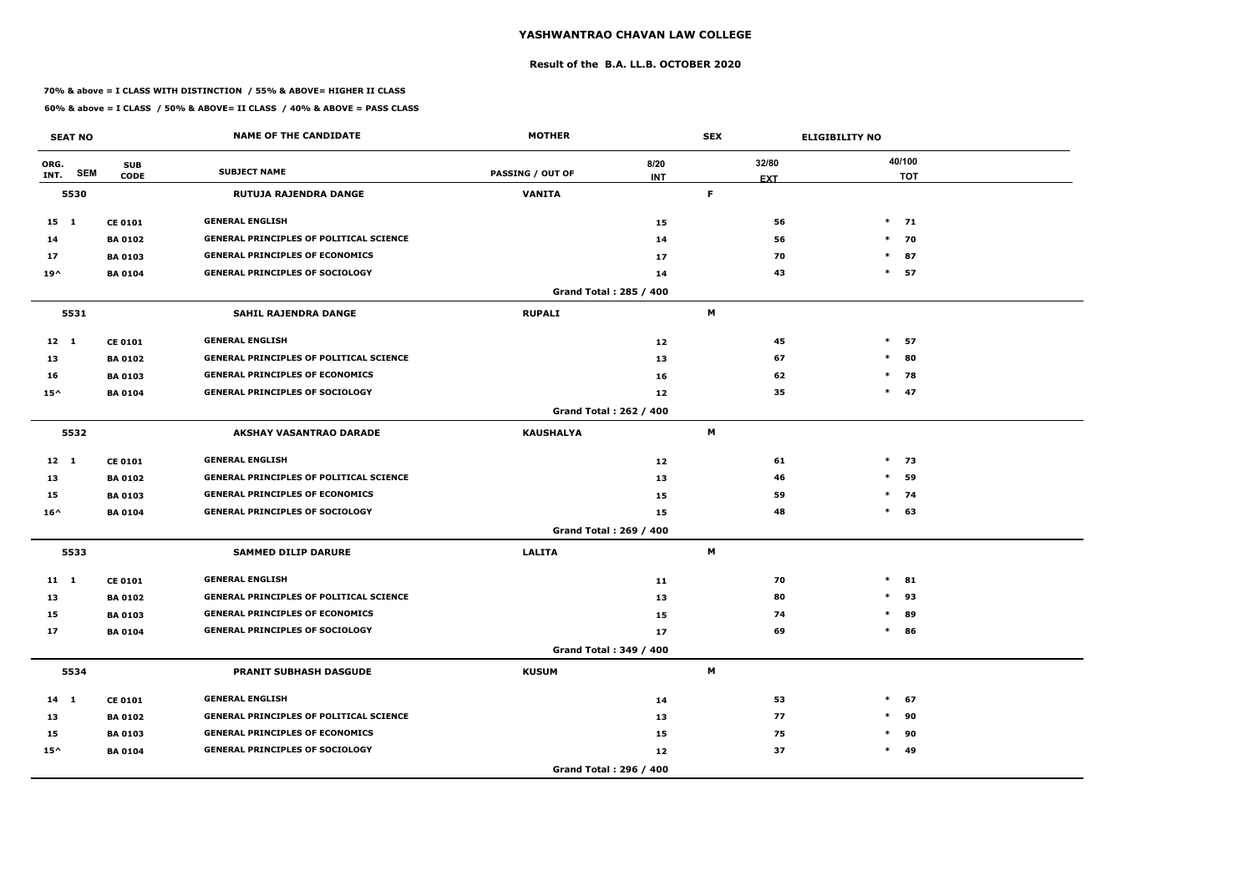### **Result of the B.A. LL.B. OCTOBER 2020**

### **70% & above = I CLASS WITH DISTINCTION / 55% & ABOVE= HIGHER II CLASS**

|               | <b>SEAT NO</b> |                           | <b>NAME OF THE CANDIDATE</b>                   | <b>MOTHER</b>           |                               | <b>SEX</b>       | <b>ELIGIBILITY NO</b> |                      |  |
|---------------|----------------|---------------------------|------------------------------------------------|-------------------------|-------------------------------|------------------|-----------------------|----------------------|--|
| ORG.<br>INT.  | <b>SEM</b>     | <b>SUB</b><br><b>CODE</b> | <b>SUBJECT NAME</b>                            | <b>PASSING / OUT OF</b> | 8/20<br><b>INT</b>            | 32/80            |                       | 40/100<br><b>TOT</b> |  |
|               | 5530           |                           | <b>RUTUJA RAJENDRA DANGE</b>                   | <b>VANITA</b>           |                               | <b>EXT</b><br>F. |                       |                      |  |
| 15 1          |                | <b>CE 0101</b>            | <b>GENERAL ENGLISH</b>                         |                         | 15                            | 56               |                       | $*$ 71               |  |
| 14            |                | <b>BA 0102</b>            | <b>GENERAL PRINCIPLES OF POLITICAL SCIENCE</b> |                         | 14                            | 56               |                       | $*$ 70               |  |
| 17            |                | <b>BA 0103</b>            | <b>GENERAL PRINCIPLES OF ECONOMICS</b>         |                         | 17                            | 70               | $*$                   | 87                   |  |
| $19^{\wedge}$ |                | <b>BA 0104</b>            | <b>GENERAL PRINCIPLES OF SOCIOLOGY</b>         |                         | 14                            | 43               | $\ast$                | 57                   |  |
|               |                |                           |                                                |                         | Grand Total: 285 / 400        |                  |                       |                      |  |
|               | 5531           |                           | <b>SAHIL RAJENDRA DANGE</b>                    | <b>RUPALI</b>           |                               | M                |                       |                      |  |
| $12 \quad 1$  |                | <b>CE 0101</b>            | <b>GENERAL ENGLISH</b>                         |                         | 12                            | 45               | $*$                   | 57                   |  |
| 13            |                | <b>BA 0102</b>            | <b>GENERAL PRINCIPLES OF POLITICAL SCIENCE</b> |                         | 13                            | 67               | $\ast$                | 80                   |  |
| 16            |                | <b>BA 0103</b>            | <b>GENERAL PRINCIPLES OF ECONOMICS</b>         |                         | 16                            | 62               | $\ast$                | 78                   |  |
| $15^{\wedge}$ |                | <b>BA 0104</b>            | <b>GENERAL PRINCIPLES OF SOCIOLOGY</b>         |                         | 12                            | 35               |                       | $*$ 47               |  |
|               |                |                           |                                                |                         | <b>Grand Total: 262 / 400</b> |                  |                       |                      |  |
|               | 5532           |                           | <b>AKSHAY VASANTRAO DARADE</b>                 | <b>KAUSHALYA</b>        |                               | M                |                       |                      |  |
| $12 \quad 1$  |                | <b>CE 0101</b>            | <b>GENERAL ENGLISH</b>                         |                         | 12                            | 61               |                       | $*$ 73               |  |
| 13            |                | <b>BA 0102</b>            | <b>GENERAL PRINCIPLES OF POLITICAL SCIENCE</b> |                         | 13                            | 46               | $\ast$                | 59                   |  |
| 15            |                | <b>BA 0103</b>            | <b>GENERAL PRINCIPLES OF ECONOMICS</b>         |                         | 15                            | 59               |                       | $*$ 74               |  |
| $16^{\wedge}$ |                | <b>BA 0104</b>            | <b>GENERAL PRINCIPLES OF SOCIOLOGY</b>         |                         | 15                            | 48               |                       | $*$ 63               |  |
|               |                |                           |                                                |                         | Grand Total: 269 / 400        |                  |                       |                      |  |
|               | 5533           |                           | <b>SAMMED DILIP DARURE</b>                     | <b>LALITA</b>           |                               | M                |                       |                      |  |
| $11 \quad 1$  |                | <b>CE 0101</b>            | <b>GENERAL ENGLISH</b>                         |                         | 11                            | 70               | $\ast$                | 81                   |  |
| 13            |                | <b>BA 0102</b>            | <b>GENERAL PRINCIPLES OF POLITICAL SCIENCE</b> |                         | 13                            | 80               | $*$                   | 93                   |  |
| 15            |                | <b>BA 0103</b>            | <b>GENERAL PRINCIPLES OF ECONOMICS</b>         |                         | 15                            | 74               | $\ast$                | 89                   |  |
| 17            |                | <b>BA 0104</b>            | <b>GENERAL PRINCIPLES OF SOCIOLOGY</b>         |                         | 17                            | 69               |                       | $*$ 86               |  |
|               |                |                           |                                                |                         | Grand Total: 349 / 400        |                  |                       |                      |  |
|               | 5534           |                           | <b>PRANIT SUBHASH DASGUDE</b>                  | <b>KUSUM</b>            |                               | M                |                       |                      |  |
| $14 \quad 1$  |                | <b>CE 0101</b>            | <b>GENERAL ENGLISH</b>                         |                         | 14                            | 53               | $\ast$                | 67                   |  |
| 13            |                | <b>BA 0102</b>            | <b>GENERAL PRINCIPLES OF POLITICAL SCIENCE</b> |                         | 13                            | 77               | $\ast$                | 90                   |  |
| 15            |                | <b>BA 0103</b>            | <b>GENERAL PRINCIPLES OF ECONOMICS</b>         |                         | 15                            | 75               | $\ast$                | 90                   |  |
| $15^{\wedge}$ |                | <b>BA 0104</b>            | <b>GENERAL PRINCIPLES OF SOCIOLOGY</b>         |                         | 12                            | 37               |                       | $*$ 49               |  |
|               |                |                           |                                                |                         | Grand Total: 296 / 400        |                  |                       |                      |  |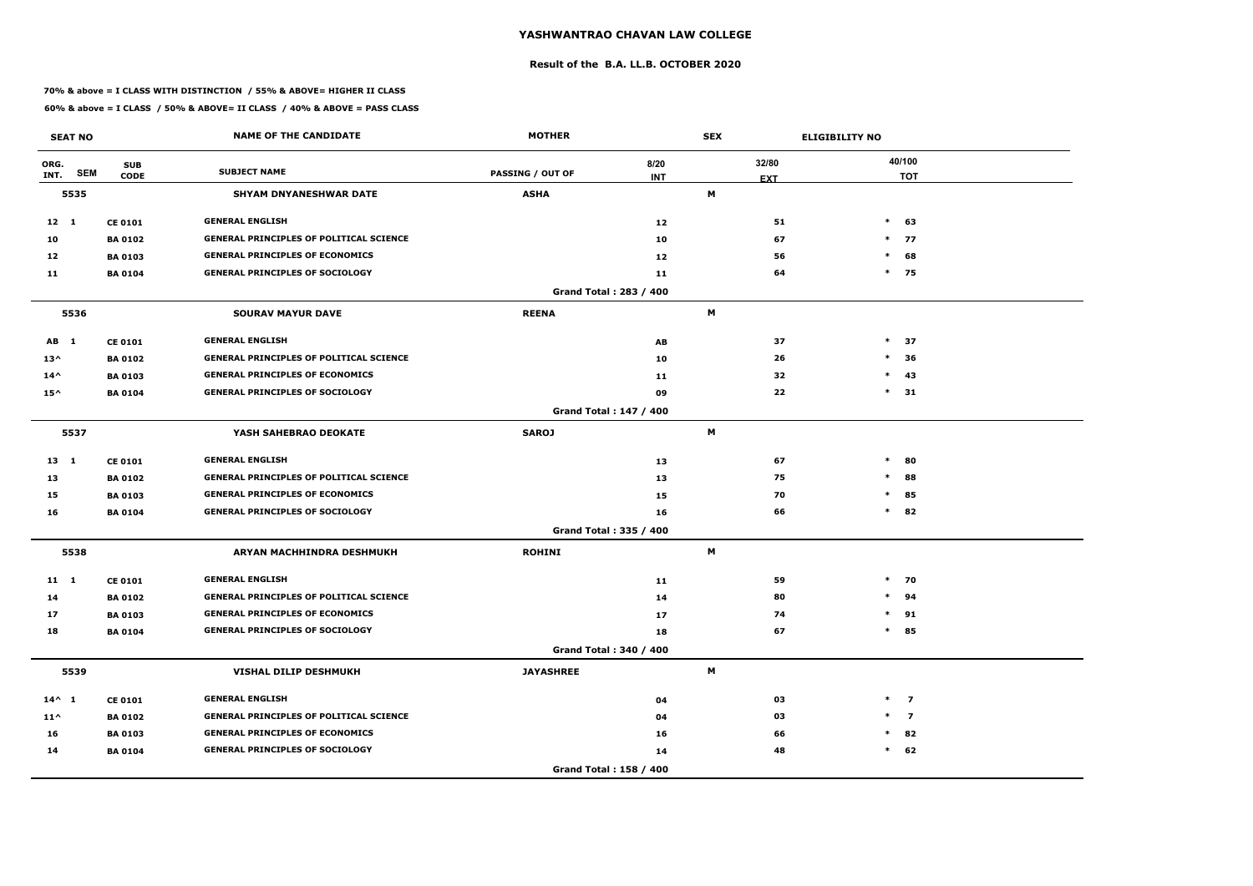### **Result of the B.A. LL.B. OCTOBER 2020**

### **70% & above = I CLASS WITH DISTINCTION / 55% & ABOVE= HIGHER II CLASS**

|                 | <b>SEAT NO</b> |                           | <b>NAME OF THE CANDIDATE</b>                   | <b>MOTHER</b>    |                        | <b>SEX</b> |                     | <b>ELIGIBILITY NO</b> |                      |
|-----------------|----------------|---------------------------|------------------------------------------------|------------------|------------------------|------------|---------------------|-----------------------|----------------------|
| ORG.<br>INT.    | <b>SEM</b>     | <b>SUB</b><br><b>CODE</b> | <b>SUBJECT NAME</b>                            | PASSING / OUT OF | 8/20<br><b>INT</b>     |            | 32/80<br><b>EXT</b> |                       | 40/100<br><b>TOT</b> |
|                 | 5535           |                           | <b>SHYAM DNYANESHWAR DATE</b>                  | <b>ASHA</b>      |                        | M          |                     |                       |                      |
| $12 \quad 1$    |                | <b>CE 0101</b>            | <b>GENERAL ENGLISH</b>                         |                  | 12                     |            | 51                  | $*$                   | 63                   |
| 10              |                | <b>BA 0102</b>            | <b>GENERAL PRINCIPLES OF POLITICAL SCIENCE</b> |                  | 10                     |            | 67                  | $\ast$                | 77                   |
| 12              |                | <b>BA 0103</b>            | <b>GENERAL PRINCIPLES OF ECONOMICS</b>         |                  | 12                     |            | 56                  | $\ast$                | 68                   |
| 11              |                | <b>BA 0104</b>            | <b>GENERAL PRINCIPLES OF SOCIOLOGY</b>         |                  | 11                     |            | 64                  |                       | $*$ 75               |
|                 |                |                           |                                                |                  | Grand Total: 283 / 400 |            |                     |                       |                      |
|                 | 5536           |                           | <b>SOURAV MAYUR DAVE</b>                       | <b>REENA</b>     |                        | M          |                     |                       |                      |
| AB 1            |                | <b>CE 0101</b>            | <b>GENERAL ENGLISH</b>                         |                  | AB                     |            | 37                  | $\ast$                | 37                   |
| $13^{\wedge}$   |                | <b>BA0102</b>             | <b>GENERAL PRINCIPLES OF POLITICAL SCIENCE</b> |                  | 10                     |            | 26                  | $\ast$                | 36                   |
| $14^{\wedge}$   |                | <b>BA 0103</b>            | <b>GENERAL PRINCIPLES OF ECONOMICS</b>         |                  | 11                     |            | 32                  | $\ast$                | 43                   |
| $15^{\wedge}$   |                | <b>BA 0104</b>            | <b>GENERAL PRINCIPLES OF SOCIOLOGY</b>         |                  | 09                     |            | 22                  |                       | $*$ 31               |
|                 |                |                           |                                                |                  | Grand Total: 147 / 400 |            |                     |                       |                      |
|                 | 5537           |                           | YASH SAHEBRAO DEOKATE                          | <b>SAROJ</b>     |                        | M          |                     |                       |                      |
| 13 1            |                | <b>CE 0101</b>            | <b>GENERAL ENGLISH</b>                         |                  | 13                     |            | 67                  | $\ast$                | 80                   |
| 13              |                | <b>BA 0102</b>            | <b>GENERAL PRINCIPLES OF POLITICAL SCIENCE</b> |                  | 13                     |            | 75                  | $\ast$                | 88                   |
| 15              |                | <b>BA 0103</b>            | <b>GENERAL PRINCIPLES OF ECONOMICS</b>         |                  | 15                     |            | 70                  | $\ast$                | 85                   |
| 16              |                | <b>BA 0104</b>            | <b>GENERAL PRINCIPLES OF SOCIOLOGY</b>         |                  | 16                     |            | 66                  | $\ast$                | 82                   |
|                 |                |                           |                                                |                  | Grand Total: 335 / 400 |            |                     |                       |                      |
|                 | 5538           |                           | ARYAN MACHHINDRA DESHMUKH                      | <b>ROHINI</b>    |                        | М          |                     |                       |                      |
| $11 \quad 1$    |                | <b>CE 0101</b>            | <b>GENERAL ENGLISH</b>                         |                  | 11                     |            | 59                  |                       | $*$ 70               |
| 14              |                | <b>BA 0102</b>            | <b>GENERAL PRINCIPLES OF POLITICAL SCIENCE</b> |                  | 14                     |            | 80                  | $\ast$                | 94                   |
| 17              |                | <b>BA 0103</b>            | <b>GENERAL PRINCIPLES OF ECONOMICS</b>         |                  | 17                     |            | 74                  |                       | $*$ 91               |
| 18              |                | <b>BA 0104</b>            | <b>GENERAL PRINCIPLES OF SOCIOLOGY</b>         |                  | 18                     |            | 67                  |                       | $*$ 85               |
|                 |                |                           |                                                |                  | Grand Total: 340 / 400 |            |                     |                       |                      |
|                 | 5539           |                           | VISHAL DILIP DESHMUKH                          | <b>JAYASHREE</b> |                        | M          |                     |                       |                      |
| $14^{\wedge} 1$ |                | <b>CE 0101</b>            | <b>GENERAL ENGLISH</b>                         |                  | 04                     |            | 03                  |                       | $*$ 7                |
| $11^{\wedge}$   |                | <b>BA 0102</b>            | <b>GENERAL PRINCIPLES OF POLITICAL SCIENCE</b> |                  | 04                     |            | 03                  |                       | $*$ 7                |
| 16              |                | <b>BA 0103</b>            | <b>GENERAL PRINCIPLES OF ECONOMICS</b>         |                  | 16                     |            | 66                  |                       | $*$ 82               |
| 14              |                | <b>BA 0104</b>            | <b>GENERAL PRINCIPLES OF SOCIOLOGY</b>         |                  | 14                     |            | 48                  |                       | $*$ 62               |
|                 |                |                           |                                                |                  | Grand Total: 158 / 400 |            |                     |                       |                      |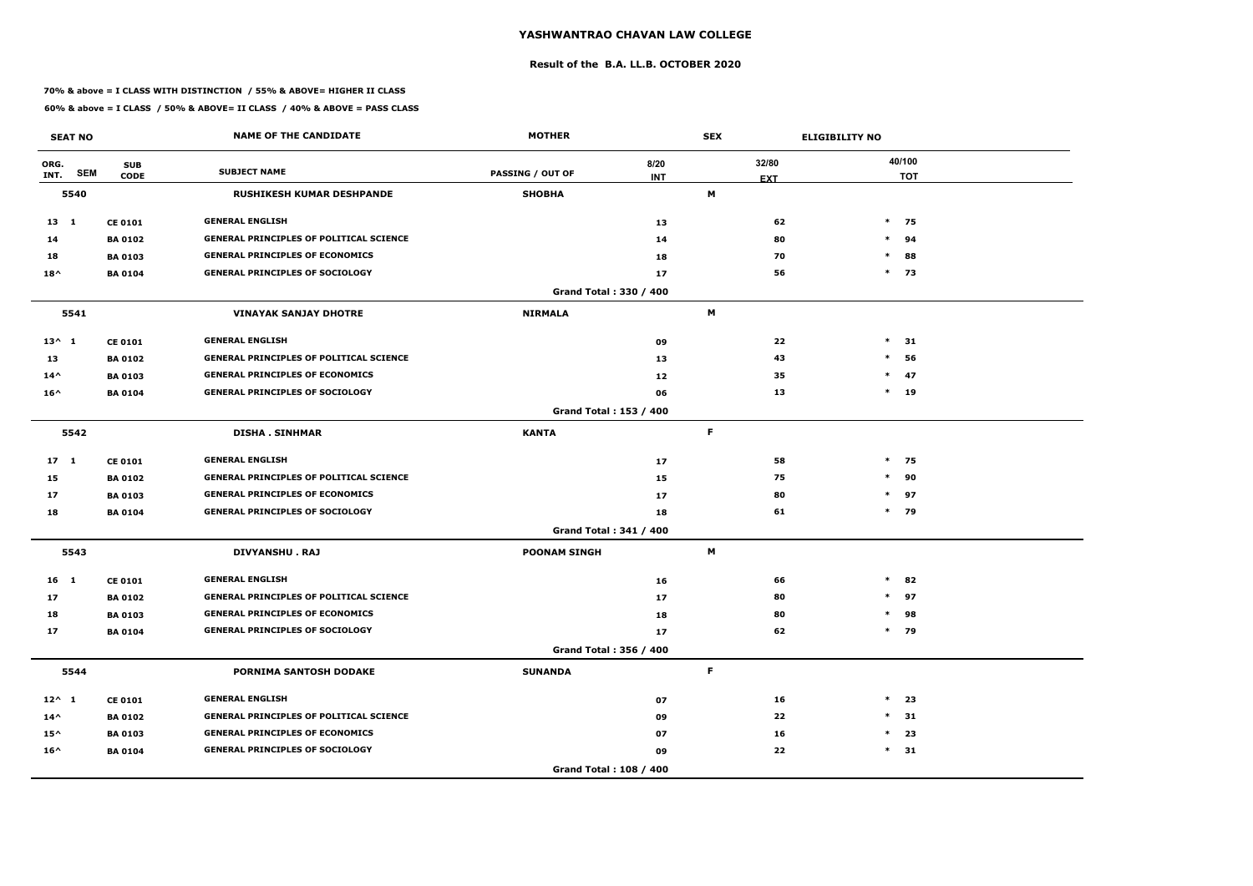### **Result of the B.A. LL.B. OCTOBER 2020**

### **70% & above = I CLASS WITH DISTINCTION / 55% & ABOVE= HIGHER II CLASS**

|                 | <b>SEAT NO</b> |                           | <b>NAME OF THE CANDIDATE</b>                   | <b>MOTHER</b>                 | <b>SEX</b>         |                     | <b>ELIGIBILITY NO</b> |                      |  |
|-----------------|----------------|---------------------------|------------------------------------------------|-------------------------------|--------------------|---------------------|-----------------------|----------------------|--|
| ORG.<br>INT.    | <b>SEM</b>     | <b>SUB</b><br><b>CODE</b> | <b>SUBJECT NAME</b>                            | <b>PASSING / OUT OF</b>       | 8/20<br><b>INT</b> | 32/80<br><b>EXT</b> |                       | 40/100<br><b>TOT</b> |  |
|                 | 5540           |                           | <b>RUSHIKESH KUMAR DESHPANDE</b>               | <b>SHOBHA</b>                 |                    | M                   |                       |                      |  |
| $13 \quad 1$    |                | <b>CE 0101</b>            | <b>GENERAL ENGLISH</b>                         |                               | 13                 | 62                  |                       | $*$ 75               |  |
| 14              |                | <b>BA0102</b>             | <b>GENERAL PRINCIPLES OF POLITICAL SCIENCE</b> |                               | 14                 | 80                  |                       | 94<br>$\ast$         |  |
| 18              |                | <b>BA0103</b>             | <b>GENERAL PRINCIPLES OF ECONOMICS</b>         |                               | 18                 | 70                  | $\ast$                | 88                   |  |
| $18^{\wedge}$   |                | <b>BA 0104</b>            | <b>GENERAL PRINCIPLES OF SOCIOLOGY</b>         |                               | 17                 | 56                  |                       | $*$ 73               |  |
|                 |                |                           |                                                | Grand Total: 330 / 400        |                    |                     |                       |                      |  |
|                 | 5541           |                           | <b>VINAYAK SANJAY DHOTRE</b>                   | <b>NIRMALA</b>                |                    | M                   |                       |                      |  |
| $13^{\wedge} 1$ |                | <b>CE 0101</b>            | <b>GENERAL ENGLISH</b>                         |                               | 09                 | 22                  | $\ast$                | 31                   |  |
| 13              |                | <b>BA 0102</b>            | <b>GENERAL PRINCIPLES OF POLITICAL SCIENCE</b> |                               | 13                 | 43                  | $\ast$                | 56                   |  |
| $14^{\wedge}$   |                | <b>BA 0103</b>            | <b>GENERAL PRINCIPLES OF ECONOMICS</b>         |                               | 12                 | 35                  |                       | $\ast$<br>47         |  |
| $16^{\wedge}$   |                | <b>BA 0104</b>            | <b>GENERAL PRINCIPLES OF SOCIOLOGY</b>         |                               | 06                 | 13                  |                       | $*$ 19               |  |
|                 |                |                           |                                                | Grand Total: 153 / 400        |                    |                     |                       |                      |  |
|                 | 5542           |                           | <b>DISHA. SINHMAR</b>                          | <b>KANTA</b>                  |                    | F.                  |                       |                      |  |
| 17 <sub>1</sub> |                | <b>CE 0101</b>            | <b>GENERAL ENGLISH</b>                         |                               | 17                 | 58                  |                       | $*$ 75               |  |
| 15              |                | <b>BA0102</b>             | <b>GENERAL PRINCIPLES OF POLITICAL SCIENCE</b> |                               | 15                 | 75                  |                       | 90<br>$\ast$         |  |
| 17              |                | <b>BA 0103</b>            | <b>GENERAL PRINCIPLES OF ECONOMICS</b>         |                               | 17                 | 80                  |                       | $*$ 97               |  |
| 18              |                | <b>BA0104</b>             | <b>GENERAL PRINCIPLES OF SOCIOLOGY</b>         |                               | 18                 | 61                  |                       | * 79                 |  |
|                 |                |                           |                                                | <b>Grand Total: 341 / 400</b> |                    |                     |                       |                      |  |
|                 | 5543           |                           | <b>DIVYANSHU. RAJ</b>                          | <b>POONAM SINGH</b>           |                    | М                   |                       |                      |  |
| 16 <sub>1</sub> |                | <b>CE 0101</b>            | <b>GENERAL ENGLISH</b>                         |                               | 16                 | 66                  | $\ast$                | 82                   |  |
| 17              |                | <b>BA0102</b>             | <b>GENERAL PRINCIPLES OF POLITICAL SCIENCE</b> |                               | 17                 | 80                  |                       | $\ast$<br>97         |  |
| 18              |                | <b>BA 0103</b>            | <b>GENERAL PRINCIPLES OF ECONOMICS</b>         |                               | 18                 | 80                  | $\ast$                | 98                   |  |
| $17$            |                | <b>BA0104</b>             | <b>GENERAL PRINCIPLES OF SOCIOLOGY</b>         |                               | 17                 | 62                  |                       | $*$ 79               |  |
|                 |                |                           |                                                | Grand Total: 356 / 400        |                    |                     |                       |                      |  |
|                 | 5544           |                           | PORNIMA SANTOSH DODAKE                         | <b>SUNANDA</b>                |                    | F.                  |                       |                      |  |
| $12^{\wedge}$ 1 |                | <b>CE 0101</b>            | <b>GENERAL ENGLISH</b>                         |                               | 07                 | 16                  | $\ast$                | 23                   |  |
| $14^{\wedge}$   |                | <b>BA 0102</b>            | <b>GENERAL PRINCIPLES OF POLITICAL SCIENCE</b> |                               | 09                 | 22                  | $\ast$                | 31                   |  |
| $15^{\wedge}$   |                | <b>BA 0103</b>            | <b>GENERAL PRINCIPLES OF ECONOMICS</b>         |                               | 07                 | 16                  |                       | $\ast$<br>23         |  |
| $16^{\wedge}$   |                | <b>BA0104</b>             | <b>GENERAL PRINCIPLES OF SOCIOLOGY</b>         |                               | 09                 | 22                  |                       | $*$ 31               |  |
|                 |                |                           |                                                | Grand Total: 108 / 400        |                    |                     |                       |                      |  |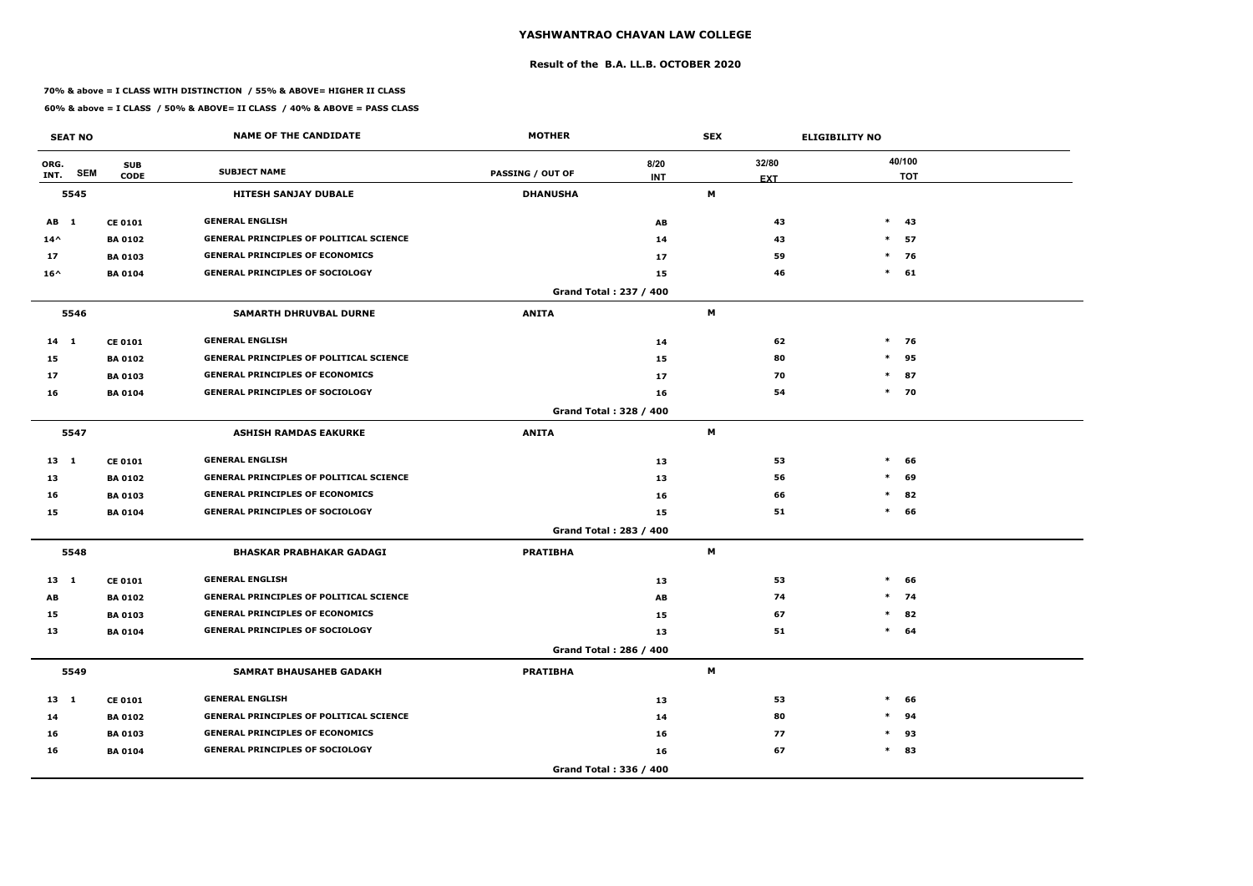### **Result of the B.A. LL.B. OCTOBER 2020**

### **70% & above = I CLASS WITH DISTINCTION / 55% & ABOVE= HIGHER II CLASS**

|               | <b>SEAT NO</b> |                           | <b>NAME OF THE CANDIDATE</b>                   | <b>MOTHER</b>    |                        | <b>SEX</b> |                     | <b>ELIGIBILITY NO</b> |                      |
|---------------|----------------|---------------------------|------------------------------------------------|------------------|------------------------|------------|---------------------|-----------------------|----------------------|
| ORG.<br>INT.  | <b>SEM</b>     | <b>SUB</b><br><b>CODE</b> | <b>SUBJECT NAME</b>                            | PASSING / OUT OF | 8/20<br><b>INT</b>     |            | 32/80<br><b>EXT</b> |                       | 40/100<br><b>TOT</b> |
|               | 5545           |                           | <b>HITESH SANJAY DUBALE</b>                    | <b>DHANUSHA</b>  |                        | Μ          |                     |                       |                      |
| AB 1          |                | <b>CE 0101</b>            | <b>GENERAL ENGLISH</b>                         |                  | AB                     |            | 43                  |                       | $*$ 43               |
| $14^{\wedge}$ |                | <b>BA 0102</b>            | <b>GENERAL PRINCIPLES OF POLITICAL SCIENCE</b> |                  | 14                     |            | 43                  | $*$                   | 57                   |
| 17            |                | <b>BA 0103</b>            | <b>GENERAL PRINCIPLES OF ECONOMICS</b>         |                  | 17                     |            | 59                  | $\ast$                | 76                   |
| $16^{\wedge}$ |                | <b>BA 0104</b>            | <b>GENERAL PRINCIPLES OF SOCIOLOGY</b>         |                  | 15                     |            | 46                  | $\ast$                | 61                   |
|               |                |                           |                                                |                  | Grand Total: 237 / 400 |            |                     |                       |                      |
|               | 5546           |                           | <b>SAMARTH DHRUVBAL DURNE</b>                  | <b>ANITA</b>     |                        | M          |                     |                       |                      |
| $14$ 1        |                | <b>CE 0101</b>            | <b>GENERAL ENGLISH</b>                         |                  | 14                     |            | 62                  | $\ast$                | 76                   |
| 15            |                | <b>BA0102</b>             | <b>GENERAL PRINCIPLES OF POLITICAL SCIENCE</b> |                  | 15                     |            | 80                  | $\ast$                | 95                   |
| 17            |                | <b>BA 0103</b>            | <b>GENERAL PRINCIPLES OF ECONOMICS</b>         |                  | 17                     |            | 70                  | $\ast$                | 87                   |
| 16            |                | <b>BA 0104</b>            | <b>GENERAL PRINCIPLES OF SOCIOLOGY</b>         |                  | 16                     |            | 54                  |                       | $*$ 70               |
|               |                |                           |                                                |                  | Grand Total: 328 / 400 |            |                     |                       |                      |
|               | 5547           |                           | <b>ASHISH RAMDAS EAKURKE</b>                   | <b>ANITA</b>     |                        | M          |                     |                       |                      |
| $13 \quad 1$  |                | <b>CE 0101</b>            | <b>GENERAL ENGLISH</b>                         |                  | 13                     |            | 53                  | $\ast$                | 66                   |
| 13            |                | <b>BA 0102</b>            | <b>GENERAL PRINCIPLES OF POLITICAL SCIENCE</b> |                  | 13                     |            | 56                  | $\ast$                | 69                   |
| 16            |                | <b>BA 0103</b>            | <b>GENERAL PRINCIPLES OF ECONOMICS</b>         |                  | 16                     |            | 66                  | $\ast$                | 82                   |
| 15            |                | <b>BA 0104</b>            | <b>GENERAL PRINCIPLES OF SOCIOLOGY</b>         |                  | 15                     |            | 51                  | $\ast$                | 66                   |
|               |                |                           |                                                |                  | Grand Total: 283 / 400 |            |                     |                       |                      |
|               | 5548           |                           | <b>BHASKAR PRABHAKAR GADAGI</b>                | <b>PRATIBHA</b>  |                        | М          |                     |                       |                      |
| 13 1          |                | <b>CE 0101</b>            | <b>GENERAL ENGLISH</b>                         |                  | 13                     |            | 53                  | $\ast$                | 66                   |
| AB            |                | <b>BA 0102</b>            | <b>GENERAL PRINCIPLES OF POLITICAL SCIENCE</b> |                  | AB                     |            | 74                  | $\ast$                | 74                   |
| 15            |                | <b>BA 0103</b>            | <b>GENERAL PRINCIPLES OF ECONOMICS</b>         |                  | 15                     |            | 67                  | $\ast$                | 82                   |
| 13            |                | <b>BA 0104</b>            | <b>GENERAL PRINCIPLES OF SOCIOLOGY</b>         |                  | 13                     |            | 51                  |                       | $*$ 64               |
|               |                |                           |                                                |                  | Grand Total: 286 / 400 |            |                     |                       |                      |
|               | 5549           |                           | <b>SAMRAT BHAUSAHEB GADAKH</b>                 | <b>PRATIBHA</b>  |                        | M          |                     |                       |                      |
| 13 1          |                | <b>CE 0101</b>            | <b>GENERAL ENGLISH</b>                         |                  | 13                     |            | 53                  | $\ast$                | 66                   |
| 14            |                | <b>BA 0102</b>            | <b>GENERAL PRINCIPLES OF POLITICAL SCIENCE</b> |                  | 14                     |            | 80                  | $\ast$                | 94                   |
| 16            |                | <b>BA 0103</b>            | <b>GENERAL PRINCIPLES OF ECONOMICS</b>         |                  | 16                     |            | 77                  | $\ast$                | 93                   |
| 16            |                | <b>BA 0104</b>            | <b>GENERAL PRINCIPLES OF SOCIOLOGY</b>         |                  | 16                     |            | 67                  |                       | $*$ 83               |
|               |                |                           |                                                |                  | Grand Total: 336 / 400 |            |                     |                       |                      |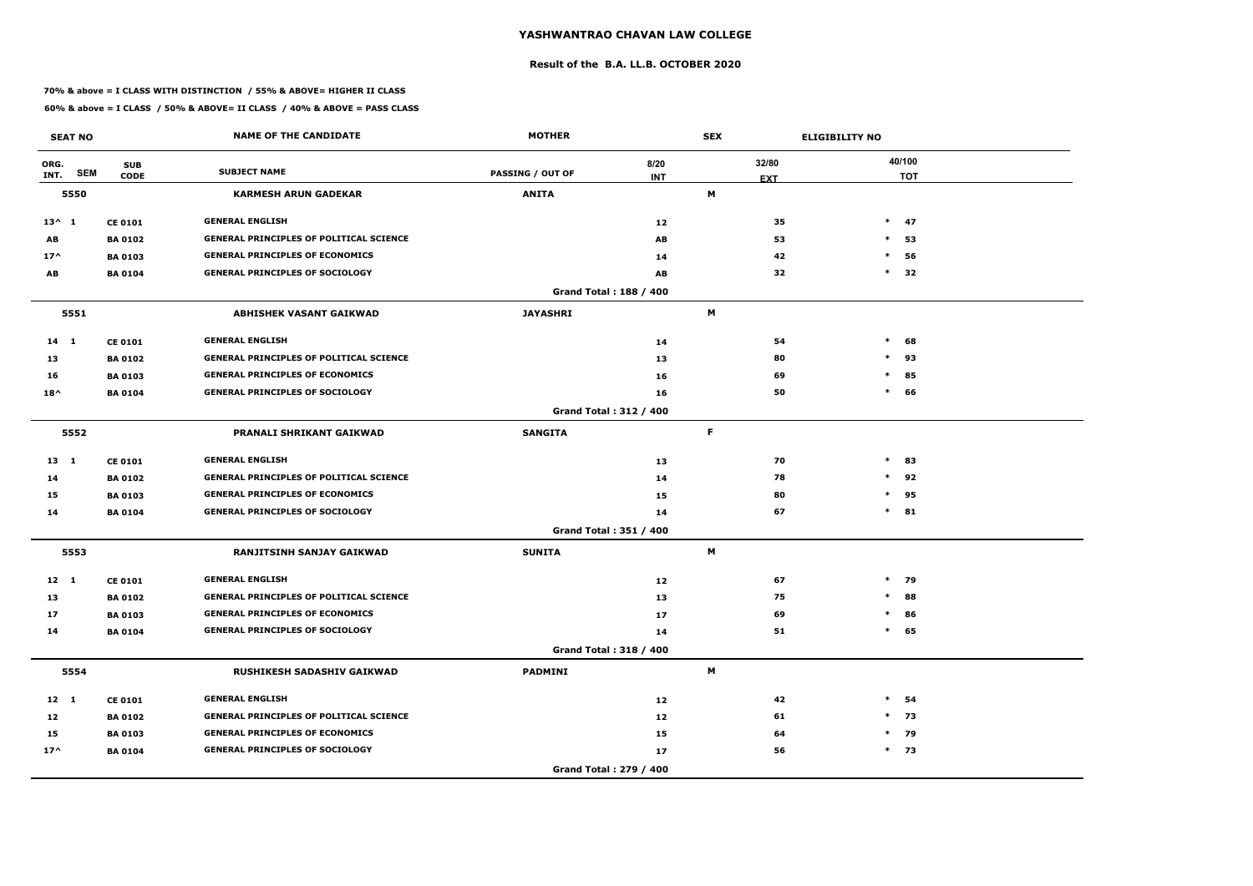### **Result of the B.A. LL.B. OCTOBER 2020**

### **70% & above = I CLASS WITH DISTINCTION / 55% & ABOVE= HIGHER II CLASS**

|                 | <b>SEAT NO</b> |                           | <b>NAME OF THE CANDIDATE</b>                   | <b>MOTHER</b>           |                               |    | <b>ELIGIBILITY NO</b><br><b>SEX</b> |        |                      |
|-----------------|----------------|---------------------------|------------------------------------------------|-------------------------|-------------------------------|----|-------------------------------------|--------|----------------------|
| ORG.<br>INT.    | <b>SEM</b>     | <b>SUB</b><br><b>CODE</b> | <b>SUBJECT NAME</b>                            | <b>PASSING / OUT OF</b> | 8/20<br><b>INT</b>            |    | 32/80<br><b>EXT</b>                 |        | 40/100<br><b>TOT</b> |
|                 | 5550           |                           | <b>KARMESH ARUN GADEKAR</b>                    | <b>ANITA</b>            |                               | М  |                                     |        |                      |
| $13^{\wedge} 1$ |                | <b>CE 0101</b>            | <b>GENERAL ENGLISH</b>                         |                         | 12                            |    | 35                                  |        | $*$ 47               |
| AB              |                | <b>BA 0102</b>            | <b>GENERAL PRINCIPLES OF POLITICAL SCIENCE</b> |                         | AB                            |    | 53                                  | $\ast$ | 53                   |
| $17^$           |                | <b>BA 0103</b>            | <b>GENERAL PRINCIPLES OF ECONOMICS</b>         |                         | 14                            |    | 42                                  | $\ast$ | 56                   |
| AB              |                | <b>BA 0104</b>            | <b>GENERAL PRINCIPLES OF SOCIOLOGY</b>         |                         | AB                            |    | 32                                  | $\ast$ | 32                   |
|                 |                |                           |                                                |                         | Grand Total: 188 / 400        |    |                                     |        |                      |
|                 | 5551           |                           | <b>ABHISHEK VASANT GAIKWAD</b>                 | <b>JAYASHRI</b>         |                               | M  |                                     |        |                      |
| $14$ 1          |                | <b>CE 0101</b>            | <b>GENERAL ENGLISH</b>                         |                         | 14                            |    | 54                                  | $\ast$ | 68                   |
| 13              |                | <b>BA 0102</b>            | <b>GENERAL PRINCIPLES OF POLITICAL SCIENCE</b> |                         | 13                            |    | 80                                  | $\ast$ | 93                   |
| 16              |                | <b>BA 0103</b>            | <b>GENERAL PRINCIPLES OF ECONOMICS</b>         |                         | 16                            |    | 69                                  | $\ast$ | 85                   |
| $18^{\wedge}$   |                | <b>BA 0104</b>            | <b>GENERAL PRINCIPLES OF SOCIOLOGY</b>         |                         | 16                            |    | 50                                  | $\ast$ | 66                   |
|                 |                |                           |                                                |                         | <b>Grand Total: 312 / 400</b> |    |                                     |        |                      |
|                 | 5552           |                           | PRANALI SHRIKANT GAIKWAD                       | <b>SANGITA</b>          |                               | F. |                                     |        |                      |
| $13 \quad 1$    |                | <b>CE 0101</b>            | <b>GENERAL ENGLISH</b>                         |                         | 13                            |    | 70                                  | $\ast$ | 83                   |
| 14              |                | <b>BA 0102</b>            | <b>GENERAL PRINCIPLES OF POLITICAL SCIENCE</b> |                         | 14                            |    | 78                                  | $\ast$ | 92                   |
| 15              |                | <b>BA 0103</b>            | <b>GENERAL PRINCIPLES OF ECONOMICS</b>         |                         | 15                            |    | 80                                  | $\ast$ | 95                   |
| 14              |                | <b>BA 0104</b>            | <b>GENERAL PRINCIPLES OF SOCIOLOGY</b>         |                         | 14                            |    | 67                                  | $\ast$ | 81                   |
|                 |                |                           |                                                |                         | Grand Total: 351 / 400        |    |                                     |        |                      |
|                 | 5553           |                           | <b>RANJITSINH SANJAY GAIKWAD</b>               | <b>SUNITA</b>           |                               | М  |                                     |        |                      |
| $12 \quad 1$    |                | <b>CE 0101</b>            | <b>GENERAL ENGLISH</b>                         |                         | 12                            |    | 67                                  |        | $*$ 79               |
| 13              |                | <b>BA 0102</b>            | <b>GENERAL PRINCIPLES OF POLITICAL SCIENCE</b> |                         | 13                            |    | 75                                  | $\ast$ | 88                   |
| 17              |                | <b>BA 0103</b>            | <b>GENERAL PRINCIPLES OF ECONOMICS</b>         |                         | 17                            |    | 69                                  | $\ast$ | 86                   |
| 14              |                | <b>BA 0104</b>            | <b>GENERAL PRINCIPLES OF SOCIOLOGY</b>         |                         | 14                            |    | 51                                  | $\ast$ | 65                   |
|                 |                |                           |                                                |                         | Grand Total: 318 / 400        |    |                                     |        |                      |
|                 | 5554           |                           | <b>RUSHIKESH SADASHIV GAIKWAD</b>              | <b>PADMINI</b>          |                               | М  |                                     |        |                      |
| $12 \quad 1$    |                | <b>CE 0101</b>            | <b>GENERAL ENGLISH</b>                         |                         | 12                            |    | 42                                  | $\ast$ | 54                   |
| 12              |                | <b>BA 0102</b>            | <b>GENERAL PRINCIPLES OF POLITICAL SCIENCE</b> |                         | 12                            |    | 61                                  | $\ast$ | 73                   |
| 15              |                | <b>BA 0103</b>            | <b>GENERAL PRINCIPLES OF ECONOMICS</b>         |                         | 15                            |    | 64                                  |        | $*$ 79               |
| $17^{\wedge}$   |                | <b>BA 0104</b>            | <b>GENERAL PRINCIPLES OF SOCIOLOGY</b>         |                         | 17                            |    | 56                                  |        | $*$ 73               |
|                 |                |                           |                                                |                         | Grand Total: 279 / 400        |    |                                     |        |                      |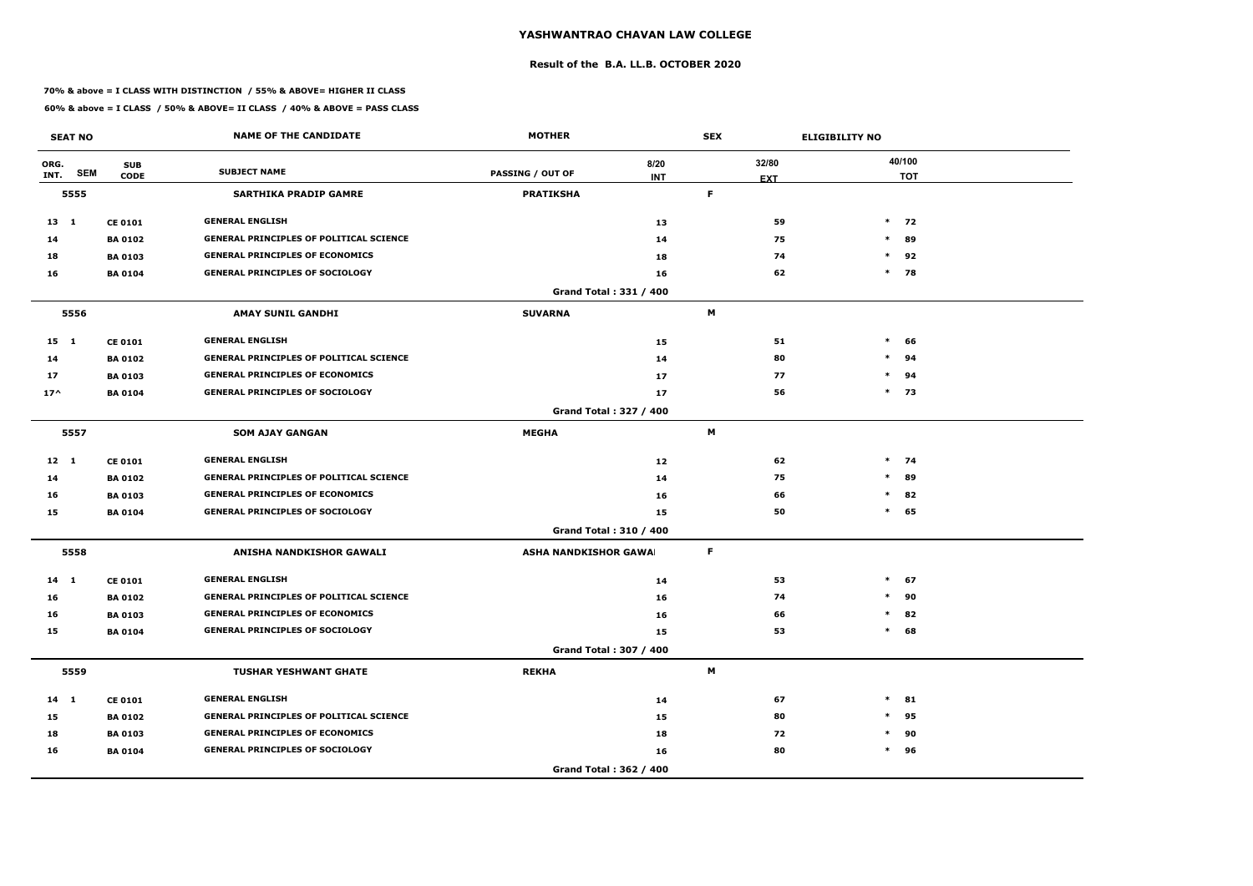### **Result of the B.A. LL.B. OCTOBER 2020**

### **70% & above = I CLASS WITH DISTINCTION / 55% & ABOVE= HIGHER II CLASS**

|              | <b>SEAT NO</b> |                           | <b>NAME OF THE CANDIDATE</b>                   | <b>MOTHER</b>                |                        | <b>SEX</b>      | <b>ELIGIBILITY NO</b> |        |                      |
|--------------|----------------|---------------------------|------------------------------------------------|------------------------------|------------------------|-----------------|-----------------------|--------|----------------------|
| ORG.<br>INT. | <b>SEM</b>     | <b>SUB</b><br><b>CODE</b> | <b>SUBJECT NAME</b>                            | <b>PASSING / OUT OF</b>      | 8/20<br><b>INT</b>     | 32/80           |                       |        | 40/100<br><b>TOT</b> |
|              | 5555           |                           | <b>SARTHIKA PRADIP GAMRE</b>                   | <b>PRATIKSHA</b>             |                        | <b>EXT</b><br>F |                       |        |                      |
| $13 \quad 1$ |                | <b>CE 0101</b>            | <b>GENERAL ENGLISH</b>                         |                              | 13                     | 59              |                       |        | $*$ 72               |
| 14           |                | <b>BA 0102</b>            | <b>GENERAL PRINCIPLES OF POLITICAL SCIENCE</b> |                              | 14                     | 75              |                       | $*$    | 89                   |
| 18           |                | <b>BA0103</b>             | <b>GENERAL PRINCIPLES OF ECONOMICS</b>         |                              | 18                     | 74              | $\ast$                |        | 92                   |
| 16           |                | <b>BA 0104</b>            | <b>GENERAL PRINCIPLES OF SOCIOLOGY</b>         |                              | 16                     | 62              | $\ast$                |        | 78                   |
|              |                |                           |                                                |                              | Grand Total: 331 / 400 |                 |                       |        |                      |
|              | 5556           |                           | <b>AMAY SUNIL GANDHI</b>                       | <b>SUVARNA</b>               |                        | M               |                       |        |                      |
| $15 \quad 1$ |                | <b>CE 0101</b>            | <b>GENERAL ENGLISH</b>                         |                              | 15                     | 51              |                       | $\ast$ | 66                   |
| 14           |                | <b>BA 0102</b>            | <b>GENERAL PRINCIPLES OF POLITICAL SCIENCE</b> |                              | 14                     | 80              | $\ast$                |        | 94                   |
| 17           |                | <b>BA 0103</b>            | <b>GENERAL PRINCIPLES OF ECONOMICS</b>         |                              | 17                     | 77              | $\ast$                |        | 94                   |
| $17^$        |                | <b>BA 0104</b>            | <b>GENERAL PRINCIPLES OF SOCIOLOGY</b>         |                              | 17                     | 56              |                       | $*$ 73 |                      |
|              |                |                           |                                                |                              | Grand Total: 327 / 400 |                 |                       |        |                      |
|              | 5557           |                           | <b>SOM AJAY GANGAN</b>                         | <b>MEGHA</b>                 |                        | M               |                       |        |                      |
| $12 \quad 1$ |                | <b>CE 0101</b>            | <b>GENERAL ENGLISH</b>                         |                              | 12                     | 62              |                       | $*$ 74 |                      |
| 14           |                | <b>BA 0102</b>            | <b>GENERAL PRINCIPLES OF POLITICAL SCIENCE</b> |                              | 14                     | 75              | $\ast$                |        | 89                   |
| 16           |                | <b>BA 0103</b>            | <b>GENERAL PRINCIPLES OF ECONOMICS</b>         |                              | 16                     | 66              | $\ast$                |        | 82                   |
| 15           |                | <b>BA 0104</b>            | <b>GENERAL PRINCIPLES OF SOCIOLOGY</b>         |                              | 15                     | 50              |                       | $\ast$ | 65                   |
|              |                |                           |                                                |                              | Grand Total: 310 / 400 |                 |                       |        |                      |
|              | 5558           |                           | ANISHA NANDKISHOR GAWALI                       | <b>ASHA NANDKISHOR GAWAI</b> |                        | F.              |                       |        |                      |
| 14 1         |                | <b>CE 0101</b>            | <b>GENERAL ENGLISH</b>                         |                              | 14                     | 53              |                       | $*$ 67 |                      |
| 16           |                | <b>BA 0102</b>            | <b>GENERAL PRINCIPLES OF POLITICAL SCIENCE</b> |                              | 16                     | 74              |                       | $\ast$ | 90                   |
| 16           |                | <b>BA 0103</b>            | <b>GENERAL PRINCIPLES OF ECONOMICS</b>         |                              | 16                     | 66              |                       | $\ast$ | 82                   |
| 15           |                | <b>BA 0104</b>            | <b>GENERAL PRINCIPLES OF SOCIOLOGY</b>         |                              | 15                     | 53              |                       | $\ast$ | 68                   |
|              |                |                           |                                                |                              | Grand Total: 307 / 400 |                 |                       |        |                      |
|              | 5559           |                           | <b>TUSHAR YESHWANT GHATE</b>                   | <b>REKHA</b>                 |                        | M               |                       |        |                      |
| $14$ 1       |                | <b>CE 0101</b>            | <b>GENERAL ENGLISH</b>                         |                              | 14                     | 67              | $\ast$                |        | 81                   |
| 15           |                | <b>BA 0102</b>            | <b>GENERAL PRINCIPLES OF POLITICAL SCIENCE</b> |                              | 15                     | 80              |                       | $\ast$ | 95                   |
| 18           |                | <b>BA 0103</b>            | <b>GENERAL PRINCIPLES OF ECONOMICS</b>         |                              | 18                     | 72              | $\ast$                |        | 90                   |
| 16           |                | <b>BA 0104</b>            | <b>GENERAL PRINCIPLES OF SOCIOLOGY</b>         |                              | 16                     | 80              |                       | $*$ 96 |                      |
|              |                |                           |                                                |                              | Grand Total: 362 / 400 |                 |                       |        |                      |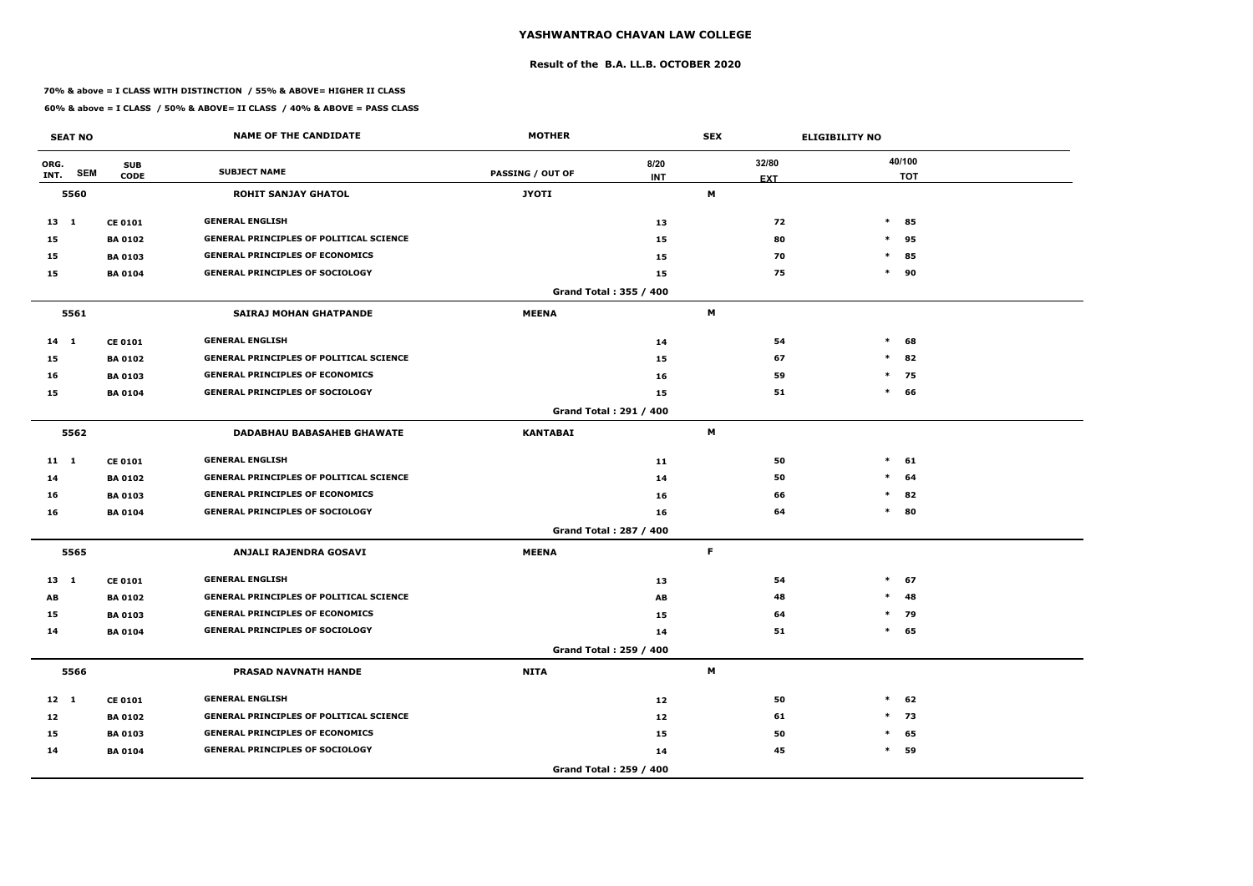### **Result of the B.A. LL.B. OCTOBER 2020**

### **70% & above = I CLASS WITH DISTINCTION / 55% & ABOVE= HIGHER II CLASS**

|              | <b>SEAT NO</b> |                           | <b>NAME OF THE CANDIDATE</b>                   | <b>MOTHER</b>    |                        | <b>SEX</b> |            | <b>ELIGIBILITY NO</b> |                      |  |
|--------------|----------------|---------------------------|------------------------------------------------|------------------|------------------------|------------|------------|-----------------------|----------------------|--|
| ORG.<br>INT. | <b>SEM</b>     | <b>SUB</b><br><b>CODE</b> | <b>SUBJECT NAME</b>                            | PASSING / OUT OF | 8/20<br><b>INT</b>     | 32/80      | <b>EXT</b> |                       | 40/100<br><b>TOT</b> |  |
|              | 5560           |                           | <b>ROHIT SANJAY GHATOL</b>                     | <b>JYOTI</b>     |                        | Μ          |            |                       |                      |  |
| 13 1         |                | <b>CE 0101</b>            | <b>GENERAL ENGLISH</b>                         |                  | 13                     |            | 72         | $*$                   | 85                   |  |
| 15           |                | <b>BA 0102</b>            | <b>GENERAL PRINCIPLES OF POLITICAL SCIENCE</b> |                  | 15                     |            | 80         | $\ast$                | 95                   |  |
| 15           |                | <b>BA 0103</b>            | <b>GENERAL PRINCIPLES OF ECONOMICS</b>         |                  | 15                     |            | 70         | $\ast$                | 85                   |  |
| 15           |                | <b>BA 0104</b>            | <b>GENERAL PRINCIPLES OF SOCIOLOGY</b>         |                  | 15                     |            | 75         | $\ast$                | 90                   |  |
|              |                |                           |                                                |                  | Grand Total: 355 / 400 |            |            |                       |                      |  |
|              | 5561           |                           | <b>SAIRAJ MOHAN GHATPANDE</b>                  | <b>MEENA</b>     |                        | M          |            |                       |                      |  |
| $14$ 1       |                | <b>CE 0101</b>            | <b>GENERAL ENGLISH</b>                         |                  | 14                     |            | 54         | $\ast$                | 68                   |  |
| 15           |                | <b>BA 0102</b>            | <b>GENERAL PRINCIPLES OF POLITICAL SCIENCE</b> |                  | 15                     |            | 67         | $\ast$                | 82                   |  |
| 16           |                | <b>BA 0103</b>            | <b>GENERAL PRINCIPLES OF ECONOMICS</b>         |                  | 16                     |            | 59         | $\ast$                | 75                   |  |
| 15           |                | <b>BA 0104</b>            | <b>GENERAL PRINCIPLES OF SOCIOLOGY</b>         |                  | 15                     |            | 51         | $\ast$                | 66                   |  |
|              |                |                           |                                                |                  | Grand Total: 291 / 400 |            |            |                       |                      |  |
|              | 5562           |                           | <b>DADABHAU BABASAHEB GHAWATE</b>              | <b>KANTABAI</b>  |                        | M          |            |                       |                      |  |
| $11 \quad 1$ |                | <b>CE 0101</b>            | <b>GENERAL ENGLISH</b>                         |                  | 11                     |            | 50         | $\ast$                | 61                   |  |
| 14           |                | <b>BA 0102</b>            | <b>GENERAL PRINCIPLES OF POLITICAL SCIENCE</b> |                  | 14                     |            | 50         | $\ast$                | 64                   |  |
| 16           |                | <b>BA 0103</b>            | <b>GENERAL PRINCIPLES OF ECONOMICS</b>         |                  | 16                     |            | 66         | $\ast$                | 82                   |  |
| 16           |                | <b>BA 0104</b>            | <b>GENERAL PRINCIPLES OF SOCIOLOGY</b>         |                  | 16                     |            | 64         | $\ast$                | 80                   |  |
|              |                |                           |                                                |                  | Grand Total: 287 / 400 |            |            |                       |                      |  |
|              | 5565           |                           | ANJALI RAJENDRA GOSAVI                         | <b>MEENA</b>     |                        | F.         |            |                       |                      |  |
| 13 1         |                | <b>CE 0101</b>            | <b>GENERAL ENGLISH</b>                         |                  | 13                     |            | 54         | $\ast$                | 67                   |  |
| AB           |                | <b>BA 0102</b>            | <b>GENERAL PRINCIPLES OF POLITICAL SCIENCE</b> |                  | AB                     |            | 48         | $\ast$                | 48                   |  |
| 15           |                | <b>BA 0103</b>            | <b>GENERAL PRINCIPLES OF ECONOMICS</b>         |                  | 15                     |            | 64         |                       | $*$ 79               |  |
| 14           |                | <b>BA 0104</b>            | <b>GENERAL PRINCIPLES OF SOCIOLOGY</b>         |                  | 14                     |            | 51         |                       | $*$ 65               |  |
|              |                |                           |                                                |                  | Grand Total: 259 / 400 |            |            |                       |                      |  |
|              | 5566           |                           | <b>PRASAD NAVNATH HANDE</b>                    | <b>NITA</b>      |                        | M          |            |                       |                      |  |
| $12 \quad 1$ |                | <b>CE 0101</b>            | <b>GENERAL ENGLISH</b>                         |                  | 12                     |            | 50         | $\ast$                | 62                   |  |
| 12           |                | <b>BA 0102</b>            | <b>GENERAL PRINCIPLES OF POLITICAL SCIENCE</b> |                  | 12                     |            | 61         |                       | 73<br>$\ast$         |  |
| 15           |                | <b>BA 0103</b>            | <b>GENERAL PRINCIPLES OF ECONOMICS</b>         |                  | 15                     |            | 50         | $\ast$                | 65                   |  |
| 14           |                | <b>BA 0104</b>            | <b>GENERAL PRINCIPLES OF SOCIOLOGY</b>         |                  | 14                     |            | 45         | $\ast$                | 59                   |  |
|              |                |                           |                                                |                  | Grand Total: 259 / 400 |            |            |                       |                      |  |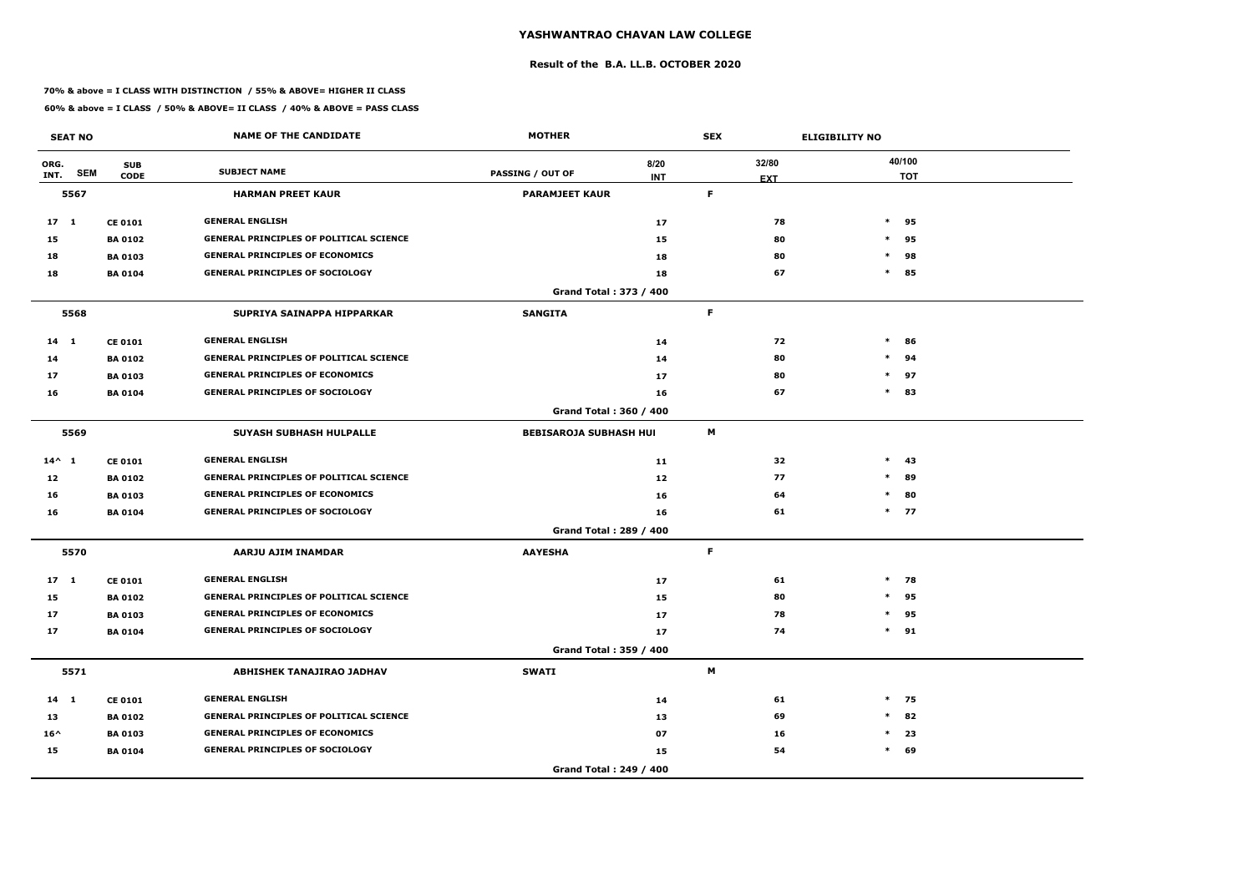### **Result of the B.A. LL.B. OCTOBER 2020**

### **70% & above = I CLASS WITH DISTINCTION / 55% & ABOVE= HIGHER II CLASS**

|                 | <b>SEAT NO</b> |                           | <b>NAME OF THE CANDIDATE</b>                   | <b>MOTHER</b>                 | <b>SEX</b>         |    |            | <b>ELIGIBILITY NO</b> |                      |
|-----------------|----------------|---------------------------|------------------------------------------------|-------------------------------|--------------------|----|------------|-----------------------|----------------------|
| ORG.<br>INT.    | <b>SEM</b>     | <b>SUB</b><br><b>CODE</b> | <b>SUBJECT NAME</b>                            | PASSING / OUT OF              | 8/20<br><b>INT</b> |    | 32/80      |                       | 40/100<br><b>TOT</b> |
|                 | 5567           |                           | <b>HARMAN PREET KAUR</b>                       | <b>PARAMJEET KAUR</b>         |                    | F. | <b>EXT</b> |                       |                      |
| 17 <sub>1</sub> |                | <b>CE 0101</b>            | <b>GENERAL ENGLISH</b>                         |                               | 17                 |    | 78         | $\ast$                | 95                   |
| 15              |                | <b>BA 0102</b>            | <b>GENERAL PRINCIPLES OF POLITICAL SCIENCE</b> |                               | 15                 |    | 80         | $\ast$                | 95                   |
| 18              |                | <b>BA 0103</b>            | <b>GENERAL PRINCIPLES OF ECONOMICS</b>         |                               | 18                 |    | 80         | $\ast$                | 98                   |
| 18              |                | <b>BA 0104</b>            | <b>GENERAL PRINCIPLES OF SOCIOLOGY</b>         |                               | 18                 |    | 67         | $\ast$                | 85                   |
|                 |                |                           |                                                | Grand Total: 373 / 400        |                    |    |            |                       |                      |
|                 | 5568           |                           | SUPRIYA SAINAPPA HIPPARKAR                     | <b>SANGITA</b>                |                    | F. |            |                       |                      |
| $14$ 1          |                | <b>CE 0101</b>            | <b>GENERAL ENGLISH</b>                         |                               | 14                 |    | 72         | $\ast$                | 86                   |
| 14              |                | <b>BA 0102</b>            | <b>GENERAL PRINCIPLES OF POLITICAL SCIENCE</b> |                               | 14                 |    | 80         | $\ast$                | 94                   |
| 17              |                | <b>BA 0103</b>            | <b>GENERAL PRINCIPLES OF ECONOMICS</b>         |                               | 17                 |    | 80         | $\ast$                | 97                   |
| 16              |                | <b>BA 0104</b>            | <b>GENERAL PRINCIPLES OF SOCIOLOGY</b>         |                               | 16                 |    | 67         |                       | $*$ 83               |
|                 |                |                           |                                                | Grand Total: 360 / 400        |                    |    |            |                       |                      |
|                 | 5569           |                           | <b>SUYASH SUBHASH HULPALLE</b>                 | <b>BEBISAROJA SUBHASH HUI</b> |                    | M  |            |                       |                      |
| $14^{\wedge} 1$ |                | <b>CE 0101</b>            | <b>GENERAL ENGLISH</b>                         |                               | 11                 |    | 32         | $\ast$                | -43                  |
| 12              |                | <b>BA 0102</b>            | <b>GENERAL PRINCIPLES OF POLITICAL SCIENCE</b> |                               | 12                 |    | 77         | $\ast$                | 89                   |
| 16              |                | <b>BA 0103</b>            | <b>GENERAL PRINCIPLES OF ECONOMICS</b>         |                               | 16                 |    | 64         | $\ast$                | 80                   |
| 16              |                | <b>BA 0104</b>            | <b>GENERAL PRINCIPLES OF SOCIOLOGY</b>         |                               | 16                 |    | 61         |                       | $*$ 77               |
|                 |                |                           |                                                | Grand Total: 289 / 400        |                    |    |            |                       |                      |
|                 | 5570           |                           | AARJU AJIM INAMDAR                             | <b>AAYESHA</b>                |                    | F. |            |                       |                      |
| 17 <sub>1</sub> |                | <b>CE 0101</b>            | <b>GENERAL ENGLISH</b>                         |                               | 17                 |    | 61         | $\ast$                | 78                   |
| 15              |                | <b>BA 0102</b>            | <b>GENERAL PRINCIPLES OF POLITICAL SCIENCE</b> |                               | 15                 |    | 80         | $*$                   | 95                   |
| 17              |                | <b>BA 0103</b>            | <b>GENERAL PRINCIPLES OF ECONOMICS</b>         |                               | 17                 |    | 78         | $\ast$                | 95                   |
| 17              |                | <b>BA 0104</b>            | <b>GENERAL PRINCIPLES OF SOCIOLOGY</b>         |                               | 17                 |    | 74         |                       | $*$ 91               |
|                 |                |                           |                                                | Grand Total: 359 / 400        |                    |    |            |                       |                      |
|                 | 5571           |                           | <b>ABHISHEK TANAJIRAO JADHAV</b>               | <b>SWATI</b>                  |                    | M  |            |                       |                      |
| $14 \quad 1$    |                | <b>CE 0101</b>            | <b>GENERAL ENGLISH</b>                         |                               | 14                 |    | 61         |                       | $*$ 75               |
| 13              |                | <b>BA 0102</b>            | <b>GENERAL PRINCIPLES OF POLITICAL SCIENCE</b> |                               | 13                 |    | 69         | $\ast$                | 82                   |
| $16^{\wedge}$   |                | <b>BA 0103</b>            | <b>GENERAL PRINCIPLES OF ECONOMICS</b>         |                               | 07                 |    | 16         | $\ast$                | 23                   |
| 15              |                | <b>BA 0104</b>            | <b>GENERAL PRINCIPLES OF SOCIOLOGY</b>         |                               | 15                 |    | 54         |                       | $*$ 69               |
|                 |                |                           |                                                | Grand Total: 249 / 400        |                    |    |            |                       |                      |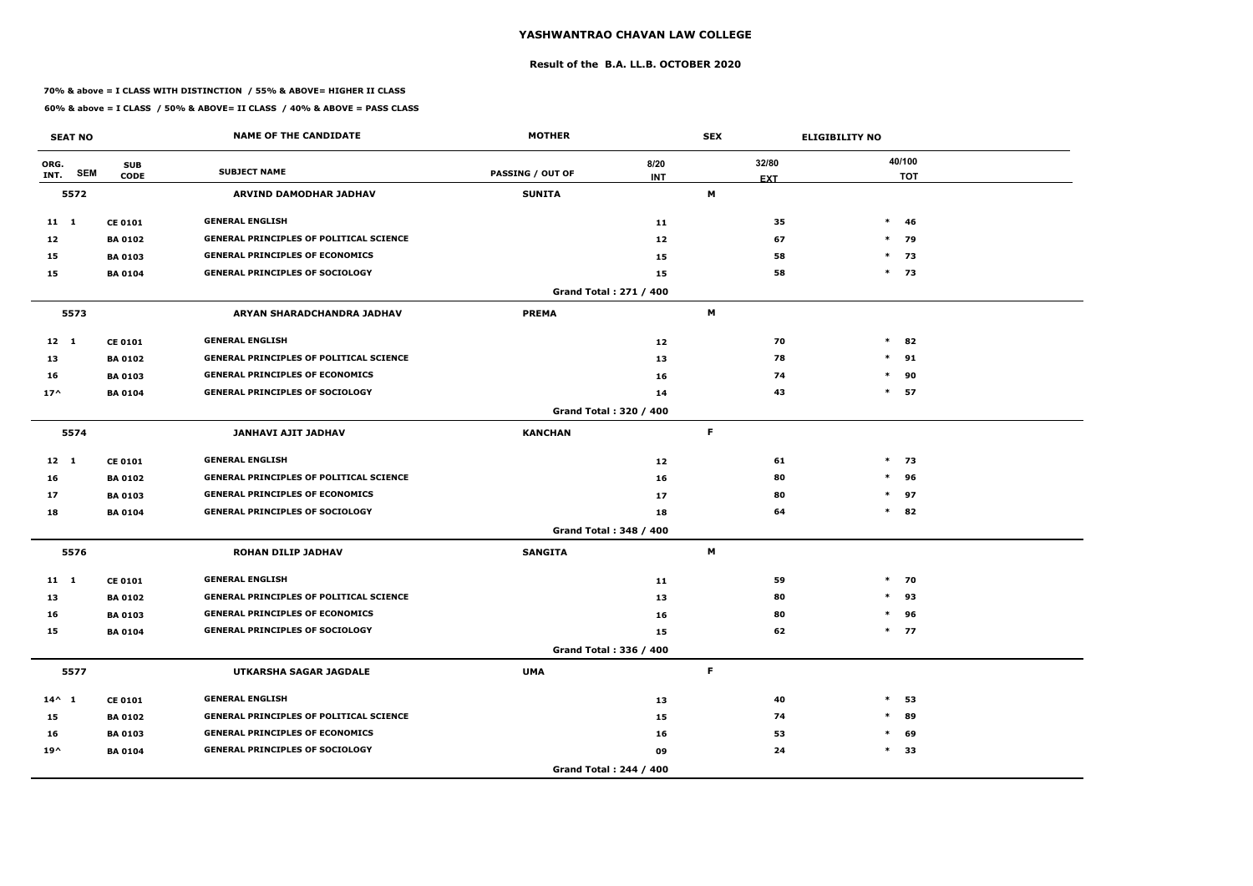### **Result of the B.A. LL.B. OCTOBER 2020**

### **70% & above = I CLASS WITH DISTINCTION / 55% & ABOVE= HIGHER II CLASS**

|                 | <b>SEAT NO</b> |                           | <b>NAME OF THE CANDIDATE</b>                   | <b>MOTHER</b>           |                        | <b>SEX</b>      | <b>ELIGIBILITY NO</b> |        |            |
|-----------------|----------------|---------------------------|------------------------------------------------|-------------------------|------------------------|-----------------|-----------------------|--------|------------|
| ORG.<br>INT.    | <b>SEM</b>     | <b>SUB</b><br><b>CODE</b> | <b>SUBJECT NAME</b>                            | <b>PASSING / OUT OF</b> | 8/20<br><b>INT</b>     | 32/80           |                       | 40/100 | <b>TOT</b> |
|                 | 5572           |                           | ARVIND DAMODHAR JADHAV                         | <b>SUNITA</b>           |                        | <b>EXT</b><br>M |                       |        |            |
| 11 1            |                | <b>CE 0101</b>            | <b>GENERAL ENGLISH</b>                         |                         | 11                     | 35              |                       | $\ast$ | -46        |
| 12              |                | <b>BA 0102</b>            | <b>GENERAL PRINCIPLES OF POLITICAL SCIENCE</b> |                         | 12                     | 67              |                       | $*$ 79 |            |
| 15              |                | <b>BA 0103</b>            | <b>GENERAL PRINCIPLES OF ECONOMICS</b>         |                         | 15                     | 58              |                       | $*$    | 73         |
| 15              |                | <b>BA 0104</b>            | <b>GENERAL PRINCIPLES OF SOCIOLOGY</b>         |                         | 15                     | 58              |                       | $*$ 73 |            |
|                 |                |                           |                                                |                         | Grand Total: 271 / 400 |                 |                       |        |            |
|                 | 5573           |                           | ARYAN SHARADCHANDRA JADHAV                     | <b>PREMA</b>            |                        | M               |                       |        |            |
| $12 \quad 1$    |                | <b>CE 0101</b>            | <b>GENERAL ENGLISH</b>                         |                         | 12                     | 70              |                       | $*$    | 82         |
| 13              |                | <b>BA 0102</b>            | <b>GENERAL PRINCIPLES OF POLITICAL SCIENCE</b> |                         | 13                     | 78              | $\ast$                |        | 91         |
| 16              |                | <b>BA 0103</b>            | <b>GENERAL PRINCIPLES OF ECONOMICS</b>         |                         | 16                     | 74              | $\ast$                |        | 90         |
| $17^$           |                | <b>BA 0104</b>            | <b>GENERAL PRINCIPLES OF SOCIOLOGY</b>         |                         | 14                     | 43              |                       | $\ast$ | 57         |
|                 |                |                           |                                                |                         | Grand Total: 320 / 400 |                 |                       |        |            |
|                 | 5574           |                           | JANHAVI AJIT JADHAV                            | <b>KANCHAN</b>          |                        | F.              |                       |        |            |
| $12 \quad 1$    |                | <b>CE 0101</b>            | <b>GENERAL ENGLISH</b>                         |                         | 12                     | 61              |                       | $*$ 73 |            |
| 16              |                | <b>BA 0102</b>            | <b>GENERAL PRINCIPLES OF POLITICAL SCIENCE</b> |                         | 16                     | 80              | $\ast$                |        | 96         |
| 17              |                | <b>BA 0103</b>            | <b>GENERAL PRINCIPLES OF ECONOMICS</b>         |                         | 17                     | 80              |                       | $\ast$ | 97         |
| 18              |                | <b>BA 0104</b>            | <b>GENERAL PRINCIPLES OF SOCIOLOGY</b>         |                         | 18                     | 64              |                       | $*$ 82 |            |
|                 |                |                           |                                                |                         | Grand Total: 348 / 400 |                 |                       |        |            |
|                 | 5576           |                           | <b>ROHAN DILIP JADHAV</b>                      | <b>SANGITA</b>          |                        | M               |                       |        |            |
| $11 \quad 1$    |                | <b>CE 0101</b>            | <b>GENERAL ENGLISH</b>                         |                         | 11                     | 59              |                       | $*$ 70 |            |
| 13              |                | <b>BA 0102</b>            | <b>GENERAL PRINCIPLES OF POLITICAL SCIENCE</b> |                         | 13                     | 80              |                       | $*$    | 93         |
| 16              |                | <b>BA 0103</b>            | <b>GENERAL PRINCIPLES OF ECONOMICS</b>         |                         | 16                     | 80              |                       | $\ast$ | 96         |
| 15              |                | <b>BA 0104</b>            | <b>GENERAL PRINCIPLES OF SOCIOLOGY</b>         |                         | 15                     | 62              |                       | $*$ 77 |            |
|                 |                |                           |                                                |                         | Grand Total: 336 / 400 |                 |                       |        |            |
|                 | 5577           |                           | UTKARSHA SAGAR JAGDALE                         | <b>UMA</b>              |                        | F.              |                       |        |            |
| $14^{\wedge} 1$ |                | <b>CE 0101</b>            | <b>GENERAL ENGLISH</b>                         |                         | 13                     | 40              | $\ast$                |        | 53         |
| 15              |                | <b>BA 0102</b>            | <b>GENERAL PRINCIPLES OF POLITICAL SCIENCE</b> |                         | 15                     | 74              | $\ast$                |        | 89         |
| 16              |                | <b>BA 0103</b>            | <b>GENERAL PRINCIPLES OF ECONOMICS</b>         |                         | 16                     | 53              | $\ast$                |        | 69         |
| $19^{\wedge}$   |                | <b>BA 0104</b>            | <b>GENERAL PRINCIPLES OF SOCIOLOGY</b>         |                         | 09                     | 24              |                       | $*$ 33 |            |
|                 |                |                           |                                                |                         | Grand Total: 244 / 400 |                 |                       |        |            |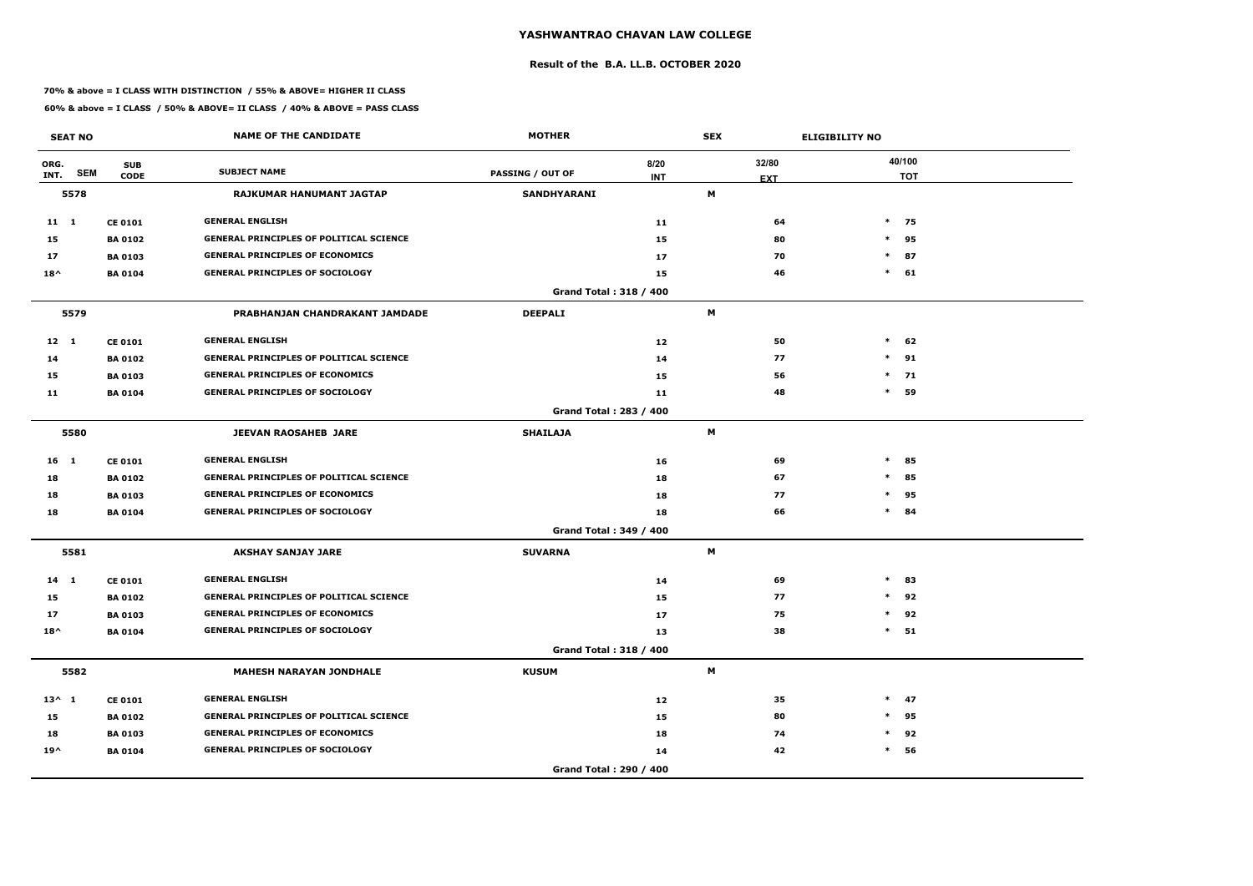### **Result of the B.A. LL.B. OCTOBER 2020**

### **70% & above = I CLASS WITH DISTINCTION / 55% & ABOVE= HIGHER II CLASS**

|                 | <b>SEAT NO</b> |                           | <b>NAME OF THE CANDIDATE</b>                   | <b>MOTHER</b>           |                    | <b>SEX</b> |            | <b>ELIGIBILITY NO</b> |                      |
|-----------------|----------------|---------------------------|------------------------------------------------|-------------------------|--------------------|------------|------------|-----------------------|----------------------|
| ORG.<br>INT.    | <b>SEM</b>     | <b>SUB</b><br><b>CODE</b> | <b>SUBJECT NAME</b>                            | <b>PASSING / OUT OF</b> | 8/20<br><b>INT</b> |            | 32/80      |                       | 40/100<br><b>TOT</b> |
|                 | 5578           |                           | RAJKUMAR HANUMANT JAGTAP                       | <b>SANDHYARANI</b>      |                    | M          | <b>EXT</b> |                       |                      |
| 11 1            |                | <b>CE 0101</b>            | <b>GENERAL ENGLISH</b>                         |                         | 11                 |            | 64         |                       | $*$ 75               |
| 15              |                | <b>BA 0102</b>            | <b>GENERAL PRINCIPLES OF POLITICAL SCIENCE</b> |                         | 15                 |            | 80         | $\ast$                | 95                   |
| 17              |                | <b>BA 0103</b>            | <b>GENERAL PRINCIPLES OF ECONOMICS</b>         |                         | 17                 |            | 70         | $\ast$                | 87                   |
| $18^{\wedge}$   |                | <b>BA 0104</b>            | <b>GENERAL PRINCIPLES OF SOCIOLOGY</b>         |                         | 15                 |            | 46         | $\ast$                | 61                   |
|                 |                |                           |                                                | Grand Total: 318 / 400  |                    |            |            |                       |                      |
|                 | 5579           |                           | PRABHANJAN CHANDRAKANT JAMDADE                 | <b>DEEPALI</b>          |                    | M          |            |                       |                      |
| $12 \quad 1$    |                | <b>CE 0101</b>            | <b>GENERAL ENGLISH</b>                         |                         | 12                 |            | 50         | $*$                   | 62                   |
| 14              |                | <b>BA 0102</b>            | <b>GENERAL PRINCIPLES OF POLITICAL SCIENCE</b> |                         | 14                 |            | 77         | $\ast$                | 91                   |
| 15              |                | <b>BA 0103</b>            | <b>GENERAL PRINCIPLES OF ECONOMICS</b>         |                         | 15                 |            | 56         | $\ast$                | 71                   |
| 11              |                | <b>BA 0104</b>            | <b>GENERAL PRINCIPLES OF SOCIOLOGY</b>         |                         | 11                 |            | 48         | $\ast$                | 59                   |
|                 |                |                           |                                                | Grand Total: 283 / 400  |                    |            |            |                       |                      |
|                 | 5580           |                           | <b>JEEVAN RAOSAHEB JARE</b>                    | <b>SHAILAJA</b>         |                    | M          |            |                       |                      |
| $16 \quad 1$    |                | <b>CE 0101</b>            | <b>GENERAL ENGLISH</b>                         |                         | 16                 |            | 69         | $\ast$                | 85                   |
| 18              |                | <b>BA 0102</b>            | <b>GENERAL PRINCIPLES OF POLITICAL SCIENCE</b> |                         | 18                 |            | 67         | $\ast$                | 85                   |
| 18              |                | <b>BA 0103</b>            | <b>GENERAL PRINCIPLES OF ECONOMICS</b>         |                         | 18                 |            | 77         | $\ast$                | 95                   |
| 18              |                | <b>BA 0104</b>            | <b>GENERAL PRINCIPLES OF SOCIOLOGY</b>         |                         | 18                 |            | 66         |                       | $*$ 84               |
|                 |                |                           |                                                | Grand Total: 349 / 400  |                    |            |            |                       |                      |
|                 | 5581           |                           | <b>AKSHAY SANJAY JARE</b>                      | <b>SUVARNA</b>          |                    | M          |            |                       |                      |
| $14$ 1          |                | <b>CE 0101</b>            | <b>GENERAL ENGLISH</b>                         |                         | 14                 |            | 69         | $\ast$                | 83                   |
| 15              |                | <b>BA 0102</b>            | <b>GENERAL PRINCIPLES OF POLITICAL SCIENCE</b> |                         | 15                 |            | 77         | $*$                   | 92                   |
| 17              |                | <b>BA0103</b>             | <b>GENERAL PRINCIPLES OF ECONOMICS</b>         |                         | 17                 |            | 75         | $\ast$                | 92                   |
| $18^{\wedge}$   |                | <b>BA 0104</b>            | <b>GENERAL PRINCIPLES OF SOCIOLOGY</b>         |                         | 13                 |            | 38         |                       | $*$ 51               |
|                 |                |                           |                                                | Grand Total: 318 / 400  |                    |            |            |                       |                      |
|                 | 5582           |                           | <b>MAHESH NARAYAN JONDHALE</b>                 | <b>KUSUM</b>            |                    | M          |            |                       |                      |
| $13^{\wedge} 1$ |                | <b>CE 0101</b>            | <b>GENERAL ENGLISH</b>                         |                         | 12                 |            | 35         |                       | $*$ 47               |
| 15              |                | <b>BA 0102</b>            | <b>GENERAL PRINCIPLES OF POLITICAL SCIENCE</b> |                         | 15                 |            | 80         | $\ast$                | 95                   |
| 18              |                | <b>BA 0103</b>            | <b>GENERAL PRINCIPLES OF ECONOMICS</b>         |                         | 18                 |            | 74         | $\ast$                | 92                   |
| $19^{\wedge}$   |                | <b>BA 0104</b>            | <b>GENERAL PRINCIPLES OF SOCIOLOGY</b>         |                         | 14                 |            | 42         | $\ast$                | 56                   |
|                 |                |                           |                                                | Grand Total: 290 / 400  |                    |            |            |                       |                      |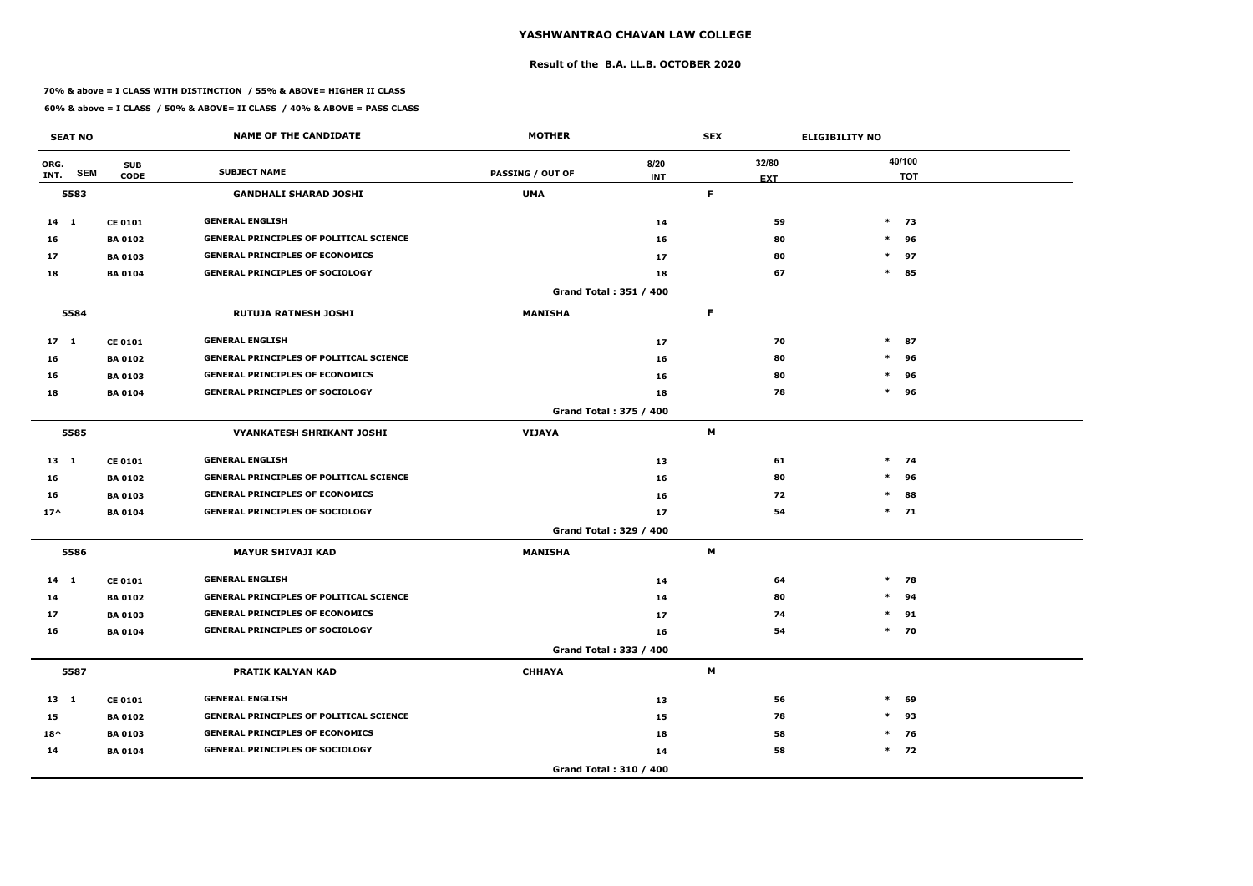### **Result of the B.A. LL.B. OCTOBER 2020**

### **70% & above = I CLASS WITH DISTINCTION / 55% & ABOVE= HIGHER II CLASS**

|                 | <b>SEAT NO</b> |                           | <b>NAME OF THE CANDIDATE</b>                   | <b>MOTHER</b>           |                               | <b>SEX</b>          | <b>ELIGIBILITY NO</b> |        |                      |
|-----------------|----------------|---------------------------|------------------------------------------------|-------------------------|-------------------------------|---------------------|-----------------------|--------|----------------------|
| ORG.<br>INT.    | <b>SEM</b>     | <b>SUB</b><br><b>CODE</b> | <b>SUBJECT NAME</b>                            | <b>PASSING / OUT OF</b> | 8/20<br><b>INT</b>            | 32/80<br><b>EXT</b> |                       |        | 40/100<br><b>TOT</b> |
|                 | 5583           |                           | <b>GANDHALI SHARAD JOSHI</b>                   | <b>UMA</b>              |                               | F.                  |                       |        |                      |
| $14 \quad 1$    |                | <b>CE 0101</b>            | <b>GENERAL ENGLISH</b>                         |                         | 14                            | 59                  |                       |        | $*$ 73               |
| 16              |                | <b>BA 0102</b>            | <b>GENERAL PRINCIPLES OF POLITICAL SCIENCE</b> |                         | 16                            | 80                  |                       | $\ast$ | 96                   |
| 17              |                | <b>BA 0103</b>            | <b>GENERAL PRINCIPLES OF ECONOMICS</b>         |                         | 17                            | 80                  |                       | $\ast$ | 97                   |
| 18              |                | <b>BA 0104</b>            | <b>GENERAL PRINCIPLES OF SOCIOLOGY</b>         |                         | 18                            | 67                  |                       | $\ast$ | 85                   |
|                 |                |                           |                                                |                         | <b>Grand Total: 351 / 400</b> |                     |                       |        |                      |
|                 | 5584           |                           | <b>RUTUJA RATNESH JOSHI</b>                    | <b>MANISHA</b>          |                               | F                   |                       |        |                      |
| 17 <sub>1</sub> |                | <b>CE 0101</b>            | <b>GENERAL ENGLISH</b>                         |                         | 17                            | 70                  |                       | $\ast$ | 87                   |
| 16              |                | <b>BA0102</b>             | <b>GENERAL PRINCIPLES OF POLITICAL SCIENCE</b> |                         | 16                            | 80                  |                       | $\ast$ | 96                   |
| 16              |                | <b>BA 0103</b>            | <b>GENERAL PRINCIPLES OF ECONOMICS</b>         |                         | 16                            | 80                  |                       | $\ast$ | 96                   |
| 18              |                | <b>BA 0104</b>            | <b>GENERAL PRINCIPLES OF SOCIOLOGY</b>         |                         | 18                            | 78                  |                       | $\ast$ | 96                   |
|                 |                |                           |                                                |                         | Grand Total: 375 / 400        |                     |                       |        |                      |
|                 | 5585           |                           | <b>VYANKATESH SHRIKANT JOSHI</b>               | <b>VIJAYA</b>           |                               | M                   |                       |        |                      |
| $13 \quad 1$    |                | <b>CE 0101</b>            | <b>GENERAL ENGLISH</b>                         |                         | 13                            | 61                  |                       |        | $*$ 74               |
| 16              |                | <b>BA 0102</b>            | <b>GENERAL PRINCIPLES OF POLITICAL SCIENCE</b> |                         | 16                            | 80                  |                       | $\ast$ | 96                   |
| 16              |                | <b>BA 0103</b>            | <b>GENERAL PRINCIPLES OF ECONOMICS</b>         |                         | 16                            | 72                  |                       | $\ast$ | 88                   |
| $17^$           |                | <b>BA0104</b>             | <b>GENERAL PRINCIPLES OF SOCIOLOGY</b>         |                         | 17                            | 54                  |                       |        | $*$ 71               |
|                 |                |                           |                                                |                         | Grand Total: 329 / 400        |                     |                       |        |                      |
|                 | 5586           |                           | <b>MAYUR SHIVAJI KAD</b>                       | <b>MANISHA</b>          |                               | М                   |                       |        |                      |
| $14$ 1          |                | <b>CE 0101</b>            | <b>GENERAL ENGLISH</b>                         |                         | 14                            | 64                  |                       |        | $*$ 78               |
| 14              |                | <b>BA 0102</b>            | <b>GENERAL PRINCIPLES OF POLITICAL SCIENCE</b> |                         | 14                            | 80                  |                       | $\ast$ | 94                   |
| 17              |                | <b>BA 0103</b>            | <b>GENERAL PRINCIPLES OF ECONOMICS</b>         |                         | 17                            | 74                  |                       | $\ast$ | 91                   |
| 16              |                | <b>BA 0104</b>            | <b>GENERAL PRINCIPLES OF SOCIOLOGY</b>         |                         | 16                            | 54                  |                       |        | $*$ 70               |
|                 |                |                           |                                                |                         | Grand Total: 333 / 400        |                     |                       |        |                      |
|                 | 5587           |                           | <b>PRATIK KALYAN KAD</b>                       | <b>CHHAYA</b>           |                               | M                   |                       |        |                      |
| 13 1            |                | <b>CE 0101</b>            | <b>GENERAL ENGLISH</b>                         |                         | 13                            | 56                  |                       | $\ast$ | 69                   |
| 15              |                | <b>BA 0102</b>            | <b>GENERAL PRINCIPLES OF POLITICAL SCIENCE</b> |                         | 15                            | 78                  |                       | $\ast$ | 93                   |
| $18^{\wedge}$   |                | <b>BA 0103</b>            | <b>GENERAL PRINCIPLES OF ECONOMICS</b>         |                         | 18                            | 58                  |                       |        | $*$ 76               |
| 14              |                | <b>BA 0104</b>            | <b>GENERAL PRINCIPLES OF SOCIOLOGY</b>         |                         | 14                            | 58                  |                       |        | $*$ 72               |
|                 |                |                           |                                                |                         | Grand Total: 310 / 400        |                     |                       |        |                      |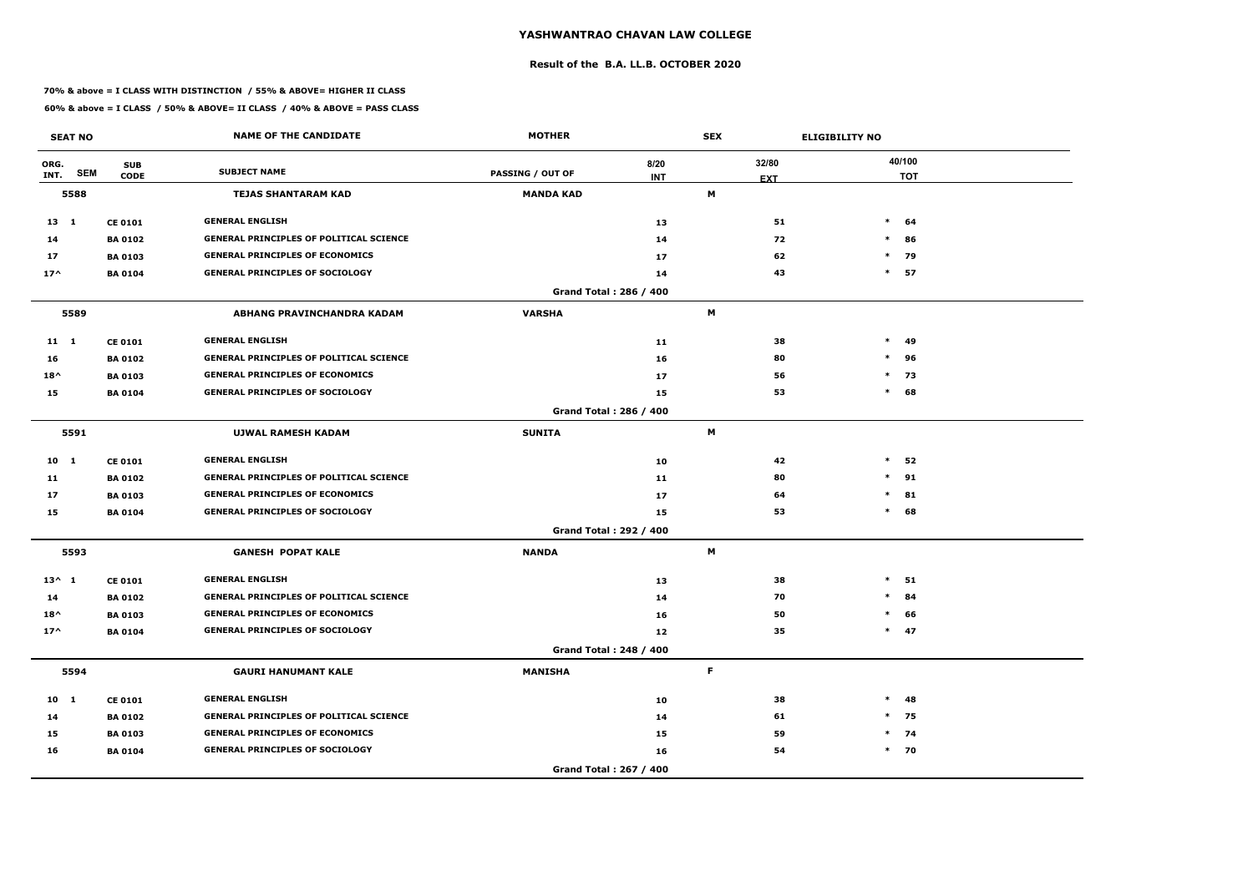### **Result of the B.A. LL.B. OCTOBER 2020**

### **70% & above = I CLASS WITH DISTINCTION / 55% & ABOVE= HIGHER II CLASS**

|                 | <b>SEAT NO</b> |                           | <b>NAME OF THE CANDIDATE</b>                   | <b>MOTHER</b>                           |            | <b>SEX</b> |            | <b>ELIGIBILITY NO</b> |                      |
|-----------------|----------------|---------------------------|------------------------------------------------|-----------------------------------------|------------|------------|------------|-----------------------|----------------------|
| ORG.<br>INT.    | <b>SEM</b>     | <b>SUB</b><br><b>CODE</b> | <b>SUBJECT NAME</b>                            | <b>PASSING / OUT OF</b>                 | 8/20       |            | 32/80      |                       | 40/100<br><b>TOT</b> |
|                 | 5588           |                           | <b>TEJAS SHANTARAM KAD</b>                     | <b>MANDA KAD</b>                        | <b>INT</b> | M          | <b>EXT</b> |                       |                      |
|                 |                |                           |                                                |                                         |            |            |            |                       |                      |
| $13 \quad 1$    |                | <b>CE 0101</b>            | <b>GENERAL ENGLISH</b>                         |                                         | 13         |            | 51         | $\ast$                | 64                   |
| 14              |                | <b>BA 0102</b>            | <b>GENERAL PRINCIPLES OF POLITICAL SCIENCE</b> |                                         | 14         |            | 72         | $\ast$                | 86                   |
| 17              |                | <b>BA 0103</b>            | <b>GENERAL PRINCIPLES OF ECONOMICS</b>         |                                         | 17         |            | 62         | $\ast$<br>$\ast$      | 79                   |
| $17^$           |                | <b>BA 0104</b>            | <b>GENERAL PRINCIPLES OF SOCIOLOGY</b>         |                                         | 14         |            | 43         |                       | 57                   |
|                 | 5589           |                           | ABHANG PRAVINCHANDRA KADAM                     | Grand Total: 286 / 400<br><b>VARSHA</b> |            | M          |            |                       |                      |
| $11 \quad 1$    |                | <b>CE 0101</b>            | <b>GENERAL ENGLISH</b>                         |                                         | 11         |            | 38         | $\ast$                | 49                   |
| 16              |                | <b>BA 0102</b>            | GENERAL PRINCIPLES OF POLITICAL SCIENCE        |                                         | 16         |            | 80         | $\ast$                | 96                   |
| $18^{\wedge}$   |                | <b>BA 0103</b>            | <b>GENERAL PRINCIPLES OF ECONOMICS</b>         |                                         | 17         |            | 56         | $\ast$                | 73                   |
| 15              |                | <b>BA 0104</b>            | <b>GENERAL PRINCIPLES OF SOCIOLOGY</b>         |                                         | 15         |            | 53         | $\ast$                | 68                   |
|                 |                |                           |                                                | Grand Total: 286 / 400                  |            |            |            |                       |                      |
|                 | 5591           |                           | <b>UJWAL RAMESH KADAM</b>                      | <b>SUNITA</b>                           |            | M          |            |                       |                      |
| $10 \quad 1$    |                | <b>CE 0101</b>            | <b>GENERAL ENGLISH</b>                         |                                         | 10         |            | 42         | $\ast$                | 52                   |
| 11              |                | <b>BA 0102</b>            | <b>GENERAL PRINCIPLES OF POLITICAL SCIENCE</b> |                                         | 11         |            | 80         | $\ast$                | 91                   |
| 17              |                | <b>BA 0103</b>            | <b>GENERAL PRINCIPLES OF ECONOMICS</b>         |                                         | 17         |            | 64         | $\ast$                | 81                   |
| 15              |                | <b>BA 0104</b>            | <b>GENERAL PRINCIPLES OF SOCIOLOGY</b>         |                                         | 15         |            | 53         | $*$                   | 68                   |
|                 |                |                           |                                                | Grand Total: 292 / 400                  |            |            |            |                       |                      |
|                 | 5593           |                           | <b>GANESH POPAT KALE</b>                       | <b>NANDA</b>                            |            | M          |            |                       |                      |
| $13^{\wedge} 1$ |                | <b>CE 0101</b>            | <b>GENERAL ENGLISH</b>                         |                                         | 13         |            | 38         | $\ast$                | 51                   |
| 14              |                | <b>BA 0102</b>            | <b>GENERAL PRINCIPLES OF POLITICAL SCIENCE</b> |                                         | 14         |            | 70         | $*$                   | 84                   |
| $18^{\wedge}$   |                | <b>BA 0103</b>            | <b>GENERAL PRINCIPLES OF ECONOMICS</b>         |                                         | 16         |            | 50         | $\ast$                | 66                   |
| $17^$           |                | <b>BA 0104</b>            | <b>GENERAL PRINCIPLES OF SOCIOLOGY</b>         |                                         | 12         |            | 35         |                       | $*$ 47               |
|                 |                |                           |                                                | Grand Total: 248 / 400                  |            |            |            |                       |                      |
|                 | 5594           |                           | <b>GAURI HANUMANT KALE</b>                     | <b>MANISHA</b>                          |            | F.         |            |                       |                      |
| 10 1            |                | <b>CE 0101</b>            | <b>GENERAL ENGLISH</b>                         |                                         | 10         |            | 38         | $\ast$                | 48                   |
| 14              |                | <b>BA 0102</b>            | <b>GENERAL PRINCIPLES OF POLITICAL SCIENCE</b> |                                         | 14         |            | 61         |                       | $*$ 75               |
| 15              |                | <b>BA 0103</b>            | <b>GENERAL PRINCIPLES OF ECONOMICS</b>         |                                         | 15         |            | 59         |                       | $*$ 74               |
| 16              |                | <b>BA 0104</b>            | <b>GENERAL PRINCIPLES OF SOCIOLOGY</b>         |                                         | 16         |            | 54         |                       | $*$ 70               |
|                 |                |                           |                                                | Grand Total: 267 / 400                  |            |            |            |                       |                      |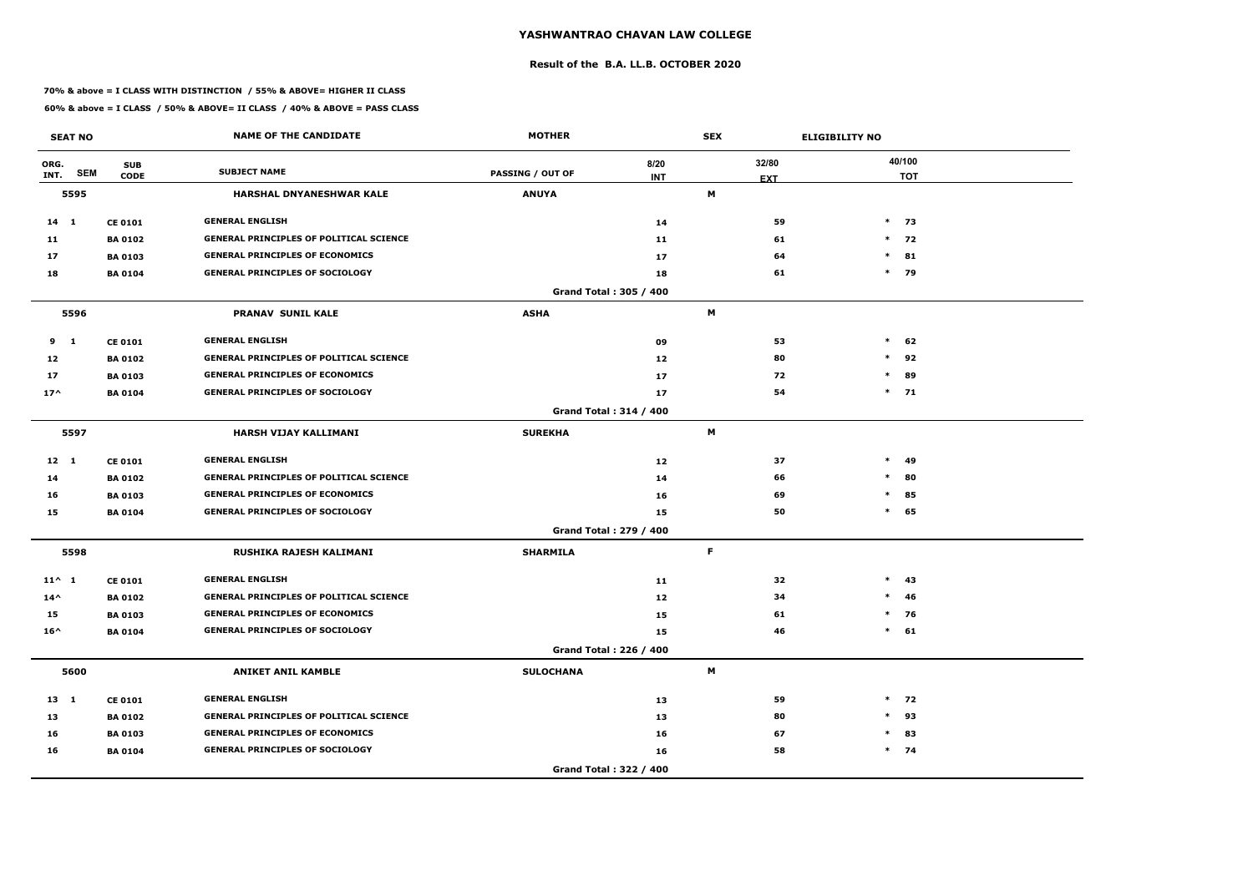### **Result of the B.A. LL.B. OCTOBER 2020**

### **70% & above = I CLASS WITH DISTINCTION / 55% & ABOVE= HIGHER II CLASS**

|                 | <b>SEAT NO</b> |                           | <b>NAME OF THE CANDIDATE</b>                   | <b>MOTHER</b>           |                               | <b>SEX</b> |                     | <b>ELIGIBILITY NO</b> |                      |
|-----------------|----------------|---------------------------|------------------------------------------------|-------------------------|-------------------------------|------------|---------------------|-----------------------|----------------------|
| ORG.<br>INT.    | <b>SEM</b>     | <b>SUB</b><br><b>CODE</b> | <b>SUBJECT NAME</b>                            | <b>PASSING / OUT OF</b> | 8/20<br><b>INT</b>            |            | 32/80<br><b>EXT</b> |                       | 40/100<br><b>TOT</b> |
|                 | 5595           |                           | HARSHAL DNYANESHWAR KALE                       | <b>ANUYA</b>            |                               | М          |                     |                       |                      |
| $14$ 1          |                | <b>CE 0101</b>            | <b>GENERAL ENGLISH</b>                         |                         | 14                            |            | 59                  |                       | $*$ 73               |
| 11              |                | <b>BA 0102</b>            | <b>GENERAL PRINCIPLES OF POLITICAL SCIENCE</b> |                         | 11                            |            | 61                  | $\ast$                | 72                   |
| 17              |                | <b>BA 0103</b>            | <b>GENERAL PRINCIPLES OF ECONOMICS</b>         |                         | 17                            |            | 64                  | $\ast$                | 81                   |
| 18              |                | <b>BA 0104</b>            | <b>GENERAL PRINCIPLES OF SOCIOLOGY</b>         |                         | 18                            |            | 61                  |                       | * 79                 |
|                 |                |                           |                                                |                         | Grand Total: 305 / 400        |            |                     |                       |                      |
|                 | 5596           |                           | <b>PRANAV SUNIL KALE</b>                       | <b>ASHA</b>             |                               | M          |                     |                       |                      |
| 9               | $\mathbf{1}$   | <b>CE 0101</b>            | <b>GENERAL ENGLISH</b>                         |                         | 09                            |            | 53                  | $\ast$                | 62                   |
| 12              |                | <b>BA 0102</b>            | <b>GENERAL PRINCIPLES OF POLITICAL SCIENCE</b> |                         | 12                            |            | 80                  | $\ast$                | 92                   |
| 17              |                | <b>BA 0103</b>            | <b>GENERAL PRINCIPLES OF ECONOMICS</b>         |                         | 17                            |            | 72                  | $\ast$                | 89                   |
| $17^$           |                | <b>BA 0104</b>            | <b>GENERAL PRINCIPLES OF SOCIOLOGY</b>         |                         | 17                            |            | 54                  |                       | $*$ 71               |
|                 |                |                           |                                                |                         | <b>Grand Total: 314 / 400</b> |            |                     |                       |                      |
|                 | 5597           |                           | HARSH VIJAY KALLIMANI                          | <b>SUREKHA</b>          |                               | М          |                     |                       |                      |
| $12 \quad 1$    |                | <b>CE 0101</b>            | <b>GENERAL ENGLISH</b>                         |                         | 12                            |            | 37                  | $\ast$                | 49                   |
| 14              |                | <b>BA 0102</b>            | <b>GENERAL PRINCIPLES OF POLITICAL SCIENCE</b> |                         | 14                            |            | 66                  | $\ast$                | 80                   |
| 16              |                | <b>BA 0103</b>            | <b>GENERAL PRINCIPLES OF ECONOMICS</b>         |                         | 16                            |            | 69                  | $\ast$                | 85                   |
| 15              |                | <b>BA 0104</b>            | <b>GENERAL PRINCIPLES OF SOCIOLOGY</b>         |                         | 15                            |            | 50                  | $\ast$                | 65                   |
|                 |                |                           |                                                |                         | Grand Total: 279 / 400        |            |                     |                       |                      |
|                 | 5598           |                           | RUSHIKA RAJESH KALIMANI                        | <b>SHARMILA</b>         |                               | F          |                     |                       |                      |
| $11^{\wedge} 1$ |                | <b>CE 0101</b>            | <b>GENERAL ENGLISH</b>                         |                         | 11                            |            | 32                  | $\ast$                | 43                   |
| $14^{\wedge}$   |                | <b>BA 0102</b>            | <b>GENERAL PRINCIPLES OF POLITICAL SCIENCE</b> |                         | 12                            |            | 34                  | $\ast$                | 46                   |
| 15              |                | <b>BA 0103</b>            | <b>GENERAL PRINCIPLES OF ECONOMICS</b>         |                         | 15                            |            | 61                  |                       | $*$ 76               |
| $16^{\wedge}$   |                | <b>BA 0104</b>            | <b>GENERAL PRINCIPLES OF SOCIOLOGY</b>         |                         | 15                            |            | 46                  |                       | $*$ 61               |
|                 |                |                           |                                                |                         | Grand Total: 226 / 400        |            |                     |                       |                      |
|                 | 5600           |                           | <b>ANIKET ANIL KAMBLE</b>                      | <b>SULOCHANA</b>        |                               | M          |                     |                       |                      |
| $13 \quad 1$    |                | <b>CE 0101</b>            | <b>GENERAL ENGLISH</b>                         |                         | 13                            |            | 59                  | $*$                   | 72                   |
| 13              |                | <b>BA 0102</b>            | <b>GENERAL PRINCIPLES OF POLITICAL SCIENCE</b> |                         | 13                            |            | 80                  | $\ast$                | 93                   |
| 16              |                | <b>BA 0103</b>            | <b>GENERAL PRINCIPLES OF ECONOMICS</b>         |                         | 16                            |            | 67                  | $\ast$                | 83                   |
| 16              |                | <b>BA 0104</b>            | <b>GENERAL PRINCIPLES OF SOCIOLOGY</b>         |                         | 16                            |            | 58                  |                       | $*$ 74               |
|                 |                |                           |                                                |                         | Grand Total: 322 / 400        |            |                     |                       |                      |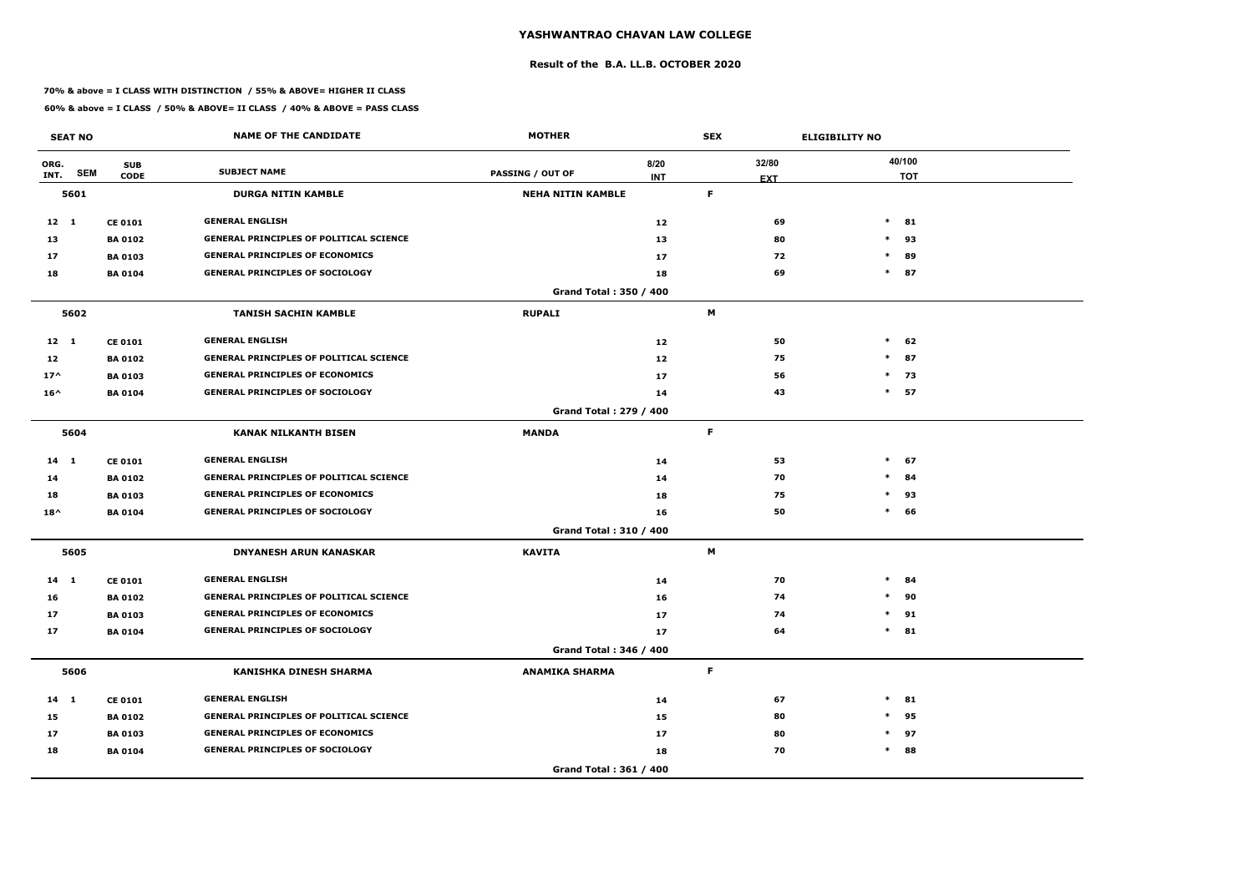### **Result of the B.A. LL.B. OCTOBER 2020**

### **70% & above = I CLASS WITH DISTINCTION / 55% & ABOVE= HIGHER II CLASS**

|               | <b>SEAT NO</b> |                                  | <b>NAME OF THE CANDIDATE</b>                   | <b>MOTHER</b>            |                               | <b>SEX</b>       |          | <b>ELIGIBILITY NO</b> |        |                      |
|---------------|----------------|----------------------------------|------------------------------------------------|--------------------------|-------------------------------|------------------|----------|-----------------------|--------|----------------------|
| ORG.<br>INT.  | <b>SEM</b>     | <b>SUB</b><br><b>CODE</b>        | <b>SUBJECT NAME</b>                            | <b>PASSING / OUT OF</b>  | 8/20                          | 32/80            |          |                       |        | 40/100<br><b>TOT</b> |
|               | 5601           |                                  | <b>DURGA NITIN KAMBLE</b>                      | <b>NEHA NITIN KAMBLE</b> | <b>INT</b>                    | <b>EXT</b><br>F. |          |                       |        |                      |
| $12 \quad 1$  |                |                                  | <b>GENERAL ENGLISH</b>                         |                          |                               |                  | 69       |                       | $*$ 81 |                      |
|               |                | <b>CE 0101</b>                   | <b>GENERAL PRINCIPLES OF POLITICAL SCIENCE</b> |                          | 12                            |                  |          |                       | $\ast$ |                      |
| 13<br>17      |                | <b>BA 0102</b><br><b>BA 0103</b> | <b>GENERAL PRINCIPLES OF ECONOMICS</b>         |                          | 13<br>17                      |                  | 80<br>72 |                       | $\ast$ | 93<br>89             |
| 18            |                | <b>BA 0104</b>                   | <b>GENERAL PRINCIPLES OF SOCIOLOGY</b>         |                          |                               |                  | 69       |                       | $*$ 87 |                      |
|               |                |                                  |                                                |                          | 18<br>Grand Total: 350 / 400  |                  |          |                       |        |                      |
|               | 5602           |                                  | <b>TANISH SACHIN KAMBLE</b>                    | <b>RUPALI</b>            |                               | M                |          |                       |        |                      |
| $12 \quad 1$  |                | <b>CE 0101</b>                   | <b>GENERAL ENGLISH</b>                         |                          | 12                            |                  | 50       |                       |        | $*$ 62               |
| 12            |                | <b>BA 0102</b>                   | <b>GENERAL PRINCIPLES OF POLITICAL SCIENCE</b> |                          | 12                            |                  | 75       |                       | $\ast$ | 87                   |
| $17^$         |                | <b>BA0103</b>                    | <b>GENERAL PRINCIPLES OF ECONOMICS</b>         |                          | 17                            |                  | 56       |                       | $\ast$ | 73                   |
| $16^{\wedge}$ |                | <b>BA 0104</b>                   | <b>GENERAL PRINCIPLES OF SOCIOLOGY</b>         |                          | 14                            |                  | 43       |                       | $*$ 57 |                      |
|               |                |                                  |                                                |                          | <b>Grand Total: 279 / 400</b> |                  |          |                       |        |                      |
|               | 5604           |                                  | <b>KANAK NILKANTH BISEN</b>                    | <b>MANDA</b>             |                               | F.               |          |                       |        |                      |
| $14 \quad 1$  |                | <b>CE 0101</b>                   | <b>GENERAL ENGLISH</b>                         |                          | 14                            |                  | 53       |                       | $*$ 67 |                      |
| 14            |                | <b>BA 0102</b>                   | <b>GENERAL PRINCIPLES OF POLITICAL SCIENCE</b> |                          | 14                            |                  | 70       |                       | $\ast$ | 84                   |
| 18            |                | <b>BA 0103</b>                   | <b>GENERAL PRINCIPLES OF ECONOMICS</b>         |                          | 18                            |                  | 75       |                       | $\ast$ | 93                   |
| $18^{\wedge}$ |                | <b>BA 0104</b>                   | <b>GENERAL PRINCIPLES OF SOCIOLOGY</b>         |                          | 16                            |                  | 50       |                       | $*$ 66 |                      |
|               |                |                                  |                                                |                          | Grand Total: 310 / 400        |                  |          |                       |        |                      |
|               | 5605           |                                  | <b>DNYANESH ARUN KANASKAR</b>                  | <b>KAVITA</b>            |                               | M                |          |                       |        |                      |
| $14$ 1        |                | <b>CE 0101</b>                   | <b>GENERAL ENGLISH</b>                         |                          | 14                            |                  | 70       | $\ast$                |        | -84                  |
| 16            |                | <b>BA 0102</b>                   | <b>GENERAL PRINCIPLES OF POLITICAL SCIENCE</b> |                          | 16                            |                  | 74       |                       | $\ast$ | 90                   |
| 17            |                | <b>BA 0103</b>                   | <b>GENERAL PRINCIPLES OF ECONOMICS</b>         |                          | 17                            |                  | 74       |                       | $\ast$ | 91                   |
| 17            |                | <b>BA 0104</b>                   | <b>GENERAL PRINCIPLES OF SOCIOLOGY</b>         |                          | 17                            |                  | 64       |                       | $*$ 81 |                      |
|               |                |                                  |                                                |                          | Grand Total: 346 / 400        |                  |          |                       |        |                      |
|               | 5606           |                                  | <b>KANISHKA DINESH SHARMA</b>                  | <b>ANAMIKA SHARMA</b>    |                               | $\mathsf F$      |          |                       |        |                      |
| $14 \quad 1$  |                | <b>CE 0101</b>                   | <b>GENERAL ENGLISH</b>                         |                          | 14                            |                  | 67       |                       | $\ast$ | 81                   |
| 15            |                | <b>BA 0102</b>                   | <b>GENERAL PRINCIPLES OF POLITICAL SCIENCE</b> |                          | 15                            |                  | 80       |                       | $\ast$ | 95                   |
| 17            |                | <b>BA 0103</b>                   | <b>GENERAL PRINCIPLES OF ECONOMICS</b>         |                          | 17                            |                  | 80       |                       | $\ast$ | 97                   |
| 18            |                | <b>BA 0104</b>                   | <b>GENERAL PRINCIPLES OF SOCIOLOGY</b>         |                          | 18                            |                  | 70       |                       | $\ast$ | 88                   |
|               |                |                                  |                                                |                          | Grand Total: 361 / 400        |                  |          |                       |        |                      |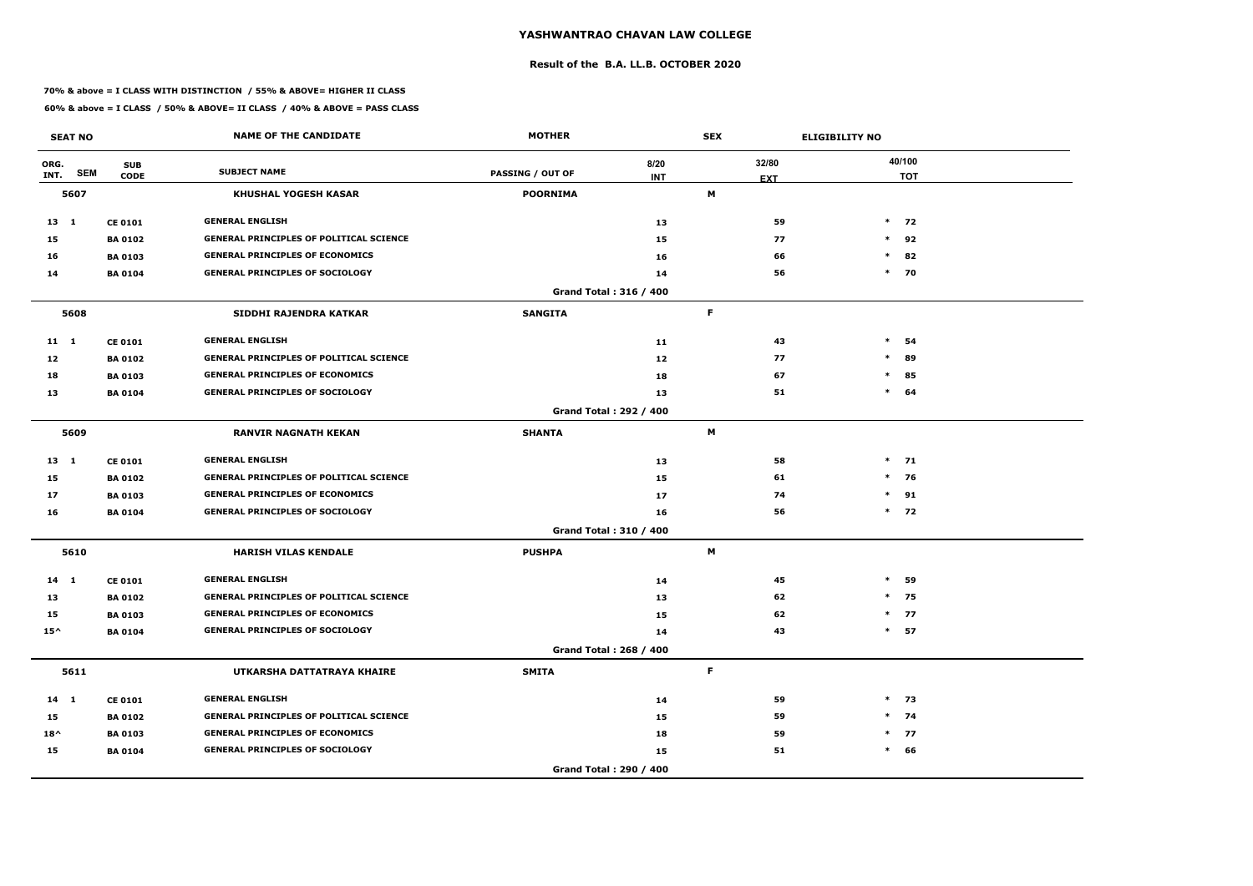### **Result of the B.A. LL.B. OCTOBER 2020**

### **70% & above = I CLASS WITH DISTINCTION / 55% & ABOVE= HIGHER II CLASS**

|               | <b>SEAT NO</b> |                           | <b>NAME OF THE CANDIDATE</b>                   | <b>MOTHER</b>           |                               | <b>SEX</b>      | <b>ELIGIBILITY NO</b> |
|---------------|----------------|---------------------------|------------------------------------------------|-------------------------|-------------------------------|-----------------|-----------------------|
| ORG.<br>INT.  | <b>SEM</b>     | <b>SUB</b><br><b>CODE</b> | <b>SUBJECT NAME</b>                            | <b>PASSING / OUT OF</b> | 8/20                          | 32/80           | 40/100<br><b>TOT</b>  |
|               | 5607           |                           | <b>KHUSHAL YOGESH KASAR</b>                    | <b>POORNIMA</b>         | <b>INT</b>                    | <b>EXT</b><br>M |                       |
| $13 \quad 1$  |                | <b>CE 0101</b>            | <b>GENERAL ENGLISH</b>                         |                         | 13                            | 59              | $*$ 72                |
| 15            |                | <b>BA 0102</b>            | <b>GENERAL PRINCIPLES OF POLITICAL SCIENCE</b> |                         | 15                            | 77              | $*$<br>92             |
| 16            |                | <b>BA 0103</b>            | <b>GENERAL PRINCIPLES OF ECONOMICS</b>         |                         | 16                            | 66              | $\ast$<br>82          |
| 14            |                | <b>BA 0104</b>            | <b>GENERAL PRINCIPLES OF SOCIOLOGY</b>         |                         | 14                            | 56              | $*$ 70                |
|               |                |                           |                                                |                         | Grand Total: 316 / 400        |                 |                       |
|               | 5608           |                           | SIDDHI RAJENDRA KATKAR                         | <b>SANGITA</b>          |                               | F.              |                       |
| $11 \quad 1$  |                | <b>CE 0101</b>            | <b>GENERAL ENGLISH</b>                         |                         | 11                            | 43              | $\ast$<br>54          |
| 12            |                | <b>BA 0102</b>            | <b>GENERAL PRINCIPLES OF POLITICAL SCIENCE</b> |                         | 12                            | 77              | $\ast$<br>89          |
| 18            |                | <b>BA 0103</b>            | <b>GENERAL PRINCIPLES OF ECONOMICS</b>         |                         | 18                            | 67              | $\ast$<br>85          |
| 13            |                | <b>BA 0104</b>            | <b>GENERAL PRINCIPLES OF SOCIOLOGY</b>         |                         | 13                            | 51              | $\ast$<br>64          |
|               |                |                           |                                                |                         | <b>Grand Total: 292 / 400</b> |                 |                       |
|               | 5609           |                           | <b>RANVIR NAGNATH KEKAN</b>                    | <b>SHANTA</b>           |                               | M               |                       |
| $13 \quad 1$  |                | <b>CE 0101</b>            | <b>GENERAL ENGLISH</b>                         |                         | 13                            | 58              | $*$ 71                |
| 15            |                | <b>BA 0102</b>            | <b>GENERAL PRINCIPLES OF POLITICAL SCIENCE</b> |                         | 15                            | 61              | $*$ 76                |
| 17            |                | <b>BA 0103</b>            | <b>GENERAL PRINCIPLES OF ECONOMICS</b>         |                         | 17                            | 74              | $\ast$<br>91          |
| 16            |                | <b>BA 0104</b>            | <b>GENERAL PRINCIPLES OF SOCIOLOGY</b>         |                         | 16                            | 56              | $*$ 72                |
|               |                |                           |                                                |                         | Grand Total: 310 / 400        |                 |                       |
|               | 5610           |                           | <b>HARISH VILAS KENDALE</b>                    | <b>PUSHPA</b>           |                               | M               |                       |
| $14$ 1        |                | <b>CE 0101</b>            | <b>GENERAL ENGLISH</b>                         |                         | 14                            | 45              | $\ast$<br>59          |
| 13            |                | <b>BA 0102</b>            | <b>GENERAL PRINCIPLES OF POLITICAL SCIENCE</b> |                         | 13                            | 62              | $\ast$<br>75          |
| 15            |                | <b>BA 0103</b>            | <b>GENERAL PRINCIPLES OF ECONOMICS</b>         |                         | 15                            | 62              | $*$ 77                |
| $15^{\wedge}$ |                | <b>BA 0104</b>            | <b>GENERAL PRINCIPLES OF SOCIOLOGY</b>         |                         | 14                            | 43              | $*$ 57                |
|               |                |                           |                                                |                         | Grand Total: 268 / 400        |                 |                       |
|               | 5611           |                           | UTKARSHA DATTATRAYA KHAIRE                     | <b>SMITA</b>            |                               | F.              |                       |
| $14 \quad 1$  |                | <b>CE 0101</b>            | <b>GENERAL ENGLISH</b>                         |                         | 14                            | 59              | $*$ 73                |
| 15            |                | <b>BA 0102</b>            | <b>GENERAL PRINCIPLES OF POLITICAL SCIENCE</b> |                         | 15                            | 59              | $*$ 74                |
| $18^{\wedge}$ |                | <b>BA 0103</b>            | <b>GENERAL PRINCIPLES OF ECONOMICS</b>         |                         | 18                            | 59              | $*$ 77                |
| 15            |                | <b>BA 0104</b>            | <b>GENERAL PRINCIPLES OF SOCIOLOGY</b>         |                         | 15                            | 51              | $*$ 66                |
|               |                |                           |                                                |                         | Grand Total: 290 / 400        |                 |                       |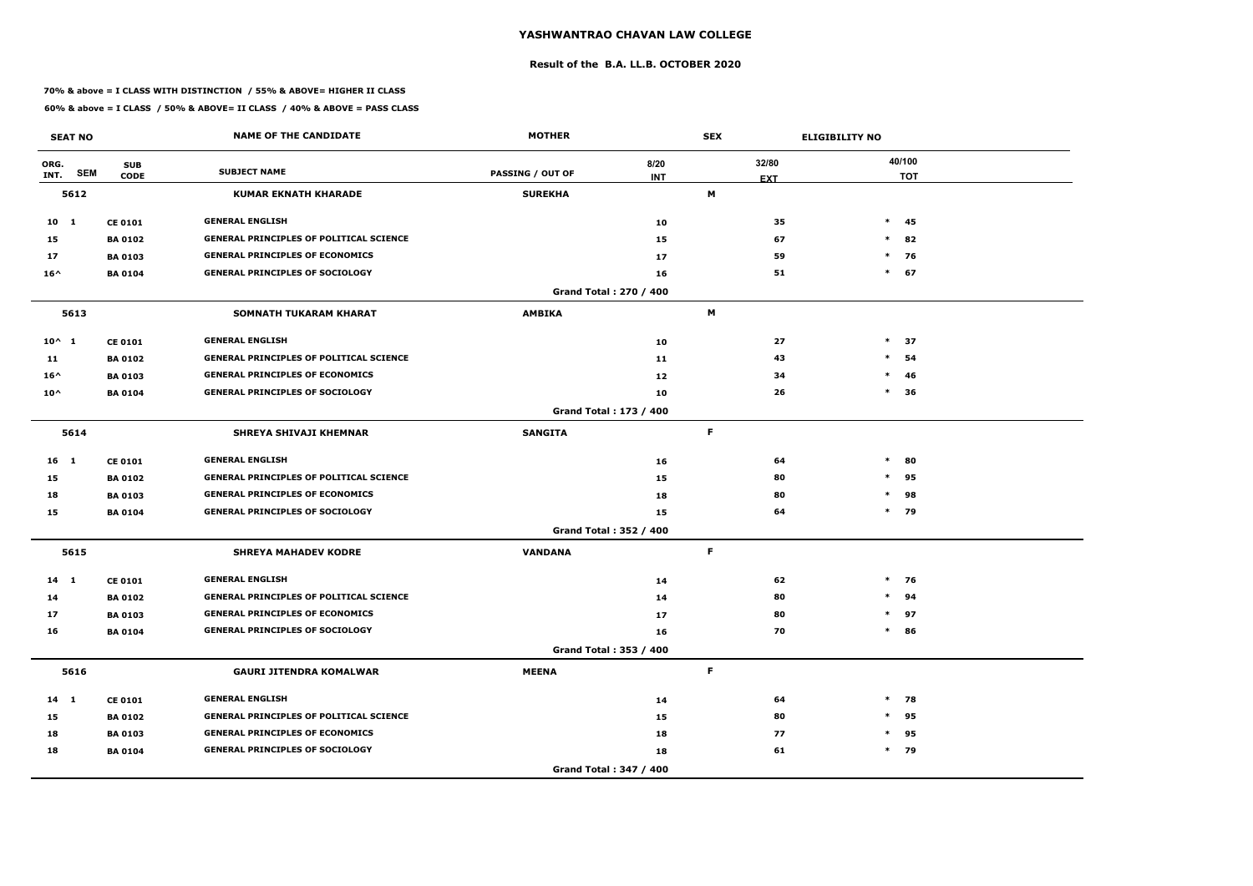### **Result of the B.A. LL.B. OCTOBER 2020**

### **70% & above = I CLASS WITH DISTINCTION / 55% & ABOVE= HIGHER II CLASS**

|                 | <b>SEAT NO</b> |                           | <b>NAME OF THE CANDIDATE</b>                   | <b>MOTHER</b>           |                               | <b>SEX</b>          | <b>ELIGIBILITY NO</b> |
|-----------------|----------------|---------------------------|------------------------------------------------|-------------------------|-------------------------------|---------------------|-----------------------|
| ORG.<br>INT.    | <b>SEM</b>     | <b>SUB</b><br><b>CODE</b> | <b>SUBJECT NAME</b>                            | <b>PASSING / OUT OF</b> | 8/20<br><b>INT</b>            | 32/80<br><b>EXT</b> | 40/100<br><b>TOT</b>  |
|                 | 5612           |                           | <b>KUMAR EKNATH KHARADE</b>                    | <b>SUREKHA</b>          |                               | М                   |                       |
| $10 \quad 1$    |                | <b>CE 0101</b>            | <b>GENERAL ENGLISH</b>                         |                         | 10                            | 35                  | $*$ 45                |
| 15              |                | <b>BA 0102</b>            | <b>GENERAL PRINCIPLES OF POLITICAL SCIENCE</b> |                         | 15                            | 67                  | $*$<br>82             |
| 17              |                | <b>BA 0103</b>            | <b>GENERAL PRINCIPLES OF ECONOMICS</b>         |                         | 17                            | 59                  | $\ast$<br>76          |
| $16^{\wedge}$   |                | <b>BA 0104</b>            | <b>GENERAL PRINCIPLES OF SOCIOLOGY</b>         |                         | 16                            | 51                  | $\ast$<br>67          |
|                 |                |                           |                                                |                         | Grand Total: 270 / 400        |                     |                       |
|                 | 5613           |                           | <b>SOMNATH TUKARAM KHARAT</b>                  | <b>AMBIKA</b>           |                               | M                   |                       |
| $10^{\wedge}$ 1 |                | <b>CE 0101</b>            | <b>GENERAL ENGLISH</b>                         |                         | 10                            | 27                  | $\ast$<br>37          |
| 11              |                | <b>BA 0102</b>            | <b>GENERAL PRINCIPLES OF POLITICAL SCIENCE</b> |                         | 11                            | 43                  | $\ast$<br>54          |
| $16^{\wedge}$   |                | <b>BA 0103</b>            | <b>GENERAL PRINCIPLES OF ECONOMICS</b>         |                         | 12                            | 34                  | $\ast$<br>46          |
| $10^{\wedge}$   |                | <b>BA 0104</b>            | <b>GENERAL PRINCIPLES OF SOCIOLOGY</b>         |                         | 10                            | 26                  | $\ast$<br>36          |
|                 |                |                           |                                                |                         | <b>Grand Total: 173 / 400</b> |                     |                       |
|                 | 5614           |                           | <b>SHREYA SHIVAJI KHEMNAR</b>                  | <b>SANGITA</b>          |                               | F.                  |                       |
| 16 <sub>1</sub> |                | <b>CE 0101</b>            | <b>GENERAL ENGLISH</b>                         |                         | 16                            | 64                  | $\ast$<br>80          |
| 15              |                | <b>BA 0102</b>            | <b>GENERAL PRINCIPLES OF POLITICAL SCIENCE</b> |                         | 15                            | 80                  | $*$<br>95             |
| 18              |                | <b>BA 0103</b>            | <b>GENERAL PRINCIPLES OF ECONOMICS</b>         |                         | 18                            | 80                  | $\ast$<br>98          |
| 15              |                | <b>BA 0104</b>            | <b>GENERAL PRINCIPLES OF SOCIOLOGY</b>         |                         | 15                            | 64                  | $*$ 79                |
|                 |                |                           |                                                |                         | Grand Total: 352 / 400        |                     |                       |
|                 | 5615           |                           | <b>SHREYA MAHADEV KODRE</b>                    | <b>VANDANA</b>          |                               | F.                  |                       |
| $14$ 1          |                | <b>CE 0101</b>            | <b>GENERAL ENGLISH</b>                         |                         | 14                            | 62                  | $*$ 76                |
| 14              |                | <b>BA 0102</b>            | <b>GENERAL PRINCIPLES OF POLITICAL SCIENCE</b> |                         | 14                            | 80                  | $\ast$<br>94          |
| 17              |                | <b>BA 0103</b>            | <b>GENERAL PRINCIPLES OF ECONOMICS</b>         |                         | 17                            | 80                  | $*$ 97                |
| 16              |                | <b>BA 0104</b>            | <b>GENERAL PRINCIPLES OF SOCIOLOGY</b>         |                         | 16                            | 70                  | 86<br>$\ast$          |
|                 |                |                           |                                                |                         | Grand Total: 353 / 400        |                     |                       |
|                 | 5616           |                           | <b>GAURI JITENDRA KOMALWAR</b>                 | <b>MEENA</b>            |                               | F                   |                       |
| $14$ 1          |                | <b>CE 0101</b>            | <b>GENERAL ENGLISH</b>                         |                         | 14                            | 64                  | $*$<br>78             |
| 15              |                | <b>BA 0102</b>            | <b>GENERAL PRINCIPLES OF POLITICAL SCIENCE</b> |                         | 15                            | 80                  | $\ast$<br>95          |
| 18              |                | <b>BA 0103</b>            | <b>GENERAL PRINCIPLES OF ECONOMICS</b>         |                         | 18                            | 77                  | 95<br>$\ast$          |
| 18              |                | <b>BA 0104</b>            | <b>GENERAL PRINCIPLES OF SOCIOLOGY</b>         |                         | 18                            | 61                  | $*$ 79                |
|                 |                |                           |                                                |                         | Grand Total: 347 / 400        |                     |                       |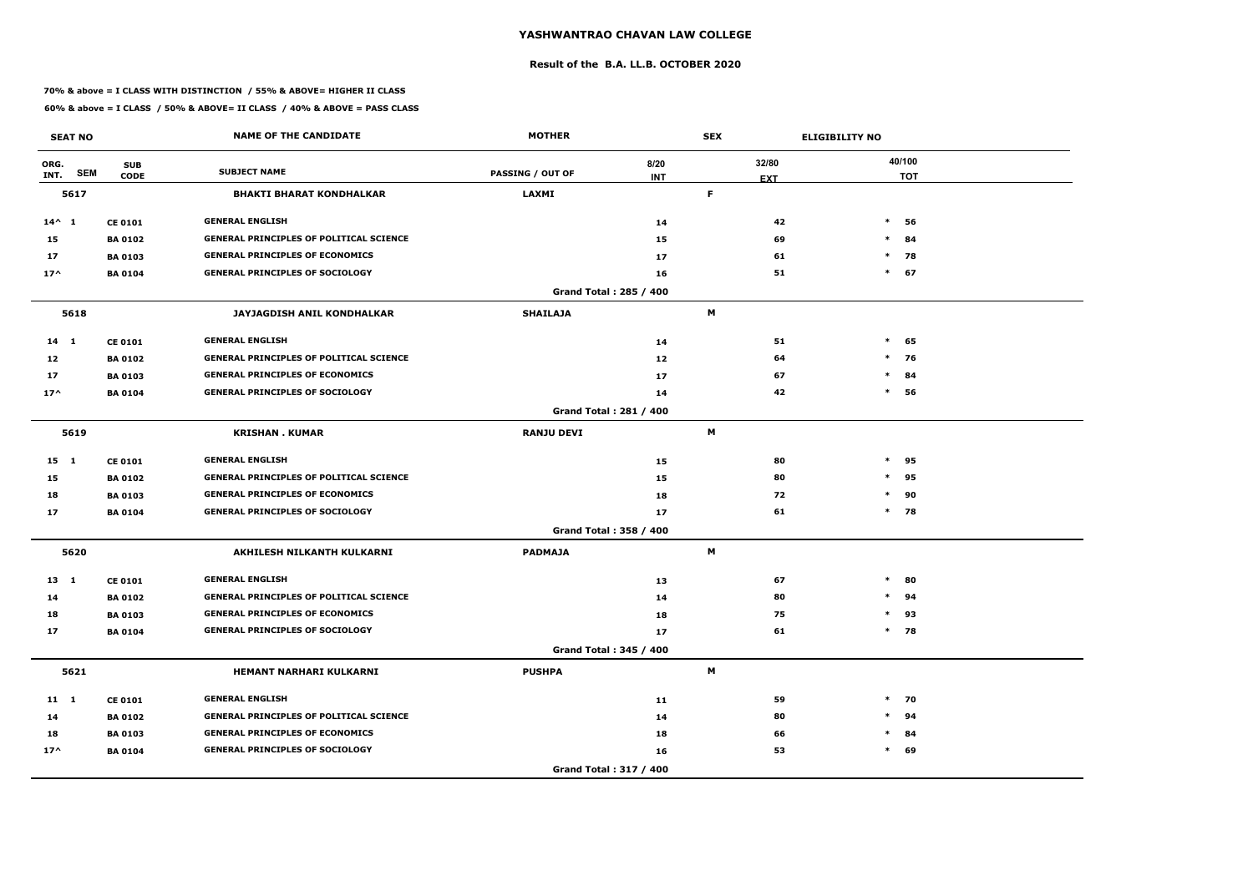### **Result of the B.A. LL.B. OCTOBER 2020**

### **70% & above = I CLASS WITH DISTINCTION / 55% & ABOVE= HIGHER II CLASS**

|                 | <b>SEAT NO</b> |                           | <b>NAME OF THE CANDIDATE</b>                   | <b>MOTHER</b>           |                               | <b>SEX</b>          |    | <b>ELIGIBILITY NO</b> |                      |
|-----------------|----------------|---------------------------|------------------------------------------------|-------------------------|-------------------------------|---------------------|----|-----------------------|----------------------|
| ORG.<br>INT.    | <b>SEM</b>     | <b>SUB</b><br><b>CODE</b> | <b>SUBJECT NAME</b>                            | <b>PASSING / OUT OF</b> | 8/20<br><b>INT</b>            | 32/80<br><b>EXT</b> |    |                       | 40/100<br><b>TOT</b> |
|                 | 5617           |                           | <b>BHAKTI BHARAT KONDHALKAR</b>                | <b>LAXMI</b>            |                               | F                   |    |                       |                      |
| $14^{\wedge} 1$ |                | <b>CE 0101</b>            | <b>GENERAL ENGLISH</b>                         |                         | 14                            |                     | 42 | $\ast$                | 56                   |
| 15              |                | <b>BA 0102</b>            | <b>GENERAL PRINCIPLES OF POLITICAL SCIENCE</b> |                         | 15                            |                     | 69 | $\ast$                | 84                   |
| 17              |                | <b>BA 0103</b>            | <b>GENERAL PRINCIPLES OF ECONOMICS</b>         |                         | 17                            |                     | 61 | $\ast$                | 78                   |
| $17^$           |                | <b>BA 0104</b>            | <b>GENERAL PRINCIPLES OF SOCIOLOGY</b>         |                         | 16                            |                     | 51 |                       | $*$ 67               |
|                 |                |                           |                                                |                         | <b>Grand Total: 285 / 400</b> |                     |    |                       |                      |
|                 | 5618           |                           | JAYJAGDISH ANIL KONDHALKAR                     | <b>SHAILAJA</b>         |                               | M                   |    |                       |                      |
| $14$ 1          |                | <b>CE 0101</b>            | <b>GENERAL ENGLISH</b>                         |                         | 14                            |                     | 51 | $\ast$                | 65                   |
| 12              |                | <b>BA0102</b>             | <b>GENERAL PRINCIPLES OF POLITICAL SCIENCE</b> |                         | 12                            |                     | 64 | $\ast$                | 76                   |
| 17              |                | <b>BA 0103</b>            | <b>GENERAL PRINCIPLES OF ECONOMICS</b>         |                         | 17                            |                     | 67 | $\ast$                | 84                   |
| $17^$           |                | <b>BA 0104</b>            | <b>GENERAL PRINCIPLES OF SOCIOLOGY</b>         |                         | 14                            |                     | 42 | $\ast$                | 56                   |
|                 |                |                           |                                                |                         | <b>Grand Total: 281 / 400</b> |                     |    |                       |                      |
|                 | 5619           |                           | <b>KRISHAN. KUMAR</b>                          | <b>RANJU DEVI</b>       |                               | M                   |    |                       |                      |
| 15 1            |                | <b>CE 0101</b>            | <b>GENERAL ENGLISH</b>                         |                         | 15                            |                     | 80 | $\ast$                | 95                   |
| 15              |                | <b>BA 0102</b>            | <b>GENERAL PRINCIPLES OF POLITICAL SCIENCE</b> |                         | 15                            |                     | 80 | $\ast$                | 95                   |
| 18              |                | <b>BA 0103</b>            | <b>GENERAL PRINCIPLES OF ECONOMICS</b>         |                         | 18                            |                     | 72 | $\ast$                | 90                   |
| 17              |                | <b>BA0104</b>             | <b>GENERAL PRINCIPLES OF SOCIOLOGY</b>         |                         | 17                            |                     | 61 |                       | $*$ 78               |
|                 |                |                           |                                                |                         | Grand Total: 358 / 400        |                     |    |                       |                      |
|                 | 5620           |                           | AKHILESH NILKANTH KULKARNI                     | <b>PADMAJA</b>          |                               | M                   |    |                       |                      |
| 13 1            |                | <b>CE 0101</b>            | <b>GENERAL ENGLISH</b>                         |                         | 13                            |                     | 67 | $\ast$                | 80                   |
| 14              |                | <b>BA 0102</b>            | <b>GENERAL PRINCIPLES OF POLITICAL SCIENCE</b> |                         | 14                            |                     | 80 | $\ast$                | 94                   |
| 18              |                | <b>BA 0103</b>            | <b>GENERAL PRINCIPLES OF ECONOMICS</b>         |                         | 18                            |                     | 75 |                       | $*$ 93               |
| 17              |                | <b>BA 0104</b>            | <b>GENERAL PRINCIPLES OF SOCIOLOGY</b>         |                         | 17                            |                     | 61 |                       | $*$ 78               |
|                 |                |                           |                                                |                         | Grand Total: 345 / 400        |                     |    |                       |                      |
|                 | 5621           |                           | HEMANT NARHARI KULKARNI                        | <b>PUSHPA</b>           |                               | M                   |    |                       |                      |
| 11 1            |                | <b>CE 0101</b>            | <b>GENERAL ENGLISH</b>                         |                         | 11                            |                     | 59 |                       | $*$ 70               |
| 14              |                | <b>BA 0102</b>            | <b>GENERAL PRINCIPLES OF POLITICAL SCIENCE</b> |                         | 14                            |                     | 80 |                       | $*$ 94               |
| 18              |                | <b>BA 0103</b>            | <b>GENERAL PRINCIPLES OF ECONOMICS</b>         |                         | 18                            |                     | 66 |                       | $*$ 84               |
| $17^{\wedge}$   |                | <b>BA 0104</b>            | <b>GENERAL PRINCIPLES OF SOCIOLOGY</b>         |                         | 16                            |                     | 53 |                       | $*$ 69               |
|                 |                |                           |                                                |                         | Grand Total: 317 / 400        |                     |    |                       |                      |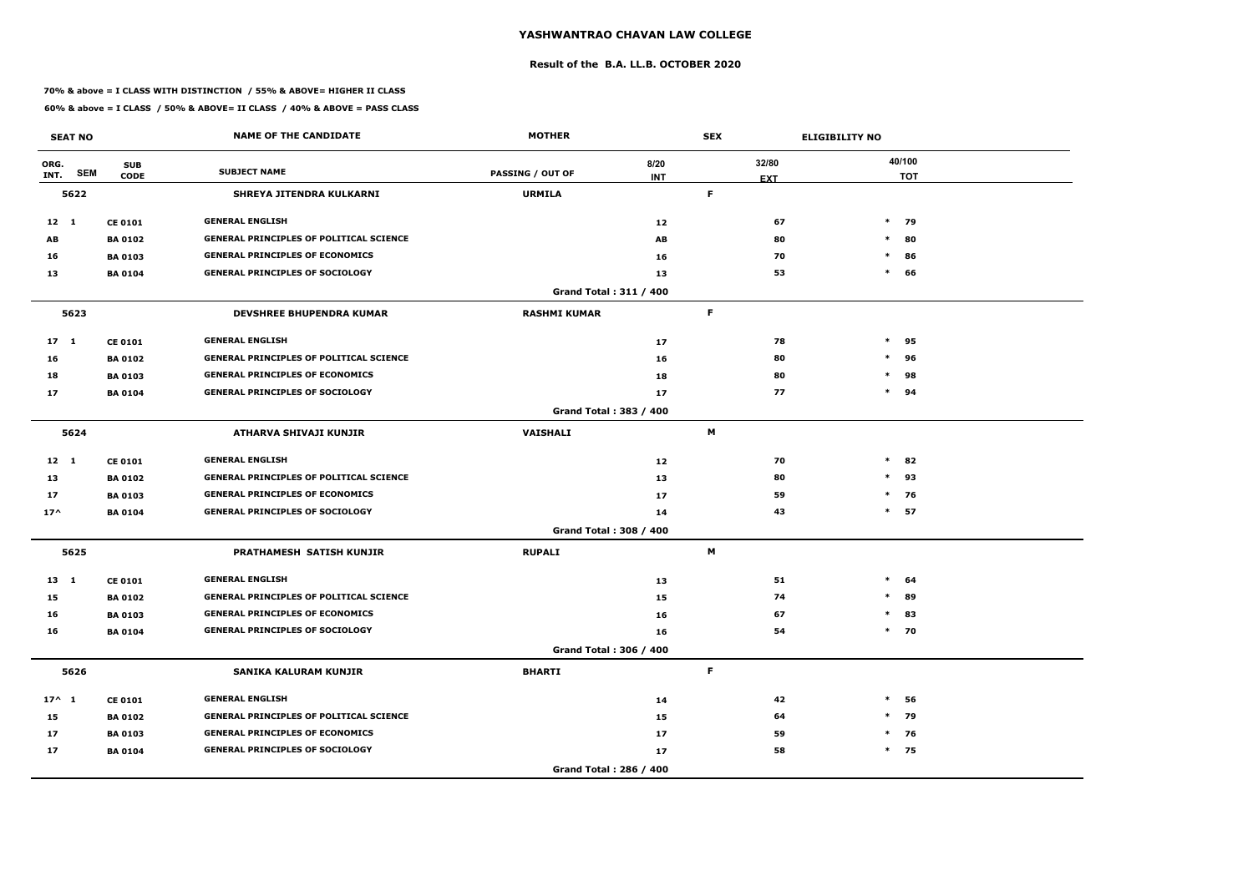### **Result of the B.A. LL.B. OCTOBER 2020**

### **70% & above = I CLASS WITH DISTINCTION / 55% & ABOVE= HIGHER II CLASS**

|                 | <b>SEAT NO</b> |                           | <b>NAME OF THE CANDIDATE</b>                   | <b>MOTHER</b>                 |                    | <b>SEX</b>          | <b>ELIGIBILITY NO</b> |                      |
|-----------------|----------------|---------------------------|------------------------------------------------|-------------------------------|--------------------|---------------------|-----------------------|----------------------|
| ORG.<br>INT.    | <b>SEM</b>     | <b>SUB</b><br><b>CODE</b> | <b>SUBJECT NAME</b>                            | <b>PASSING / OUT OF</b>       | 8/20<br><b>INT</b> | 32/80<br><b>EXT</b> |                       | 40/100<br><b>TOT</b> |
|                 | 5622           |                           | <b>SHREYA JITENDRA KULKARNI</b>                | <b>URMILA</b>                 |                    | F.                  |                       |                      |
| $12 \quad 1$    |                | <b>CE 0101</b>            | <b>GENERAL ENGLISH</b>                         |                               | 12                 | 67                  |                       | $*$ 79               |
| AB              |                | <b>BA 0102</b>            | <b>GENERAL PRINCIPLES OF POLITICAL SCIENCE</b> |                               | AB                 | 80                  | $\ast$                | 80                   |
| 16              |                | <b>BA 0103</b>            | <b>GENERAL PRINCIPLES OF ECONOMICS</b>         |                               | 16                 | 70                  | $\ast$                | 86                   |
| 13              |                | <b>BA 0104</b>            | <b>GENERAL PRINCIPLES OF SOCIOLOGY</b>         |                               | 13                 | 53                  | $\ast$                | 66                   |
|                 |                |                           |                                                | <b>Grand Total: 311 / 400</b> |                    |                     |                       |                      |
|                 | 5623           |                           | <b>DEVSHREE BHUPENDRA KUMAR</b>                | <b>RASHMI KUMAR</b>           |                    | $\mathsf F$         |                       |                      |
| 17 <sub>1</sub> |                | <b>CE 0101</b>            | <b>GENERAL ENGLISH</b>                         |                               | 17                 | 78                  | $\ast$                | 95                   |
| 16              |                | <b>BA0102</b>             | <b>GENERAL PRINCIPLES OF POLITICAL SCIENCE</b> |                               | 16                 | 80                  | $\ast$                | 96                   |
| 18              |                | <b>BA 0103</b>            | <b>GENERAL PRINCIPLES OF ECONOMICS</b>         |                               | 18                 | 80                  | $\ast$                | 98                   |
| 17              |                | <b>BA 0104</b>            | <b>GENERAL PRINCIPLES OF SOCIOLOGY</b>         |                               | 17                 | 77                  |                       | $*$ 94               |
|                 |                |                           |                                                | Grand Total: 383 / 400        |                    |                     |                       |                      |
|                 | 5624           |                           | ATHARVA SHIVAJI KUNJIR                         | <b>VAISHALI</b>               |                    | M                   |                       |                      |
| $12 \quad 1$    |                | <b>CE 0101</b>            | <b>GENERAL ENGLISH</b>                         |                               | 12                 | 70                  | $\ast$                | 82                   |
| 13              |                | <b>BA 0102</b>            | <b>GENERAL PRINCIPLES OF POLITICAL SCIENCE</b> |                               | 13                 | 80                  | $\ast$                | 93                   |
| 17              |                | <b>BA 0103</b>            | <b>GENERAL PRINCIPLES OF ECONOMICS</b>         |                               | 17                 | 59                  |                       | $*$ 76               |
| $17^$           |                | <b>BA 0104</b>            | <b>GENERAL PRINCIPLES OF SOCIOLOGY</b>         |                               | 14                 | 43                  |                       | $*$ 57               |
|                 |                |                           |                                                | <b>Grand Total: 308 / 400</b> |                    |                     |                       |                      |
|                 | 5625           |                           | PRATHAMESH SATISH KUNJIR                       | <b>RUPALI</b>                 |                    | M                   |                       |                      |
| 13 1            |                | <b>CE 0101</b>            | <b>GENERAL ENGLISH</b>                         |                               | 13                 | 51                  | $\ast$                | 64                   |
| 15              |                | <b>BA 0102</b>            | <b>GENERAL PRINCIPLES OF POLITICAL SCIENCE</b> |                               | 15                 | 74                  | $\ast$                | 89                   |
| 16              |                | <b>BA 0103</b>            | <b>GENERAL PRINCIPLES OF ECONOMICS</b>         |                               | 16                 | 67                  |                       | $*$ 83               |
| 16              |                | <b>BA 0104</b>            | <b>GENERAL PRINCIPLES OF SOCIOLOGY</b>         |                               | 16                 | 54                  |                       | $*$ 70               |
|                 |                |                           |                                                | Grand Total: 306 / 400        |                    |                     |                       |                      |
|                 | 5626           |                           | SANIKA KALURAM KUNJIR                          | <b>BHARTI</b>                 |                    | $\mathsf F$         |                       |                      |
| $17^{\wedge} 1$ |                | <b>CE 0101</b>            | <b>GENERAL ENGLISH</b>                         |                               | 14                 | 42                  | $\ast$                | 56                   |
| 15              |                | <b>BA 0102</b>            | <b>GENERAL PRINCIPLES OF POLITICAL SCIENCE</b> |                               | 15                 | 64                  |                       | $*$ 79               |
| 17              |                | <b>BA 0103</b>            | <b>GENERAL PRINCIPLES OF ECONOMICS</b>         |                               | 17                 | 59                  |                       | $*$ 76               |
| 17              |                | <b>BA 0104</b>            | <b>GENERAL PRINCIPLES OF SOCIOLOGY</b>         |                               | 17                 | 58                  |                       | $*$ 75               |
|                 |                |                           |                                                | Grand Total: 286 / 400        |                    |                     |                       |                      |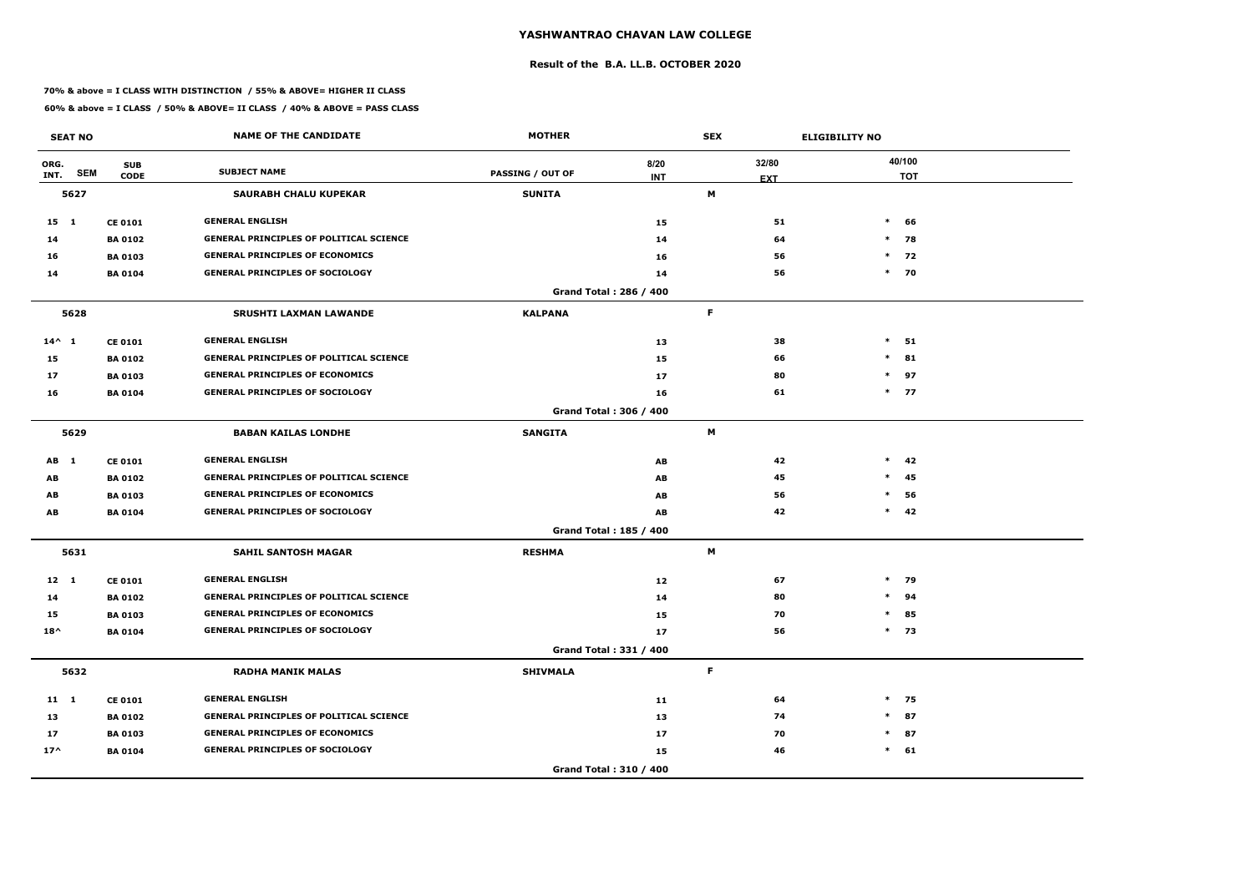### **Result of the B.A. LL.B. OCTOBER 2020**

### **70% & above = I CLASS WITH DISTINCTION / 55% & ABOVE= HIGHER II CLASS**

|                 | <b>SEAT NO</b> |                           | <b>NAME OF THE CANDIDATE</b>                   | <b>MOTHER</b>           |                        | <b>SEX</b>          | <b>ELIGIBILITY NO</b> |                      |
|-----------------|----------------|---------------------------|------------------------------------------------|-------------------------|------------------------|---------------------|-----------------------|----------------------|
| ORG.<br>INT.    | <b>SEM</b>     | <b>SUB</b><br><b>CODE</b> | <b>SUBJECT NAME</b>                            | <b>PASSING / OUT OF</b> | 8/20<br><b>INT</b>     | 32/80<br><b>EXT</b> |                       | 40/100<br><b>TOT</b> |
|                 | 5627           |                           | <b>SAURABH CHALU KUPEKAR</b>                   | <b>SUNITA</b>           |                        | М                   |                       |                      |
| 15 1            |                | <b>CE 0101</b>            | <b>GENERAL ENGLISH</b>                         |                         | 15                     | 51                  | $*$                   | 66                   |
| 14              |                | <b>BA 0102</b>            | <b>GENERAL PRINCIPLES OF POLITICAL SCIENCE</b> |                         | 14                     | 64                  |                       | $*$ 78               |
| 16              |                | <b>BA 0103</b>            | <b>GENERAL PRINCIPLES OF ECONOMICS</b>         |                         | 16                     | 56                  | $\ast$                | 72                   |
| 14              |                | <b>BA 0104</b>            | <b>GENERAL PRINCIPLES OF SOCIOLOGY</b>         |                         | 14                     | 56                  |                       | $*$ 70               |
|                 |                |                           |                                                |                         | Grand Total: 286 / 400 |                     |                       |                      |
|                 | 5628           |                           | <b>SRUSHTI LAXMAN LAWANDE</b>                  | <b>KALPANA</b>          |                        | F.                  |                       |                      |
| $14^{\wedge} 1$ |                | <b>CE 0101</b>            | <b>GENERAL ENGLISH</b>                         |                         | 13                     | 38                  | $\ast$                | 51                   |
| 15              |                | <b>BA0102</b>             | <b>GENERAL PRINCIPLES OF POLITICAL SCIENCE</b> |                         | 15                     | 66                  | $\ast$                | 81                   |
| 17              |                | <b>BA 0103</b>            | <b>GENERAL PRINCIPLES OF ECONOMICS</b>         |                         | 17                     | 80                  | $\ast$                | 97                   |
| 16              |                | <b>BA 0104</b>            | <b>GENERAL PRINCIPLES OF SOCIOLOGY</b>         |                         | 16                     | 61                  |                       | $*$ 77               |
|                 |                |                           |                                                |                         | Grand Total: 306 / 400 |                     |                       |                      |
|                 | 5629           |                           | <b>BABAN KAILAS LONDHE</b>                     | <b>SANGITA</b>          |                        | M                   |                       |                      |
| AB 1            |                | <b>CE 0101</b>            | <b>GENERAL ENGLISH</b>                         |                         | AB                     | 42                  | $\ast$                | 42                   |
| AB              |                | <b>BA 0102</b>            | <b>GENERAL PRINCIPLES OF POLITICAL SCIENCE</b> |                         | AB                     | 45                  | $*$                   | 45                   |
| AB              |                | <b>BA 0103</b>            | <b>GENERAL PRINCIPLES OF ECONOMICS</b>         |                         | AB                     | 56                  | $\ast$                | 56                   |
| AB              |                | <b>BA 0104</b>            | <b>GENERAL PRINCIPLES OF SOCIOLOGY</b>         |                         | AB                     | 42                  | $*$                   | 42                   |
|                 |                |                           |                                                |                         | Grand Total: 185 / 400 |                     |                       |                      |
|                 | 5631           |                           | <b>SAHIL SANTOSH MAGAR</b>                     | <b>RESHMA</b>           |                        | М                   |                       |                      |
| $12 \quad 1$    |                | <b>CE 0101</b>            | <b>GENERAL ENGLISH</b>                         |                         | 12                     | 67                  |                       | $*$ 79               |
| 14              |                | <b>BA 0102</b>            | <b>GENERAL PRINCIPLES OF POLITICAL SCIENCE</b> |                         | 14                     | 80                  | $\ast$                | 94                   |
| 15              |                | <b>BA 0103</b>            | <b>GENERAL PRINCIPLES OF ECONOMICS</b>         |                         | 15                     | 70                  | $\ast$                | 85                   |
| $18^{\wedge}$   |                | <b>BA 0104</b>            | <b>GENERAL PRINCIPLES OF SOCIOLOGY</b>         |                         | 17                     | 56                  |                       | $*$ 73               |
|                 |                |                           |                                                |                         | Grand Total: 331 / 400 |                     |                       |                      |
|                 | 5632           |                           | <b>RADHA MANIK MALAS</b>                       | <b>SHIVMALA</b>         |                        | F                   |                       |                      |
| $11 \quad 1$    |                | <b>CE 0101</b>            | <b>GENERAL ENGLISH</b>                         |                         | 11                     | 64                  |                       | $*$ 75               |
| 13              |                | <b>BA 0102</b>            | <b>GENERAL PRINCIPLES OF POLITICAL SCIENCE</b> |                         | 13                     | 74                  | $\ast$                | 87                   |
| 17              |                | <b>BA 0103</b>            | <b>GENERAL PRINCIPLES OF ECONOMICS</b>         |                         | 17                     | 70                  |                       | $*$ 87               |
| $17^{\wedge}$   |                | <b>BA 0104</b>            | <b>GENERAL PRINCIPLES OF SOCIOLOGY</b>         |                         | 15                     | 46                  |                       | $*$ 61               |
|                 |                |                           |                                                |                         | Grand Total: 310 / 400 |                     |                       |                      |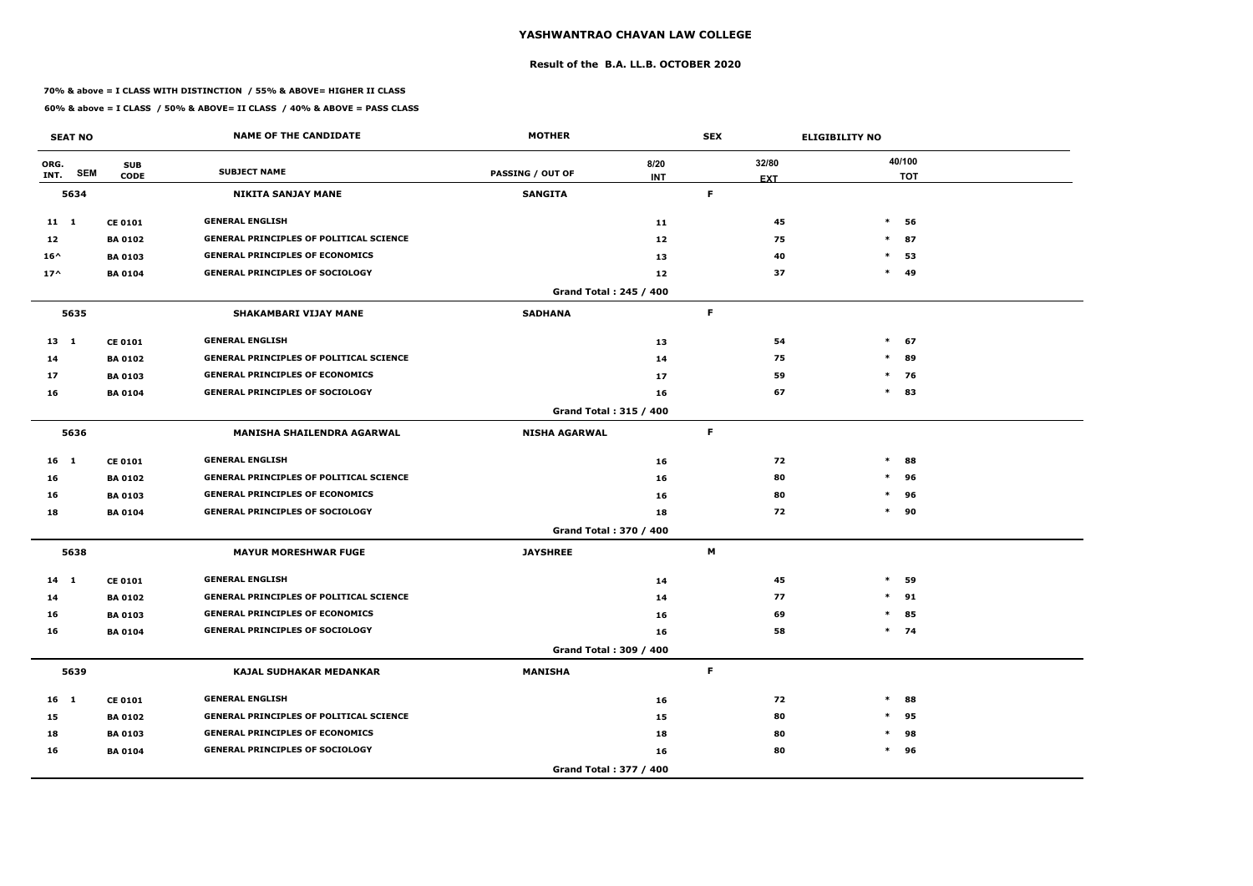### **Result of the B.A. LL.B. OCTOBER 2020**

### **70% & above = I CLASS WITH DISTINCTION / 55% & ABOVE= HIGHER II CLASS**

| <b>SEAT NO</b>  |                                         | <b>NAME OF THE CANDIDATE</b>                   | <b>MOTHER</b>                 |                    | <b>SEX</b>          | <b>ELIGIBILITY NO</b> |
|-----------------|-----------------------------------------|------------------------------------------------|-------------------------------|--------------------|---------------------|-----------------------|
| ORG.<br>INT.    | <b>SUB</b><br><b>SEM</b><br><b>CODE</b> | <b>SUBJECT NAME</b>                            | <b>PASSING / OUT OF</b>       | 8/20<br><b>INT</b> | 32/80<br><b>EXT</b> | 40/100<br><b>TOT</b>  |
| 5634            |                                         | <b>NIKITA SANJAY MANE</b>                      | <b>SANGITA</b>                |                    | F.                  |                       |
| 11 1            | <b>CE 0101</b>                          | <b>GENERAL ENGLISH</b>                         |                               | 11                 | 45                  | $\ast$<br>56          |
| 12              | <b>BA 0102</b>                          | <b>GENERAL PRINCIPLES OF POLITICAL SCIENCE</b> |                               | 12                 | 75                  | 87<br>$\ast$          |
| $16^{\wedge}$   | <b>BA 0103</b>                          | <b>GENERAL PRINCIPLES OF ECONOMICS</b>         |                               | 13                 | 40                  | $\ast$<br>53          |
| $17^$           | <b>BA 0104</b>                          | <b>GENERAL PRINCIPLES OF SOCIOLOGY</b>         |                               | 12                 | 37                  | $\ast$<br>49          |
|                 |                                         |                                                | Grand Total: 245 / 400        |                    |                     |                       |
| 5635            |                                         | <b>SHAKAMBARI VIJAY MANE</b>                   | <b>SADHANA</b>                |                    | F.                  |                       |
| $13 \quad 1$    | <b>CE 0101</b>                          | <b>GENERAL ENGLISH</b>                         |                               | 13                 | 54                  | $*$ 67                |
| 14              | <b>BA 0102</b>                          | <b>GENERAL PRINCIPLES OF POLITICAL SCIENCE</b> |                               | 14                 | 75                  | $\ast$<br>89          |
| 17              | <b>BA 0103</b>                          | <b>GENERAL PRINCIPLES OF ECONOMICS</b>         |                               | 17                 | 59                  | $\ast$<br>76          |
| 16              | <b>BA 0104</b>                          | <b>GENERAL PRINCIPLES OF SOCIOLOGY</b>         |                               | 16                 | 67                  | $*$ 83                |
|                 |                                         |                                                | <b>Grand Total: 315 / 400</b> |                    |                     |                       |
| 5636            |                                         | MANISHA SHAILENDRA AGARWAL                     | <b>NISHA AGARWAL</b>          |                    | F.                  |                       |
| $16 \quad 1$    | <b>CE 0101</b>                          | <b>GENERAL ENGLISH</b>                         |                               | 16                 | 72                  | $\ast$<br>88          |
| 16              | <b>BA 0102</b>                          | <b>GENERAL PRINCIPLES OF POLITICAL SCIENCE</b> |                               | 16                 | 80                  | 96<br>$\ast$          |
| 16              | <b>BA 0103</b>                          | <b>GENERAL PRINCIPLES OF ECONOMICS</b>         |                               | 16                 | 80                  | $\ast$<br>96          |
| 18              | <b>BA 0104</b>                          | <b>GENERAL PRINCIPLES OF SOCIOLOGY</b>         |                               | 18                 | 72                  | $*$ 90                |
|                 |                                         |                                                | Grand Total: 370 / 400        |                    |                     |                       |
| 5638            |                                         | <b>MAYUR MORESHWAR FUGE</b>                    | <b>JAYSHREE</b>               |                    | M                   |                       |
| $14$ 1          | <b>CE 0101</b>                          | <b>GENERAL ENGLISH</b>                         |                               | 14                 | 45                  | $\ast$<br>59          |
| 14              | <b>BA 0102</b>                          | <b>GENERAL PRINCIPLES OF POLITICAL SCIENCE</b> |                               | 14                 | 77                  | $\ast$<br>91          |
| 16              | <b>BA 0103</b>                          | <b>GENERAL PRINCIPLES OF ECONOMICS</b>         |                               | 16                 | 69                  | $\ast$<br>85          |
| 16              | <b>BA 0104</b>                          | <b>GENERAL PRINCIPLES OF SOCIOLOGY</b>         |                               | 16                 | 58                  | $*$ 74                |
|                 |                                         |                                                | Grand Total: 309 / 400        |                    |                     |                       |
| 5639            |                                         | <b>KAJAL SUDHAKAR MEDANKAR</b>                 | <b>MANISHA</b>                |                    | F.                  |                       |
| 16 <sub>1</sub> | <b>CE 0101</b>                          | <b>GENERAL ENGLISH</b>                         |                               | 16                 | 72                  | $\ast$<br>88          |
| 15              | <b>BA 0102</b>                          | <b>GENERAL PRINCIPLES OF POLITICAL SCIENCE</b> |                               | 15                 | 80                  | 95<br>$\ast$          |
| 18              | <b>BA 0103</b>                          | <b>GENERAL PRINCIPLES OF ECONOMICS</b>         |                               | 18                 | 80                  | 98<br>$\ast$          |
| 16              | <b>BA 0104</b>                          | <b>GENERAL PRINCIPLES OF SOCIOLOGY</b>         |                               | 16                 | 80                  | $*$ 96                |
|                 |                                         |                                                | Grand Total: 377 / 400        |                    |                     |                       |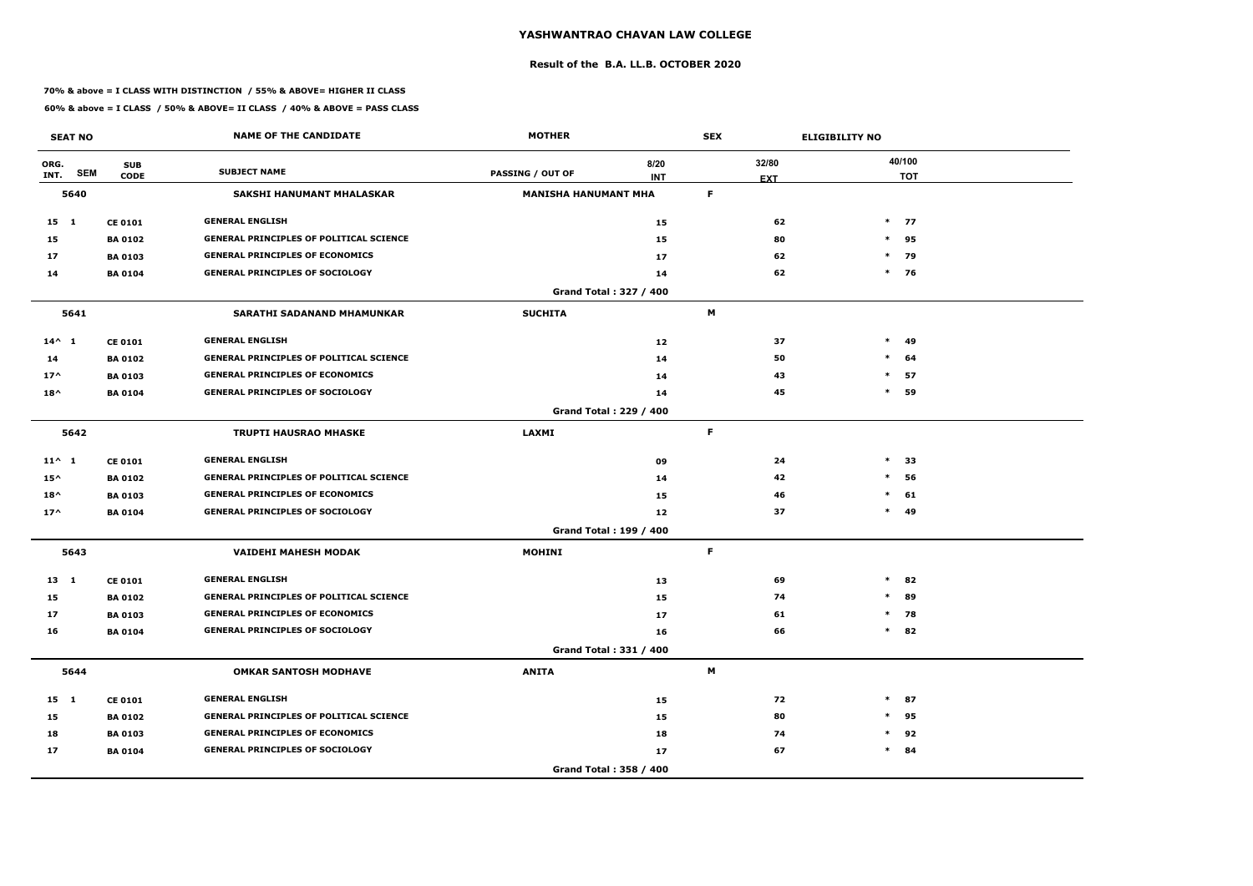### **Result of the B.A. LL.B. OCTOBER 2020**

### **70% & above = I CLASS WITH DISTINCTION / 55% & ABOVE= HIGHER II CLASS**

|                 | <b>SEAT NO</b> |                           | <b>NAME OF THE CANDIDATE</b>                   | <b>MOTHER</b>               |                               | <b>SEX</b>                |    |        | <b>ELIGIBILITY NO</b> |            |
|-----------------|----------------|---------------------------|------------------------------------------------|-----------------------------|-------------------------------|---------------------------|----|--------|-----------------------|------------|
| ORG.<br>INT.    | <b>SEM</b>     | <b>SUB</b><br><b>CODE</b> | <b>SUBJECT NAME</b>                            | PASSING / OUT OF            | 8/20<br><b>INT</b>            | 32/80<br><b>EXT</b>       |    |        | 40/100                | <b>TOT</b> |
|                 | 5640           |                           | <b>SAKSHI HANUMANT MHALASKAR</b>               | <b>MANISHA HANUMANT MHA</b> |                               | F                         |    |        |                       |            |
| 15 1            |                | <b>CE 0101</b>            | <b>GENERAL ENGLISH</b>                         |                             | 15                            |                           | 62 |        | $*$ 77                |            |
| 15              |                | <b>BA0102</b>             | <b>GENERAL PRINCIPLES OF POLITICAL SCIENCE</b> |                             | 15                            |                           | 80 |        | $*$                   | 95         |
| 17              |                | <b>BA 0103</b>            | <b>GENERAL PRINCIPLES OF ECONOMICS</b>         |                             | 17                            |                           | 62 |        | $\ast$                | 79         |
| 14              |                | <b>BA 0104</b>            | <b>GENERAL PRINCIPLES OF SOCIOLOGY</b>         |                             | 14                            |                           | 62 |        | $*$ 76                |            |
|                 |                |                           |                                                |                             | Grand Total: 327 / 400        |                           |    |        |                       |            |
|                 | 5641           |                           | <b>SARATHI SADANAND MHAMUNKAR</b>              | <b>SUCHITA</b>              |                               | M                         |    |        |                       |            |
| $14^{\wedge} 1$ |                | <b>CE 0101</b>            | <b>GENERAL ENGLISH</b>                         |                             | 12                            |                           | 37 | $\ast$ |                       | 49         |
| 14              |                | <b>BA0102</b>             | <b>GENERAL PRINCIPLES OF POLITICAL SCIENCE</b> |                             | 14                            |                           | 50 |        | $\ast$                | 64         |
| $17^$           |                | <b>BA0103</b>             | <b>GENERAL PRINCIPLES OF ECONOMICS</b>         |                             | 14                            |                           | 43 | $\ast$ |                       | 57         |
| $18^{\wedge}$   |                | <b>BA 0104</b>            | <b>GENERAL PRINCIPLES OF SOCIOLOGY</b>         |                             | 14                            |                           | 45 |        | $\ast$                | 59         |
|                 |                |                           |                                                |                             | Grand Total: 229 / 400        |                           |    |        |                       |            |
| 5642            |                |                           | <b>TRUPTI HAUSRAO MHASKE</b>                   | <b>LAXMI</b>                |                               | F.                        |    |        |                       |            |
| $11^{\wedge} 1$ |                | <b>CE 0101</b>            | <b>GENERAL ENGLISH</b>                         |                             | 09                            |                           | 24 | $\ast$ |                       | 33         |
| $15^{\wedge}$   |                | <b>BA0102</b>             | <b>GENERAL PRINCIPLES OF POLITICAL SCIENCE</b> |                             | 14                            |                           | 42 |        | $\ast$                | 56         |
| $18^{\wedge}$   |                | <b>BA 0103</b>            | <b>GENERAL PRINCIPLES OF ECONOMICS</b>         |                             | 15                            |                           | 46 |        | $\ast$                | 61         |
| $17^$           |                | <b>BA 0104</b>            | <b>GENERAL PRINCIPLES OF SOCIOLOGY</b>         |                             | 12                            |                           | 37 |        | $\ast$                | 49         |
|                 |                |                           |                                                |                             | <b>Grand Total: 199 / 400</b> |                           |    |        |                       |            |
|                 | 5643           |                           | <b>VAIDEHI MAHESH MODAK</b>                    | <b>MOHINI</b>               |                               | F.                        |    |        |                       |            |
| $13 \quad 1$    |                | <b>CE 0101</b>            | <b>GENERAL ENGLISH</b>                         |                             | 13                            |                           | 69 |        | $\ast$                | 82         |
| 15              |                | <b>BA0102</b>             | <b>GENERAL PRINCIPLES OF POLITICAL SCIENCE</b> |                             | 15                            |                           | 74 |        | $\ast$                | 89         |
| 17              |                | <b>BA 0103</b>            | <b>GENERAL PRINCIPLES OF ECONOMICS</b>         |                             | 17                            |                           | 61 |        | $*$ 78                |            |
| 16              |                | <b>BA 0104</b>            | <b>GENERAL PRINCIPLES OF SOCIOLOGY</b>         |                             | 16                            |                           | 66 |        | $*$ 82                |            |
|                 |                |                           |                                                |                             | Grand Total: 331 / 400        |                           |    |        |                       |            |
|                 | 5644           |                           | <b>OMKAR SANTOSH MODHAVE</b>                   | <b>ANITA</b>                |                               | $\boldsymbol{\mathsf{M}}$ |    |        |                       |            |
| 15 1            |                | <b>CE 0101</b>            | <b>GENERAL ENGLISH</b>                         |                             | 15                            |                           | 72 |        | $\ast$                | 87         |
| 15              |                | <b>BA 0102</b>            | <b>GENERAL PRINCIPLES OF POLITICAL SCIENCE</b> |                             | 15                            |                           | 80 |        | $\ast$                | 95         |
| 18              |                | <b>BA 0103</b>            | <b>GENERAL PRINCIPLES OF ECONOMICS</b>         |                             | 18                            |                           | 74 |        | $\ast$                | 92         |
| 17              |                | <b>BA 0104</b>            | <b>GENERAL PRINCIPLES OF SOCIOLOGY</b>         |                             | 17                            |                           | 67 |        | $*$ 84                |            |
|                 |                |                           |                                                |                             | Grand Total: 358 / 400        |                           |    |        |                       |            |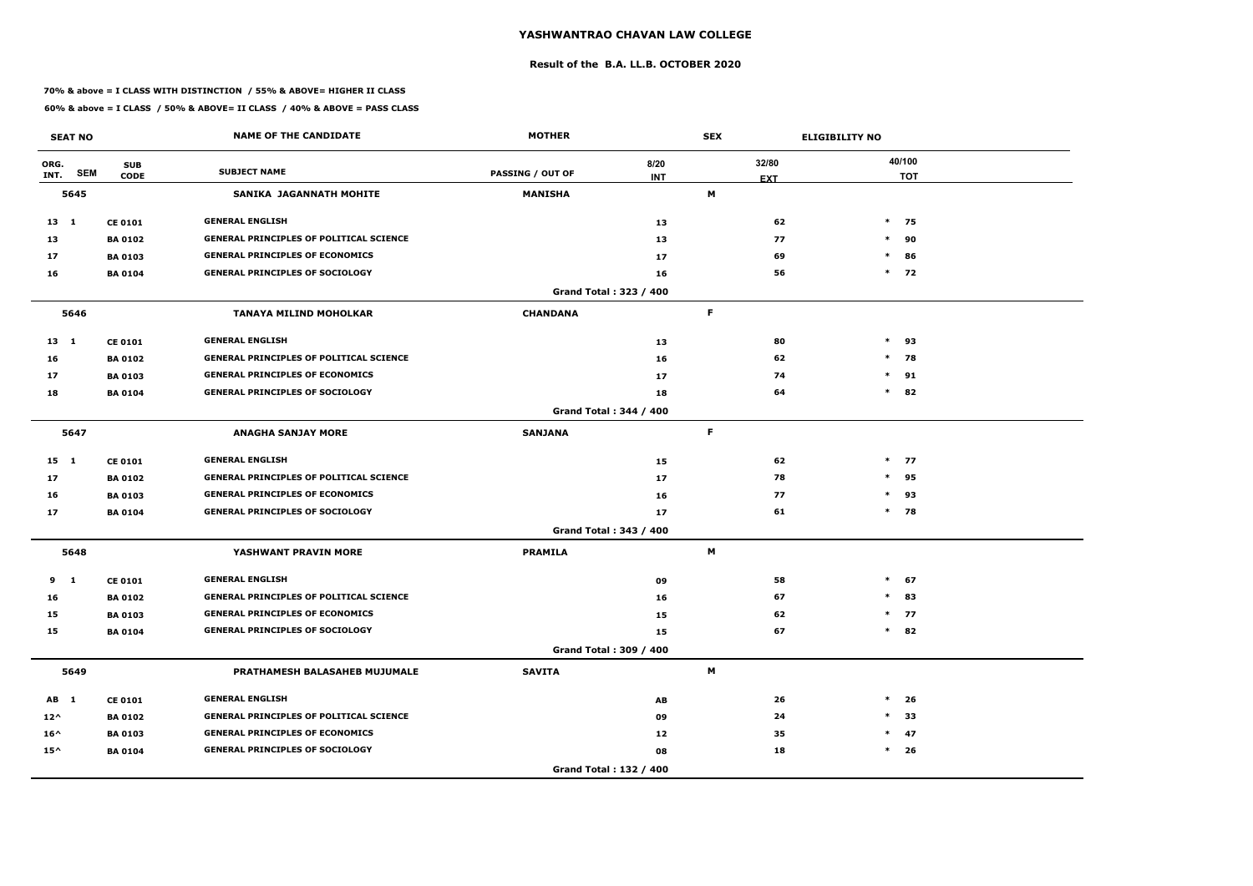### **Result of the B.A. LL.B. OCTOBER 2020**

### **70% & above = I CLASS WITH DISTINCTION / 55% & ABOVE= HIGHER II CLASS**

|               | <b>SEAT NO</b> |                           | <b>NAME OF THE CANDIDATE</b>                   | <b>MOTHER</b>           |                        | <b>SEX</b>  |                     | <b>ELIGIBILITY NO</b> |                      |
|---------------|----------------|---------------------------|------------------------------------------------|-------------------------|------------------------|-------------|---------------------|-----------------------|----------------------|
| ORG.<br>INT.  | <b>SEM</b>     | <b>SUB</b><br><b>CODE</b> | <b>SUBJECT NAME</b>                            | <b>PASSING / OUT OF</b> | 8/20<br><b>INT</b>     |             | 32/80<br><b>EXT</b> |                       | 40/100<br><b>TOT</b> |
|               | 5645           |                           | SANIKA JAGANNATH MOHITE                        | <b>MANISHA</b>          |                        | M           |                     |                       |                      |
| $13 \quad 1$  |                | <b>CE 0101</b>            | <b>GENERAL ENGLISH</b>                         |                         | 13                     |             | 62                  |                       | $*$ 75               |
| 13            |                | <b>BA 0102</b>            | <b>GENERAL PRINCIPLES OF POLITICAL SCIENCE</b> |                         | 13                     |             | 77                  |                       | $*$ 90               |
| 17            |                | <b>BA 0103</b>            | <b>GENERAL PRINCIPLES OF ECONOMICS</b>         |                         | 17                     |             | 69                  | $\ast$                | 86                   |
| 16            |                | <b>BA 0104</b>            | <b>GENERAL PRINCIPLES OF SOCIOLOGY</b>         |                         | 16                     |             | 56                  |                       | $*$ 72               |
|               |                |                           |                                                |                         | Grand Total: 323 / 400 |             |                     |                       |                      |
|               | 5646           |                           | <b>TANAYA MILIND MOHOLKAR</b>                  | <b>CHANDANA</b>         |                        | F           |                     |                       |                      |
| $13 \quad 1$  |                | <b>CE 0101</b>            | <b>GENERAL ENGLISH</b>                         |                         | 13                     |             | 80                  |                       | $*$ 93               |
| 16            |                | <b>BA 0102</b>            | <b>GENERAL PRINCIPLES OF POLITICAL SCIENCE</b> |                         | 16                     |             | 62                  |                       | $*$ 78               |
| 17            |                | <b>BA 0103</b>            | <b>GENERAL PRINCIPLES OF ECONOMICS</b>         |                         | 17                     |             | 74                  |                       | $*$ 91               |
| 18            |                | <b>BA 0104</b>            | <b>GENERAL PRINCIPLES OF SOCIOLOGY</b>         |                         | 18                     |             | 64                  |                       | $*$ 82               |
|               |                |                           |                                                |                         | Grand Total: 344 / 400 |             |                     |                       |                      |
|               | 5647           |                           | <b>ANAGHA SANJAY MORE</b>                      | <b>SANJANA</b>          |                        | $\mathsf F$ |                     |                       |                      |
| $15 \quad 1$  |                | <b>CE 0101</b>            | <b>GENERAL ENGLISH</b>                         |                         | 15                     |             | 62                  |                       | $*$ 77               |
| 17            |                | <b>BA 0102</b>            | <b>GENERAL PRINCIPLES OF POLITICAL SCIENCE</b> |                         | 17                     |             | 78                  |                       | $*$ 95               |
| 16            |                | <b>BA 0103</b>            | <b>GENERAL PRINCIPLES OF ECONOMICS</b>         |                         | 16                     |             | 77                  |                       | $*$ 93               |
| 17            |                | <b>BA 0104</b>            | <b>GENERAL PRINCIPLES OF SOCIOLOGY</b>         |                         | 17                     |             | 61                  |                       | $*$ 78               |
|               |                |                           |                                                |                         | Grand Total: 343 / 400 |             |                     |                       |                      |
|               | 5648           |                           | YASHWANT PRAVIN MORE                           | <b>PRAMILA</b>          |                        | M           |                     |                       |                      |
| 9             | $\mathbf{1}$   | <b>CE 0101</b>            | <b>GENERAL ENGLISH</b>                         |                         | 09                     |             | 58                  | $\ast$                | 67                   |
| 16            |                | <b>BA 0102</b>            | <b>GENERAL PRINCIPLES OF POLITICAL SCIENCE</b> |                         | 16                     |             | 67                  | $\ast$                | 83                   |
| 15            |                | <b>BA 0103</b>            | <b>GENERAL PRINCIPLES OF ECONOMICS</b>         |                         | 15                     |             | 62                  |                       | $*$ 77               |
| 15            |                | <b>BA 0104</b>            | <b>GENERAL PRINCIPLES OF SOCIOLOGY</b>         |                         | 15                     |             | 67                  |                       | $*$ 82               |
|               |                |                           |                                                |                         | Grand Total: 309 / 400 |             |                     |                       |                      |
|               | 5649           |                           | PRATHAMESH BALASAHEB MUJUMALE                  | <b>SAVITA</b>           |                        | M           |                     |                       |                      |
| AB 1          |                | <b>CE 0101</b>            | <b>GENERAL ENGLISH</b>                         |                         | AB                     |             | 26                  | $\ast$                | 26                   |
| $12^{\wedge}$ |                | <b>BA 0102</b>            | <b>GENERAL PRINCIPLES OF POLITICAL SCIENCE</b> |                         | 09                     |             | 24                  | $\ast$                | 33                   |
| $16^{\wedge}$ |                | <b>BA 0103</b>            | <b>GENERAL PRINCIPLES OF ECONOMICS</b>         |                         | 12                     |             | 35                  |                       | $*$ 47               |
| $15^{\wedge}$ |                | <b>BA 0104</b>            | <b>GENERAL PRINCIPLES OF SOCIOLOGY</b>         |                         | 08                     |             | 18                  |                       | $*$ 26               |
|               |                |                           |                                                |                         | Grand Total: 132 / 400 |             |                     |                       |                      |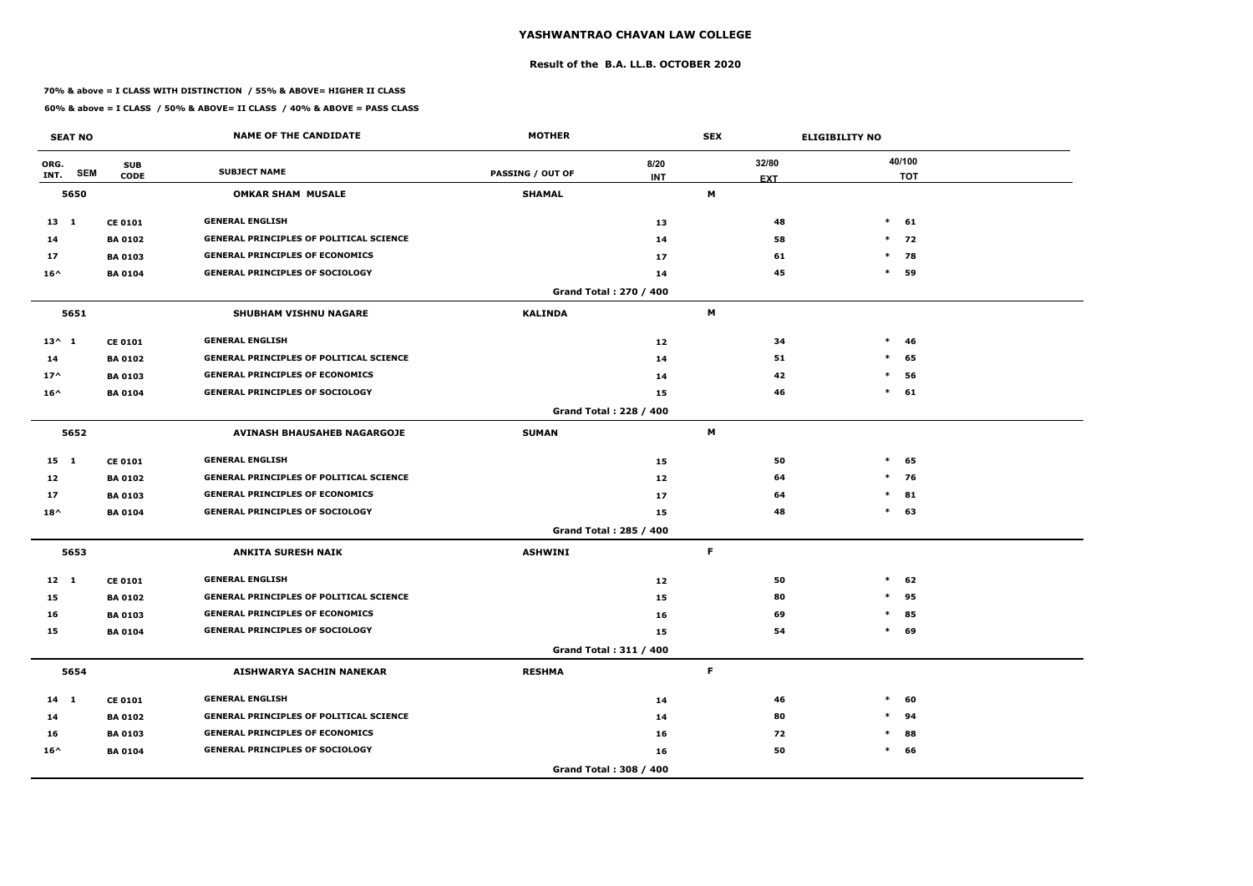### **Result of the B.A. LL.B. OCTOBER 2020**

### **70% & above = I CLASS WITH DISTINCTION / 55% & ABOVE= HIGHER II CLASS**

|                 | <b>SEAT NO</b> |                           | <b>NAME OF THE CANDIDATE</b>                   | <b>MOTHER</b>           |                        | <b>SEX</b>          | <b>ELIGIBILITY NO</b> |
|-----------------|----------------|---------------------------|------------------------------------------------|-------------------------|------------------------|---------------------|-----------------------|
| ORG.<br>INT.    | <b>SEM</b>     | <b>SUB</b><br><b>CODE</b> | <b>SUBJECT NAME</b>                            | <b>PASSING / OUT OF</b> | 8/20<br><b>INT</b>     | 32/80<br><b>EXT</b> | 40/100<br><b>TOT</b>  |
|                 | 5650           |                           | <b>OMKAR SHAM MUSALE</b>                       | <b>SHAMAL</b>           |                        | М                   |                       |
| 13 1            |                | <b>CE 0101</b>            | <b>GENERAL ENGLISH</b>                         |                         | 13                     | 48                  | $*$<br>61             |
| 14              |                | <b>BA 0102</b>            | <b>GENERAL PRINCIPLES OF POLITICAL SCIENCE</b> |                         | 14                     | 58                  | $*$ 72                |
| 17              |                | <b>BA 0103</b>            | <b>GENERAL PRINCIPLES OF ECONOMICS</b>         |                         | 17                     | 61                  | $\ast$<br>78          |
| $16^{\wedge}$   |                | <b>BA 0104</b>            | <b>GENERAL PRINCIPLES OF SOCIOLOGY</b>         |                         | 14                     | 45                  | $\ast$<br>59          |
|                 |                |                           |                                                |                         | Grand Total: 270 / 400 |                     |                       |
|                 | 5651           |                           | <b>SHUBHAM VISHNU NAGARE</b>                   | <b>KALINDA</b>          |                        | M                   |                       |
| $13^{\wedge} 1$ |                | <b>CE 0101</b>            | <b>GENERAL ENGLISH</b>                         |                         | 12                     | 34                  | $\ast$<br>-46         |
| 14              |                | <b>BA 0102</b>            | <b>GENERAL PRINCIPLES OF POLITICAL SCIENCE</b> |                         | 14                     | 51                  | $\ast$<br>65          |
| $17^$           |                | <b>BA 0103</b>            | <b>GENERAL PRINCIPLES OF ECONOMICS</b>         |                         | 14                     | 42                  | $\ast$<br>56          |
| $16^{\wedge}$   |                | <b>BA 0104</b>            | <b>GENERAL PRINCIPLES OF SOCIOLOGY</b>         |                         | 15                     | 46                  | $\ast$<br>61          |
|                 |                |                           |                                                |                         | Grand Total: 228 / 400 |                     |                       |
|                 | 5652           |                           | <b>AVINASH BHAUSAHEB NAGARGOJE</b>             | <b>SUMAN</b>            |                        | M                   |                       |
| 15 1            |                | <b>CE 0101</b>            | <b>GENERAL ENGLISH</b>                         |                         | 15                     | 50                  | $\ast$<br>65          |
| 12              |                | <b>BA 0102</b>            | <b>GENERAL PRINCIPLES OF POLITICAL SCIENCE</b> |                         | 12                     | 64                  | $*$<br>76             |
| 17              |                | <b>BA 0103</b>            | <b>GENERAL PRINCIPLES OF ECONOMICS</b>         |                         | 17                     | 64                  | $\ast$<br>81          |
| $18^{\wedge}$   |                | <b>BA0104</b>             | <b>GENERAL PRINCIPLES OF SOCIOLOGY</b>         |                         | 15                     | 48                  | 63<br>$\ast$          |
|                 |                |                           |                                                |                         | Grand Total: 285 / 400 |                     |                       |
|                 | 5653           |                           | <b>ANKITA SURESH NAIK</b>                      | <b>ASHWINI</b>          |                        | F.                  |                       |
| $12 \quad 1$    |                | <b>CE 0101</b>            | <b>GENERAL ENGLISH</b>                         |                         | 12                     | 50                  | $\ast$<br>62          |
| 15              |                | <b>BA 0102</b>            | <b>GENERAL PRINCIPLES OF POLITICAL SCIENCE</b> |                         | 15                     | 80                  | $\ast$<br>95          |
| 16              |                | <b>BA 0103</b>            | <b>GENERAL PRINCIPLES OF ECONOMICS</b>         |                         | 16                     | 69                  | $\ast$<br>85          |
| 15              |                | <b>BA 0104</b>            | <b>GENERAL PRINCIPLES OF SOCIOLOGY</b>         |                         | 15                     | 54                  | 69<br>$\ast$          |
|                 |                |                           |                                                |                         | Grand Total: 311 / 400 |                     |                       |
|                 | 5654           |                           | AISHWARYA SACHIN NANEKAR                       | <b>RESHMA</b>           |                        | F                   |                       |
| $14 \quad 1$    |                | <b>CE 0101</b>            | <b>GENERAL ENGLISH</b>                         |                         | 14                     | 46                  | $\ast$<br>60          |
| 14              |                | <b>BA 0102</b>            | <b>GENERAL PRINCIPLES OF POLITICAL SCIENCE</b> |                         | 14                     | 80                  | 94<br>$\ast$          |
| 16              |                | <b>BA 0103</b>            | <b>GENERAL PRINCIPLES OF ECONOMICS</b>         |                         | 16                     | 72                  | 88<br>$\ast$          |
| $16^{\wedge}$   |                | <b>BA 0104</b>            | <b>GENERAL PRINCIPLES OF SOCIOLOGY</b>         |                         | 16                     | 50                  | $\ast$<br>66          |
|                 |                |                           |                                                |                         | Grand Total: 308 / 400 |                     |                       |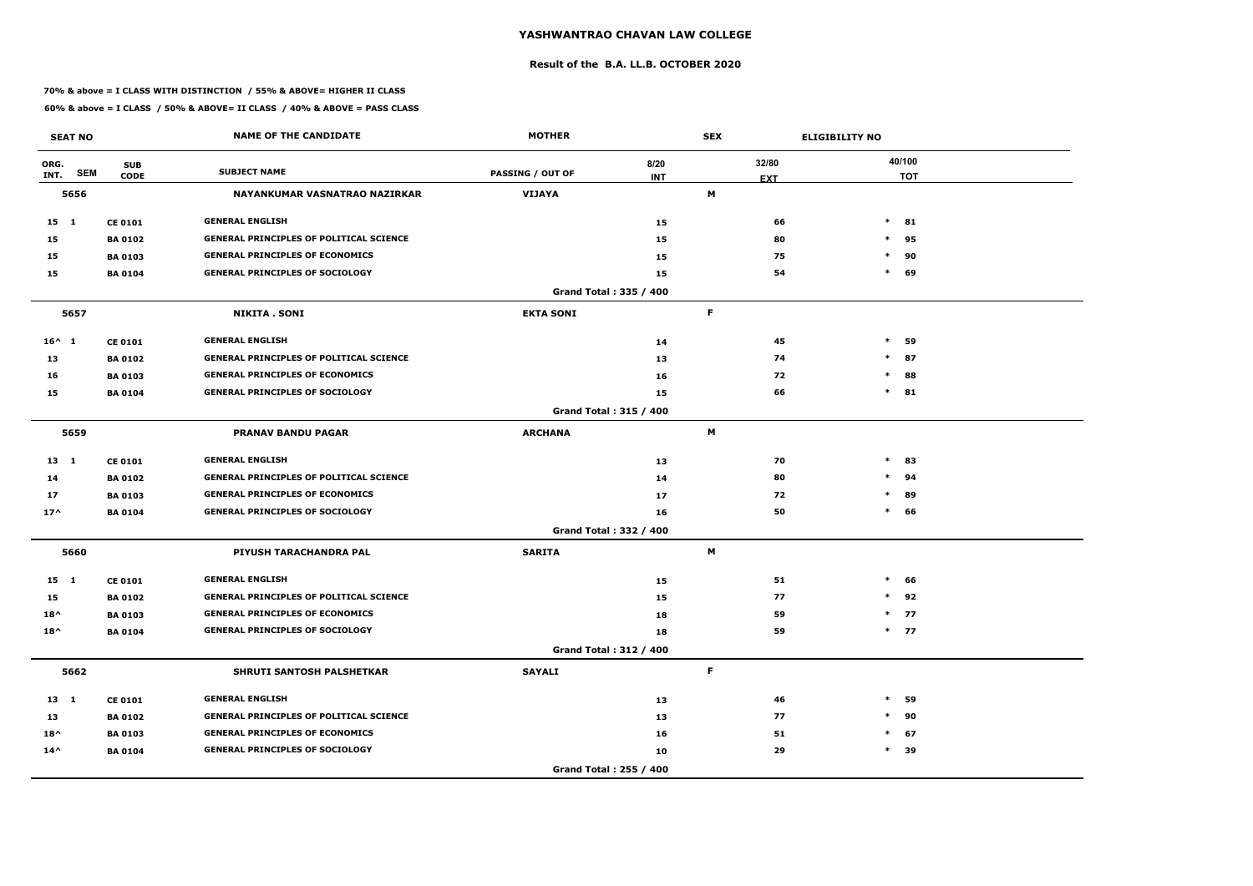### **Result of the B.A. LL.B. OCTOBER 2020**

### **70% & above = I CLASS WITH DISTINCTION / 55% & ABOVE= HIGHER II CLASS**

|                 | <b>SEAT NO</b> |                           | <b>NAME OF THE CANDIDATE</b>                   | <b>MOTHER</b>           |                               | <b>SEX</b>          |    | <b>ELIGIBILITY NO</b> |                      |
|-----------------|----------------|---------------------------|------------------------------------------------|-------------------------|-------------------------------|---------------------|----|-----------------------|----------------------|
| ORG.<br>INT.    | <b>SEM</b>     | <b>SUB</b><br><b>CODE</b> | <b>SUBJECT NAME</b>                            | <b>PASSING / OUT OF</b> | 8/20<br><b>INT</b>            | 32/80<br><b>EXT</b> |    |                       | 40/100<br><b>TOT</b> |
|                 | 5656           |                           | NAYANKUMAR VASNATRAO NAZIRKAR                  | <b>VIJAYA</b>           |                               | M                   |    |                       |                      |
| $15 \quad 1$    |                | <b>CE 0101</b>            | <b>GENERAL ENGLISH</b>                         |                         | 15                            |                     | 66 |                       | $*$ 81               |
| 15              |                | <b>BA 0102</b>            | <b>GENERAL PRINCIPLES OF POLITICAL SCIENCE</b> |                         | 15                            |                     | 80 |                       | $*$ 95               |
| 15              |                | <b>BA 0103</b>            | <b>GENERAL PRINCIPLES OF ECONOMICS</b>         |                         | 15                            |                     | 75 | $\ast$                | 90                   |
| 15              |                | <b>BA 0104</b>            | <b>GENERAL PRINCIPLES OF SOCIOLOGY</b>         |                         | 15                            |                     | 54 | $\ast$                | 69                   |
|                 |                |                           |                                                |                         | Grand Total: 335 / 400        |                     |    |                       |                      |
|                 | 5657           |                           | <b>NIKITA . SONI</b>                           | <b>EKTA SONI</b>        |                               | F                   |    |                       |                      |
| $16^{\wedge} 1$ |                | <b>CE 0101</b>            | <b>GENERAL ENGLISH</b>                         |                         | 14                            |                     | 45 | $\ast$                | 59                   |
| 13              |                | <b>BA 0102</b>            | <b>GENERAL PRINCIPLES OF POLITICAL SCIENCE</b> |                         | 13                            |                     | 74 | $\ast$                | 87                   |
| 16              |                | <b>BA 0103</b>            | <b>GENERAL PRINCIPLES OF ECONOMICS</b>         |                         | 16                            |                     | 72 | $\ast$                | 88                   |
| 15              |                | <b>BA 0104</b>            | <b>GENERAL PRINCIPLES OF SOCIOLOGY</b>         |                         | 15                            |                     | 66 |                       | $*$ 81               |
|                 |                |                           |                                                |                         | <b>Grand Total: 315 / 400</b> |                     |    |                       |                      |
|                 | 5659           |                           | <b>PRANAV BANDU PAGAR</b>                      | <b>ARCHANA</b>          |                               | M                   |    |                       |                      |
| $13 \quad 1$    |                | <b>CE 0101</b>            | <b>GENERAL ENGLISH</b>                         |                         | 13                            |                     | 70 | $\ast$                | 83                   |
| 14              |                | <b>BA 0102</b>            | <b>GENERAL PRINCIPLES OF POLITICAL SCIENCE</b> |                         | 14                            |                     | 80 | $\ast$                | 94                   |
| 17              |                | <b>BA 0103</b>            | <b>GENERAL PRINCIPLES OF ECONOMICS</b>         |                         | 17                            |                     | 72 | $\ast$                | 89                   |
| $17^$           |                | <b>BA 0104</b>            | <b>GENERAL PRINCIPLES OF SOCIOLOGY</b>         |                         | 16                            |                     | 50 |                       | $*$ 66               |
|                 |                |                           |                                                |                         | Grand Total: 332 / 400        |                     |    |                       |                      |
|                 | 5660           |                           | PIYUSH TARACHANDRA PAL                         | <b>SARITA</b>           |                               | M                   |    |                       |                      |
| $15 \quad 1$    |                | <b>CE 0101</b>            | <b>GENERAL ENGLISH</b>                         |                         | 15                            |                     | 51 | $\ast$                | 66                   |
| 15              |                | <b>BA 0102</b>            | <b>GENERAL PRINCIPLES OF POLITICAL SCIENCE</b> |                         | 15                            |                     | 77 | $\ast$                | 92                   |
| $18^{\wedge}$   |                | <b>BA 0103</b>            | <b>GENERAL PRINCIPLES OF ECONOMICS</b>         |                         | 18                            |                     | 59 |                       | $*$ 77               |
| $18^{\wedge}$   |                | <b>BA 0104</b>            | <b>GENERAL PRINCIPLES OF SOCIOLOGY</b>         |                         | 18                            |                     | 59 |                       | $*$ 77               |
|                 |                |                           |                                                |                         | Grand Total: 312 / 400        |                     |    |                       |                      |
|                 | 5662           |                           | SHRUTI SANTOSH PALSHETKAR                      | <b>SAYALI</b>           |                               | $\mathsf F$         |    |                       |                      |
| $13 \quad 1$    |                | <b>CE 0101</b>            | <b>GENERAL ENGLISH</b>                         |                         | 13                            |                     | 46 | $\ast$                | 59                   |
| 13              |                | <b>BA 0102</b>            | <b>GENERAL PRINCIPLES OF POLITICAL SCIENCE</b> |                         | 13                            |                     | 77 | $\ast$                | 90                   |
| $18^{\wedge}$   |                | <b>BA 0103</b>            | <b>GENERAL PRINCIPLES OF ECONOMICS</b>         |                         | 16                            |                     | 51 |                       | $*$ 67               |
| $14^{\wedge}$   |                | <b>BA 0104</b>            | <b>GENERAL PRINCIPLES OF SOCIOLOGY</b>         |                         | 10                            |                     | 29 |                       | $*$ 39               |
|                 |                |                           |                                                |                         | Grand Total: 255 / 400        |                     |    |                       |                      |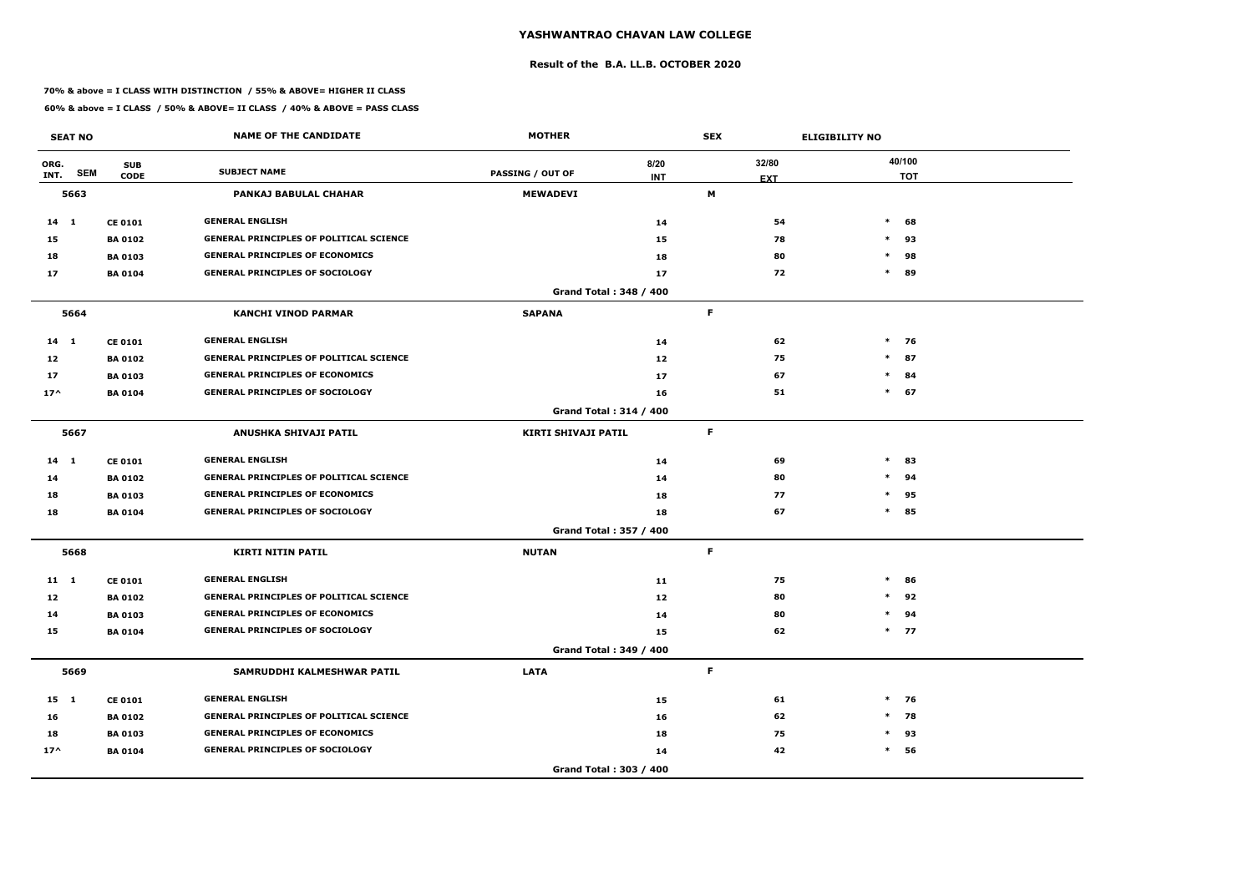### **Result of the B.A. LL.B. OCTOBER 2020**

### **70% & above = I CLASS WITH DISTINCTION / 55% & ABOVE= HIGHER II CLASS**

| <b>SEAT NO</b> |            |                           | <b>NAME OF THE CANDIDATE</b>                   | <b>MOTHER</b>           |                               | <b>SEX</b>      | <b>ELIGIBILITY NO</b> |        |                      |
|----------------|------------|---------------------------|------------------------------------------------|-------------------------|-------------------------------|-----------------|-----------------------|--------|----------------------|
| ORG.<br>INT.   | <b>SEM</b> | <b>SUB</b><br><b>CODE</b> | <b>SUBJECT NAME</b>                            | <b>PASSING / OUT OF</b> | 8/20<br><b>INT</b>            | 32/80           |                       |        | 40/100<br><b>TOT</b> |
|                | 5663       |                           | <b>PANKAJ BABULAL CHAHAR</b>                   | <b>MEWADEVI</b>         |                               | <b>EXT</b><br>M |                       |        |                      |
| $14 \quad 1$   |            | <b>CE 0101</b>            | <b>GENERAL ENGLISH</b>                         |                         | 14                            |                 | 54                    | $\ast$ | 68                   |
| 15             |            | <b>BA 0102</b>            | <b>GENERAL PRINCIPLES OF POLITICAL SCIENCE</b> |                         | 15                            |                 | 78                    | $\ast$ | 93                   |
| 18             |            | <b>BA 0103</b>            | <b>GENERAL PRINCIPLES OF ECONOMICS</b>         |                         | 18                            |                 | 80                    | $\ast$ | 98                   |
| 17             |            | <b>BA 0104</b>            | <b>GENERAL PRINCIPLES OF SOCIOLOGY</b>         |                         | 17                            |                 | 72                    | $\ast$ | 89                   |
|                |            |                           |                                                |                         | Grand Total: 348 / 400        |                 |                       |        |                      |
|                | 5664       |                           | <b>KANCHI VINOD PARMAR</b>                     | <b>SAPANA</b>           |                               | F.              |                       |        |                      |
| 14 1           |            | <b>CE 0101</b>            | <b>GENERAL ENGLISH</b>                         |                         | 14                            |                 | 62                    |        | $*$ 76               |
| 12             |            | <b>BA 0102</b>            | GENERAL PRINCIPLES OF POLITICAL SCIENCE        |                         | 12                            |                 | 75                    |        | $*$ 87               |
| 17             |            | <b>BA 0103</b>            | <b>GENERAL PRINCIPLES OF ECONOMICS</b>         |                         | 17                            |                 | 67                    | $\ast$ | 84                   |
| $17^$          |            | <b>BA 0104</b>            | <b>GENERAL PRINCIPLES OF SOCIOLOGY</b>         |                         | 16                            |                 | 51                    |        | $*$ 67               |
|                |            |                           |                                                |                         | <b>Grand Total: 314 / 400</b> |                 |                       |        |                      |
|                | 5667       |                           | ANUSHKA SHIVAJI PATIL                          | KIRTI SHIVAJI PATIL     |                               | F.              |                       |        |                      |
| $14 \quad 1$   |            | <b>CE 0101</b>            | <b>GENERAL ENGLISH</b>                         |                         | 14                            |                 | 69                    | $\ast$ | 83                   |
| 14             |            | <b>BA 0102</b>            | <b>GENERAL PRINCIPLES OF POLITICAL SCIENCE</b> |                         | 14                            |                 | 80                    | $\ast$ | 94                   |
| 18             |            | <b>BA 0103</b>            | <b>GENERAL PRINCIPLES OF ECONOMICS</b>         |                         | 18                            |                 | 77                    | $\ast$ | 95                   |
| 18             |            | <b>BA 0104</b>            | <b>GENERAL PRINCIPLES OF SOCIOLOGY</b>         |                         | 18                            |                 | 67                    |        | $*$ 85               |
|                |            |                           |                                                |                         | Grand Total: 357 / 400        |                 |                       |        |                      |
|                | 5668       |                           | <b>KIRTI NITIN PATIL</b>                       | <b>NUTAN</b>            |                               | F.              |                       |        |                      |
| 11 1           |            | <b>CE 0101</b>            | <b>GENERAL ENGLISH</b>                         |                         | 11                            |                 | 75                    | $\ast$ | 86                   |
| 12             |            | <b>BA 0102</b>            | <b>GENERAL PRINCIPLES OF POLITICAL SCIENCE</b> |                         | 12                            |                 | 80                    | $*$    | 92                   |
| 14             |            | <b>BA 0103</b>            | <b>GENERAL PRINCIPLES OF ECONOMICS</b>         |                         | 14                            |                 | 80                    | $\ast$ | 94                   |
| 15             |            | <b>BA 0104</b>            | <b>GENERAL PRINCIPLES OF SOCIOLOGY</b>         |                         | 15                            |                 | 62                    |        | $*$ 77               |
|                |            |                           |                                                |                         | Grand Total: 349 / 400        |                 |                       |        |                      |
|                | 5669       |                           | SAMRUDDHI KALMESHWAR PATIL                     | <b>LATA</b>             |                               | F.              |                       |        |                      |
| 15 1           |            | <b>CE 0101</b>            | <b>GENERAL ENGLISH</b>                         |                         | 15                            |                 | 61                    |        | $*$ 76               |
| 16             |            | <b>BA 0102</b>            | <b>GENERAL PRINCIPLES OF POLITICAL SCIENCE</b> |                         | 16                            |                 | 62                    |        | $*$ 78               |
| 18             |            | <b>BA 0103</b>            | <b>GENERAL PRINCIPLES OF ECONOMICS</b>         |                         | 18                            |                 | 75                    | $\ast$ | 93                   |
| $17^$          |            | <b>BA 0104</b>            | <b>GENERAL PRINCIPLES OF SOCIOLOGY</b>         |                         | 14                            |                 | 42                    | $\ast$ | 56                   |
|                |            |                           |                                                |                         | Grand Total: 303 / 400        |                 |                       |        |                      |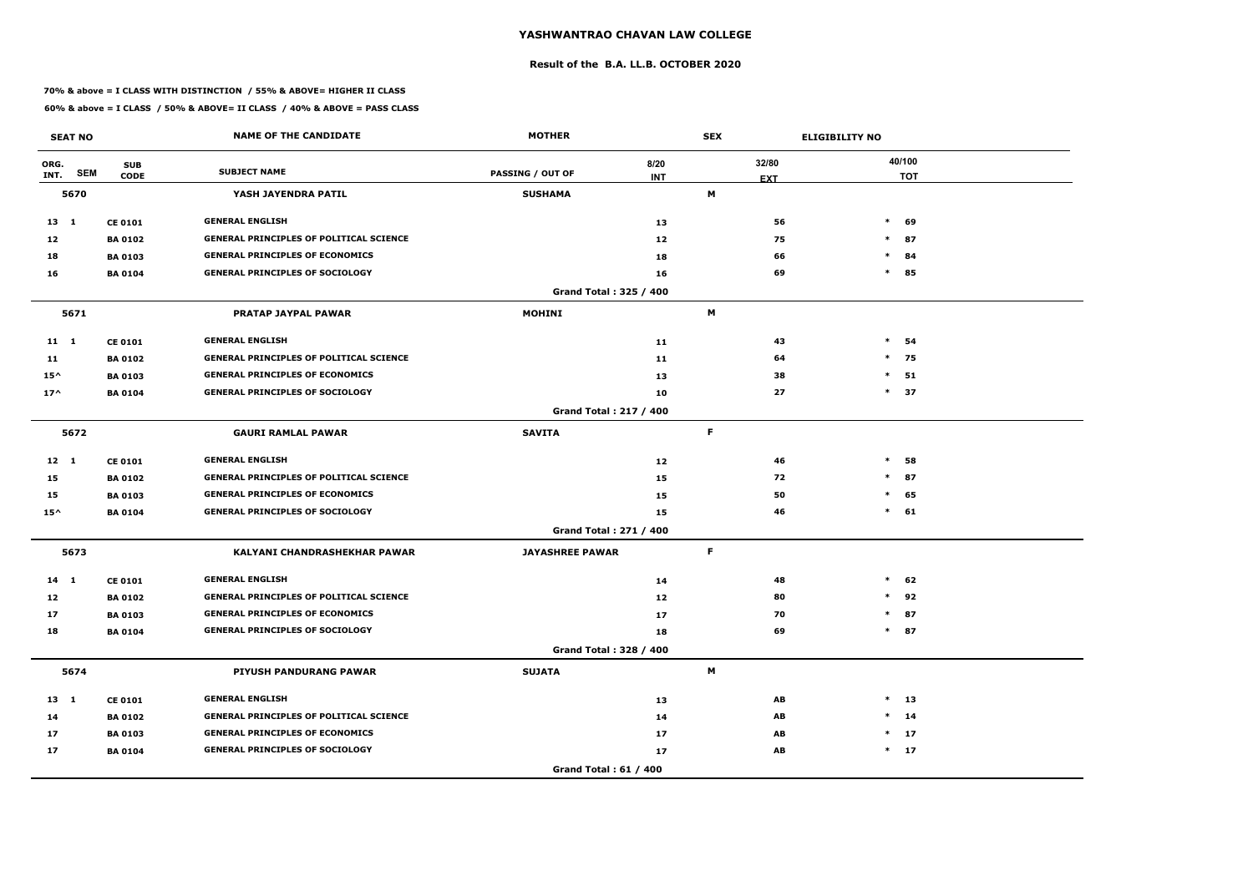### **Result of the B.A. LL.B. OCTOBER 2020**

### **70% & above = I CLASS WITH DISTINCTION / 55% & ABOVE= HIGHER II CLASS**

|                 | <b>SEAT NO</b> |                                  | <b>NAME OF THE CANDIDATE</b>                   | <b>MOTHER</b>                 |            | <b>SEX</b> |            | <b>ELIGIBILITY NO</b> |                      |
|-----------------|----------------|----------------------------------|------------------------------------------------|-------------------------------|------------|------------|------------|-----------------------|----------------------|
| ORG.<br>INT.    | <b>SEM</b>     | <b>SUB</b><br><b>CODE</b>        | <b>SUBJECT NAME</b>                            | <b>PASSING / OUT OF</b>       | 8/20       |            | 32/80      |                       | 40/100<br><b>TOT</b> |
|                 | 5670           |                                  | YASH JAYENDRA PATIL                            | <b>SUSHAMA</b>                | <b>INT</b> | M          | <b>EXT</b> |                       |                      |
|                 |                |                                  | <b>GENERAL ENGLISH</b>                         |                               |            |            |            | $\ast$                |                      |
| $13 \quad 1$    |                | <b>CE 0101</b>                   | <b>GENERAL PRINCIPLES OF POLITICAL SCIENCE</b> |                               | 13         |            | 56         |                       | 69                   |
| 12<br>18        |                | <b>BA 0102</b><br><b>BA 0103</b> | <b>GENERAL PRINCIPLES OF ECONOMICS</b>         |                               | 12         |            | 75<br>66   | $\ast$                | $*$ 87<br>84         |
|                 |                |                                  | <b>GENERAL PRINCIPLES OF SOCIOLOGY</b>         |                               | 18         |            | 69         | $\ast$                |                      |
| 16              |                | <b>BA 0104</b>                   |                                                | Grand Total: 325 / 400        | 16         |            |            |                       | 85                   |
|                 | 5671           |                                  | <b>PRATAP JAYPAL PAWAR</b>                     | <b>MOHINI</b>                 |            | M          |            |                       |                      |
| $11 \quad 1$    |                | <b>CE 0101</b>                   | <b>GENERAL ENGLISH</b>                         |                               | 11         |            | 43         | $\ast$                | 54                   |
| 11              |                | <b>BA 0102</b>                   | <b>GENERAL PRINCIPLES OF POLITICAL SCIENCE</b> |                               | 11         |            | 64         | $\ast$                | 75                   |
| $15^{\wedge}$   |                | <b>BA 0103</b>                   | <b>GENERAL PRINCIPLES OF ECONOMICS</b>         |                               | 13         |            | 38         | $\ast$                | 51                   |
| $17^$           |                | <b>BA 0104</b>                   | <b>GENERAL PRINCIPLES OF SOCIOLOGY</b>         |                               | 10         |            | 27         |                       | $*$ 37               |
|                 |                |                                  |                                                | <b>Grand Total: 217 / 400</b> |            |            |            |                       |                      |
|                 | 5672           |                                  | <b>GAURI RAMLAL PAWAR</b>                      | <b>SAVITA</b>                 |            | F.         |            |                       |                      |
| $12 \quad 1$    |                | <b>CE 0101</b>                   | <b>GENERAL ENGLISH</b>                         |                               | 12         |            | 46         | $\ast$                | 58                   |
| 15              |                | <b>BA 0102</b>                   | <b>GENERAL PRINCIPLES OF POLITICAL SCIENCE</b> |                               | 15         |            | 72         | $\ast$                | 87                   |
| 15              |                | <b>BA 0103</b>                   | <b>GENERAL PRINCIPLES OF ECONOMICS</b>         |                               | 15         |            | 50         | $\ast$                | 65                   |
| $15^{\wedge}$   |                | <b>BA 0104</b>                   | <b>GENERAL PRINCIPLES OF SOCIOLOGY</b>         |                               | 15         |            | 46         |                       | $*$ 61               |
|                 |                |                                  |                                                | Grand Total: 271 / 400        |            |            |            |                       |                      |
|                 | 5673           |                                  | <b>KALYANI CHANDRASHEKHAR PAWAR</b>            | <b>JAYASHREE PAWAR</b>        |            | F.         |            |                       |                      |
| $14$ 1          |                | <b>CE 0101</b>                   | <b>GENERAL ENGLISH</b>                         |                               | 14         |            | 48         | $\ast$                | 62                   |
| 12 <sub>2</sub> |                | <b>BA 0102</b>                   | <b>GENERAL PRINCIPLES OF POLITICAL SCIENCE</b> |                               | 12         |            | 80         | $*$                   | 92                   |
| 17              |                | <b>BA 0103</b>                   | <b>GENERAL PRINCIPLES OF ECONOMICS</b>         |                               | 17         |            | 70         |                       | $*$ 87               |
| 18              |                | <b>BA 0104</b>                   | <b>GENERAL PRINCIPLES OF SOCIOLOGY</b>         |                               | 18         |            | 69         |                       | $*$ 87               |
|                 |                |                                  |                                                | Grand Total: 328 / 400        |            |            |            |                       |                      |
|                 | 5674           |                                  | PIYUSH PANDURANG PAWAR                         | <b>SUJATA</b>                 |            | M          |            |                       |                      |
| $13 \quad 1$    |                | <b>CE 0101</b>                   | <b>GENERAL ENGLISH</b>                         |                               | 13         |            | AB         |                       | $*$ 13               |
| 14              |                | <b>BA 0102</b>                   | <b>GENERAL PRINCIPLES OF POLITICAL SCIENCE</b> |                               | 14         |            | AB         |                       | $*$ 14               |
| 17              |                | <b>BA 0103</b>                   | <b>GENERAL PRINCIPLES OF ECONOMICS</b>         |                               | 17         |            | AB         |                       | $*$ 17               |
| 17              |                | <b>BA 0104</b>                   | <b>GENERAL PRINCIPLES OF SOCIOLOGY</b>         |                               | 17         |            | AB         |                       | $*$ 17               |
|                 |                |                                  |                                                | <b>Grand Total: 61 / 400</b>  |            |            |            |                       |                      |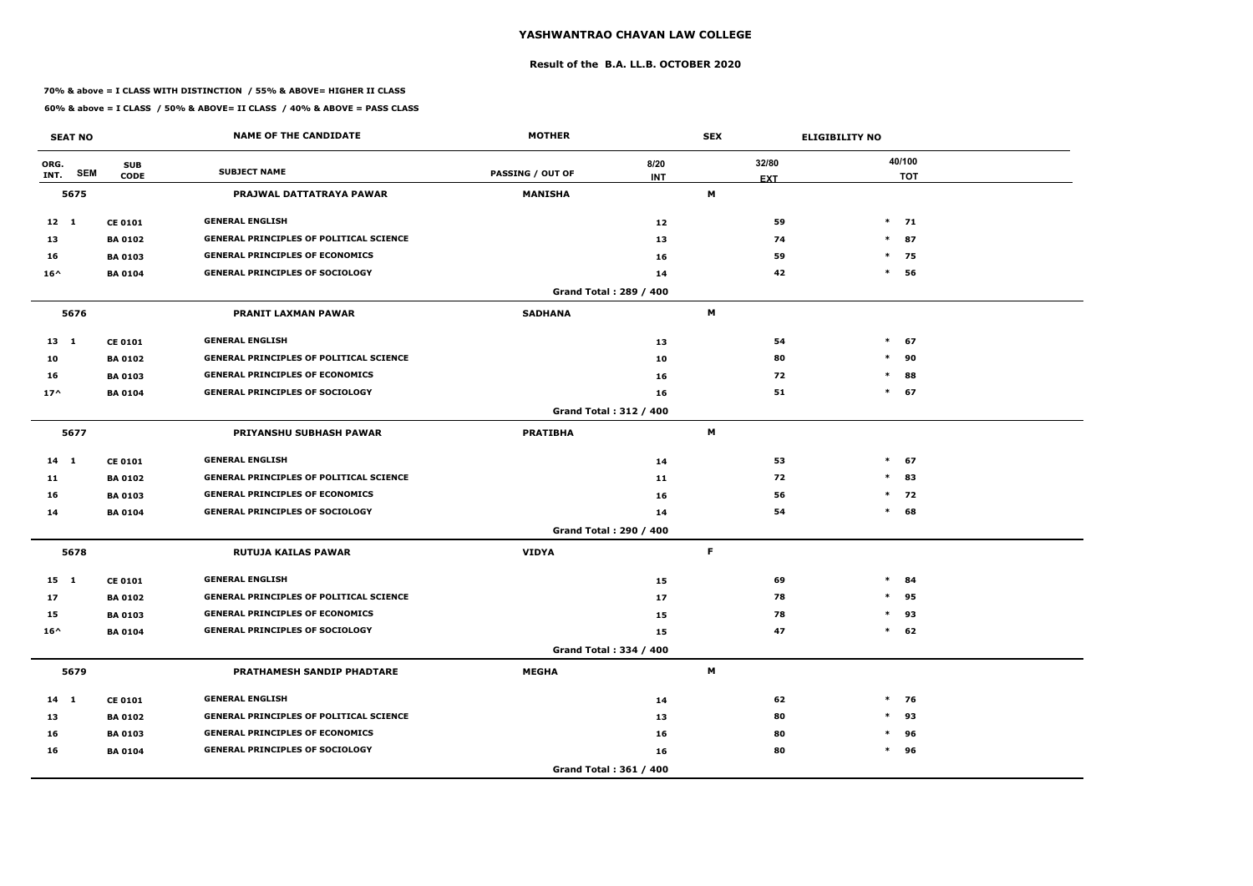### **Result of the B.A. LL.B. OCTOBER 2020**

### **70% & above = I CLASS WITH DISTINCTION / 55% & ABOVE= HIGHER II CLASS**

|               | <b>SEAT NO</b> |                           | <b>NAME OF THE CANDIDATE</b>                   | <b>MOTHER</b>           |                        | <b>SEX</b>          | <b>ELIGIBILITY NO</b> |
|---------------|----------------|---------------------------|------------------------------------------------|-------------------------|------------------------|---------------------|-----------------------|
| ORG.<br>INT.  | <b>SEM</b>     | <b>SUB</b><br><b>CODE</b> | <b>SUBJECT NAME</b>                            | <b>PASSING / OUT OF</b> | 8/20<br><b>INT</b>     | 32/80<br><b>EXT</b> | 40/100<br><b>TOT</b>  |
|               | 5675           |                           | PRAJWAL DATTATRAYA PAWAR                       | <b>MANISHA</b>          |                        | М                   |                       |
| $12 \quad 1$  |                | <b>CE 0101</b>            | <b>GENERAL ENGLISH</b>                         |                         | 12                     | 59                  | $*$ 71                |
| 13            |                | <b>BA 0102</b>            | <b>GENERAL PRINCIPLES OF POLITICAL SCIENCE</b> |                         | 13                     | 74                  | $*$ 87                |
| 16            |                | <b>BA 0103</b>            | <b>GENERAL PRINCIPLES OF ECONOMICS</b>         |                         | 16                     | 59                  | $\ast$<br>75          |
| $16^{\wedge}$ |                | <b>BA 0104</b>            | <b>GENERAL PRINCIPLES OF SOCIOLOGY</b>         |                         | 14                     | 42                  | $\ast$<br>56          |
|               |                |                           |                                                |                         | Grand Total: 289 / 400 |                     |                       |
|               | 5676           |                           | <b>PRANIT LAXMAN PAWAR</b>                     | <b>SADHANA</b>          |                        | M                   |                       |
| $13 \quad 1$  |                | <b>CE 0101</b>            | <b>GENERAL ENGLISH</b>                         |                         | 13                     | 54                  | $*$<br>67             |
| 10            |                | <b>BA 0102</b>            | <b>GENERAL PRINCIPLES OF POLITICAL SCIENCE</b> |                         | 10                     | 80                  | $\ast$<br>90          |
| 16            |                | <b>BA 0103</b>            | <b>GENERAL PRINCIPLES OF ECONOMICS</b>         |                         | 16                     | 72                  | $\ast$<br>88          |
| $17^$         |                | <b>BA 0104</b>            | <b>GENERAL PRINCIPLES OF SOCIOLOGY</b>         |                         | 16                     | 51                  | $*$ 67                |
|               |                |                           |                                                |                         | Grand Total: 312 / 400 |                     |                       |
|               | 5677           |                           | <b>PRIYANSHU SUBHASH PAWAR</b>                 | <b>PRATIBHA</b>         |                        | M                   |                       |
| $14 \quad 1$  |                | <b>CE 0101</b>            | <b>GENERAL ENGLISH</b>                         |                         | 14                     | 53                  | $*$ 67                |
| 11            |                | <b>BA 0102</b>            | <b>GENERAL PRINCIPLES OF POLITICAL SCIENCE</b> |                         | 11                     | 72                  | 83<br>$\ast$          |
| 16            |                | <b>BA 0103</b>            | <b>GENERAL PRINCIPLES OF ECONOMICS</b>         |                         | 16                     | 56                  | $\ast$<br>72          |
| 14            |                | <b>BA 0104</b>            | <b>GENERAL PRINCIPLES OF SOCIOLOGY</b>         |                         | 14                     | 54                  | 68<br>$\ast$          |
|               |                |                           |                                                |                         | Grand Total: 290 / 400 |                     |                       |
|               | 5678           |                           | <b>RUTUJA KAILAS PAWAR</b>                     | <b>VIDYA</b>            |                        | F.                  |                       |
| $15 \quad 1$  |                | <b>CE 0101</b>            | <b>GENERAL ENGLISH</b>                         |                         | 15                     | 69                  | $\ast$<br>84          |
| 17            |                | <b>BA 0102</b>            | <b>GENERAL PRINCIPLES OF POLITICAL SCIENCE</b> |                         | 17                     | 78                  | $\ast$<br>95          |
| 15            |                | <b>BA 0103</b>            | <b>GENERAL PRINCIPLES OF ECONOMICS</b>         |                         | 15                     | 78                  | $\ast$<br>93          |
| $16^{\wedge}$ |                | <b>BA 0104</b>            | <b>GENERAL PRINCIPLES OF SOCIOLOGY</b>         |                         | 15                     | 47                  | $*$ 62                |
|               |                |                           |                                                |                         | Grand Total: 334 / 400 |                     |                       |
|               | 5679           |                           | PRATHAMESH SANDIP PHADTARE                     | <b>MEGHA</b>            |                        | M                   |                       |
| $14$ 1        |                | <b>CE 0101</b>            | <b>GENERAL ENGLISH</b>                         |                         | 14                     | 62                  | $*$ 76                |
| 13            |                | <b>BA 0102</b>            | <b>GENERAL PRINCIPLES OF POLITICAL SCIENCE</b> |                         | 13                     | 80                  | $\ast$<br>93          |
| 16            |                | <b>BA 0103</b>            | <b>GENERAL PRINCIPLES OF ECONOMICS</b>         |                         | 16                     | 80                  | 96<br>$\ast$          |
| 16            |                | <b>BA 0104</b>            | <b>GENERAL PRINCIPLES OF SOCIOLOGY</b>         |                         | 16                     | 80                  | $*$ 96                |
|               |                |                           |                                                |                         | Grand Total: 361 / 400 |                     |                       |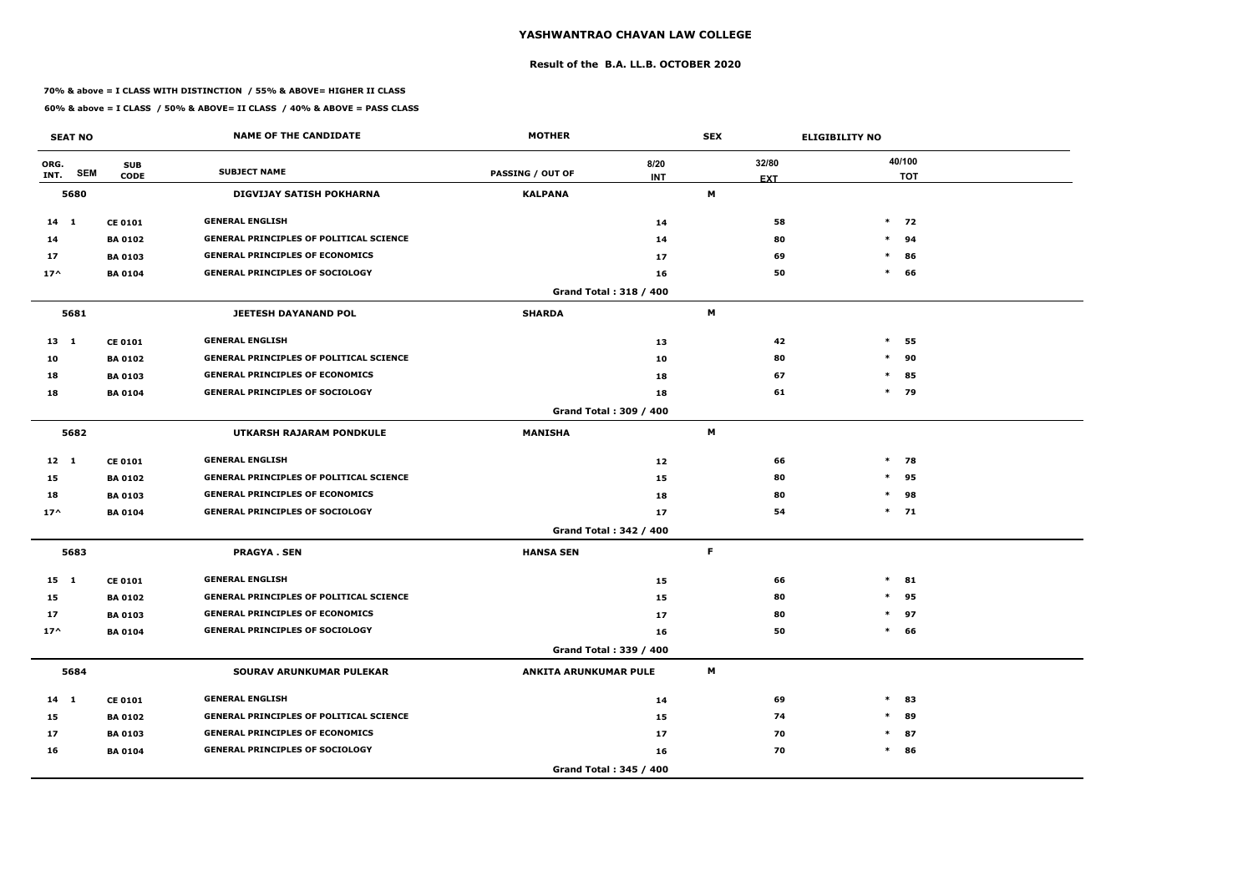### **Result of the B.A. LL.B. OCTOBER 2020**

### **70% & above = I CLASS WITH DISTINCTION / 55% & ABOVE= HIGHER II CLASS**

|               | <b>SEAT NO</b> |                           | <b>NAME OF THE CANDIDATE</b>                   | <b>MOTHER</b>                 |                    | <b>SEX</b>                |            | <b>ELIGIBILITY NO</b> |        |                      |
|---------------|----------------|---------------------------|------------------------------------------------|-------------------------------|--------------------|---------------------------|------------|-----------------------|--------|----------------------|
| ORG.<br>INT.  | <b>SEM</b>     | <b>SUB</b><br><b>CODE</b> | <b>SUBJECT NAME</b>                            | <b>PASSING / OUT OF</b>       | 8/20<br><b>INT</b> | 32/80                     | <b>EXT</b> |                       |        | 40/100<br><b>TOT</b> |
|               | 5680           |                           | <b>DIGVIJAY SATISH POKHARNA</b>                | <b>KALPANA</b>                |                    | M                         |            |                       |        |                      |
| $14 \quad 1$  |                | <b>CE 0101</b>            | <b>GENERAL ENGLISH</b>                         |                               | 14                 |                           | 58         |                       |        | $*$ 72               |
| 14            |                | <b>BA 0102</b>            | <b>GENERAL PRINCIPLES OF POLITICAL SCIENCE</b> |                               | 14                 |                           | 80         |                       | $\ast$ | 94                   |
| 17            |                | <b>BA 0103</b>            | <b>GENERAL PRINCIPLES OF ECONOMICS</b>         |                               | 17                 |                           | 69         |                       | $\ast$ | 86                   |
| $17^$         |                | <b>BA 0104</b>            | <b>GENERAL PRINCIPLES OF SOCIOLOGY</b>         |                               | 16                 |                           | 50         |                       | $\ast$ | 66                   |
|               |                |                           |                                                | Grand Total: 318 / 400        |                    |                           |            |                       |        |                      |
|               | 5681           |                           | <b>JEETESH DAYANAND POL</b>                    | <b>SHARDA</b>                 |                    | M                         |            |                       |        |                      |
| $13 \quad 1$  |                | <b>CE 0101</b>            | <b>GENERAL ENGLISH</b>                         |                               | 13                 |                           | 42         |                       | $\ast$ | 55                   |
| 10            |                | <b>BA0102</b>             | <b>GENERAL PRINCIPLES OF POLITICAL SCIENCE</b> |                               | 10                 |                           | 80         |                       | $\ast$ | 90                   |
| 18            |                | <b>BA0103</b>             | <b>GENERAL PRINCIPLES OF ECONOMICS</b>         |                               | 18                 |                           | 67         |                       | $\ast$ | 85                   |
| 18            |                | <b>BA0104</b>             | <b>GENERAL PRINCIPLES OF SOCIOLOGY</b>         |                               | 18                 |                           | 61         |                       | $*$ 79 |                      |
|               |                |                           |                                                | Grand Total: 309 / 400        |                    |                           |            |                       |        |                      |
|               | 5682           |                           | UTKARSH RAJARAM PONDKULE                       | <b>MANISHA</b>                |                    | M                         |            |                       |        |                      |
| $12 \quad 1$  |                | <b>CE 0101</b>            | <b>GENERAL ENGLISH</b>                         |                               | 12                 |                           | 66         |                       | $\ast$ | 78                   |
| 15            |                | <b>BA0102</b>             | <b>GENERAL PRINCIPLES OF POLITICAL SCIENCE</b> |                               | 15                 |                           | 80         |                       | $\ast$ | 95                   |
| 18            |                | <b>BA 0103</b>            | <b>GENERAL PRINCIPLES OF ECONOMICS</b>         |                               | 18                 |                           | 80         |                       | $\ast$ | 98                   |
| $17^$         |                | <b>BA 0104</b>            | <b>GENERAL PRINCIPLES OF SOCIOLOGY</b>         |                               | 17                 |                           | 54         |                       |        | $*$ 71               |
|               |                |                           |                                                | <b>Grand Total: 342 / 400</b> |                    |                           |            |                       |        |                      |
|               | 5683           |                           | <b>PRAGYA.SEN</b>                              | <b>HANSA SEN</b>              |                    | F.                        |            |                       |        |                      |
| $15 \quad 1$  |                | <b>CE 0101</b>            | <b>GENERAL ENGLISH</b>                         |                               | 15                 |                           | 66         |                       | $\ast$ | 81                   |
| 15            |                | <b>BA0102</b>             | <b>GENERAL PRINCIPLES OF POLITICAL SCIENCE</b> |                               | 15                 |                           | 80         |                       | $\ast$ | 95                   |
| 17            |                | <b>BA 0103</b>            | <b>GENERAL PRINCIPLES OF ECONOMICS</b>         |                               | 17                 |                           | 80         |                       | $\ast$ | 97                   |
| $17^{\wedge}$ |                | <b>BA 0104</b>            | <b>GENERAL PRINCIPLES OF SOCIOLOGY</b>         |                               | 16                 |                           | 50         |                       | $\ast$ | 66                   |
|               |                |                           |                                                | Grand Total: 339 / 400        |                    |                           |            |                       |        |                      |
|               | 5684           |                           | SOURAV ARUNKUMAR PULEKAR                       | <b>ANKITA ARUNKUMAR PULE</b>  |                    | $\boldsymbol{\mathsf{M}}$ |            |                       |        |                      |
| $14$ 1        |                | <b>CE 0101</b>            | <b>GENERAL ENGLISH</b>                         |                               | 14                 |                           | 69         |                       | $\ast$ | 83                   |
| 15            |                | <b>BA 0102</b>            | <b>GENERAL PRINCIPLES OF POLITICAL SCIENCE</b> |                               | 15                 |                           | 74         |                       | $\ast$ | 89                   |
| 17            |                | <b>BA 0103</b>            | <b>GENERAL PRINCIPLES OF ECONOMICS</b>         |                               | 17                 |                           | 70         |                       |        | $*$ 87               |
| 16            |                | <b>BA 0104</b>            | <b>GENERAL PRINCIPLES OF SOCIOLOGY</b>         |                               | 16                 |                           | 70         |                       |        | $*$ 86               |
|               |                |                           |                                                | Grand Total: 345 / 400        |                    |                           |            |                       |        |                      |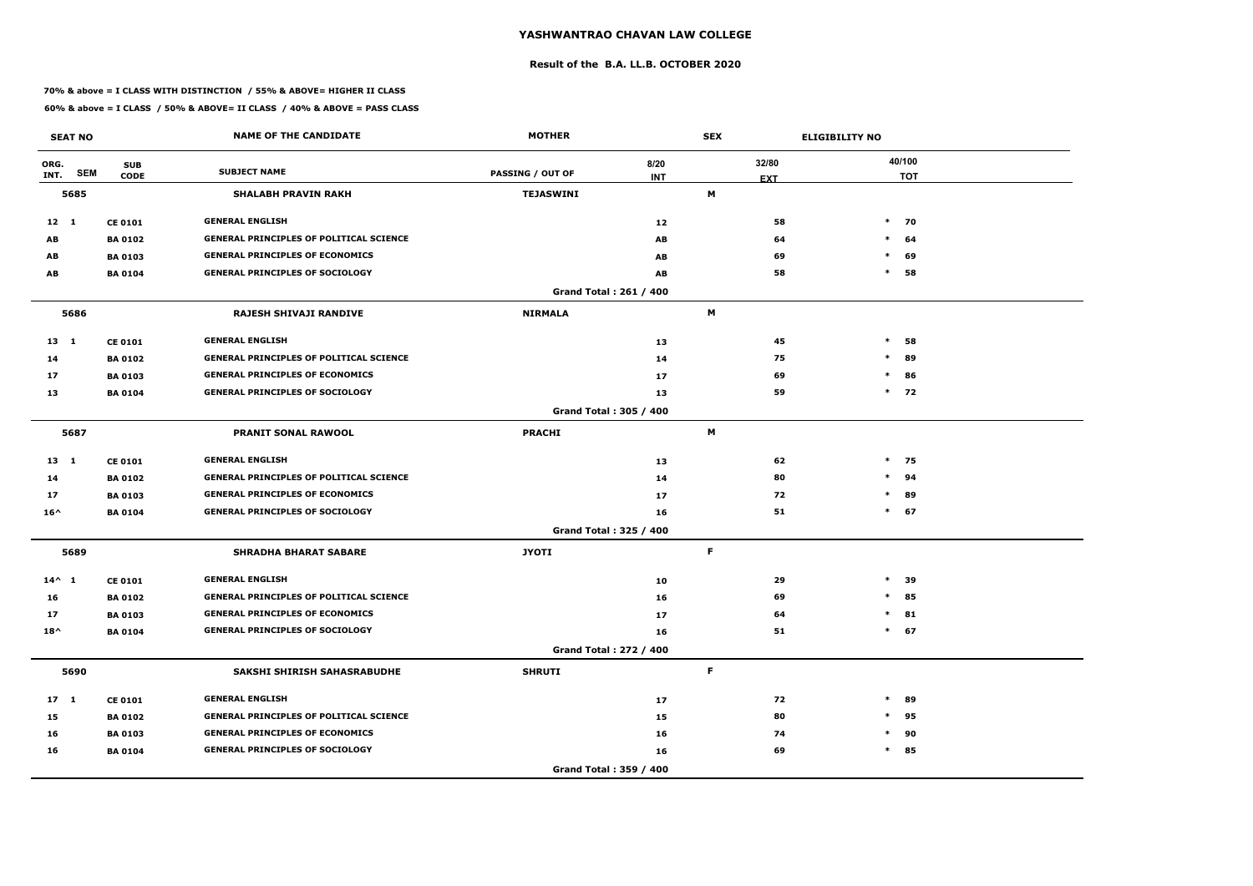### **Result of the B.A. LL.B. OCTOBER 2020**

### **70% & above = I CLASS WITH DISTINCTION / 55% & ABOVE= HIGHER II CLASS**

| <b>SEAT NO</b>  |                                         | <b>NAME OF THE CANDIDATE</b>                   | <b>MOTHER</b>           |                               | <b>SEX</b>      |    | <b>ELIGIBILITY NO</b> |                      |
|-----------------|-----------------------------------------|------------------------------------------------|-------------------------|-------------------------------|-----------------|----|-----------------------|----------------------|
| ORG.<br>INT.    | <b>SUB</b><br><b>SEM</b><br><b>CODE</b> | <b>SUBJECT NAME</b>                            | <b>PASSING / OUT OF</b> | 8/20                          | 32/80           |    |                       | 40/100<br><b>TOT</b> |
| 5685            |                                         | <b>SHALABH PRAVIN RAKH</b>                     | <b>TEJASWINI</b>        | <b>INT</b>                    | <b>EXT</b><br>M |    |                       |                      |
|                 |                                         |                                                |                         |                               |                 |    |                       |                      |
| $12 \quad 1$    | <b>CE 0101</b>                          | <b>GENERAL ENGLISH</b>                         |                         | 12                            |                 | 58 |                       | $*$ 70               |
| AB              | <b>BA 0102</b>                          | <b>GENERAL PRINCIPLES OF POLITICAL SCIENCE</b> |                         | AB                            |                 | 64 | $\ast$                | 64                   |
| AB              | <b>BA 0103</b>                          | <b>GENERAL PRINCIPLES OF ECONOMICS</b>         |                         | AB                            |                 | 69 | $\ast$                | 69                   |
| AB              | <b>BA 0104</b>                          | <b>GENERAL PRINCIPLES OF SOCIOLOGY</b>         |                         | AB                            |                 | 58 | $\ast$                | 58                   |
|                 |                                         |                                                |                         | Grand Total: 261 / 400        |                 |    |                       |                      |
| 5686            |                                         | <b>RAJESH SHIVAJI RANDIVE</b>                  | <b>NIRMALA</b>          |                               | M               |    |                       |                      |
| $13 \quad 1$    | <b>CE 0101</b>                          | <b>GENERAL ENGLISH</b>                         |                         | 13                            |                 | 45 | $\ast$                | 58                   |
| 14              | <b>BA 0102</b>                          | <b>GENERAL PRINCIPLES OF POLITICAL SCIENCE</b> |                         | 14                            |                 | 75 | $\ast$                | 89                   |
| 17              | <b>BA 0103</b>                          | <b>GENERAL PRINCIPLES OF ECONOMICS</b>         |                         | 17                            |                 | 69 | $\ast$                | 86                   |
| 13              | <b>BA 0104</b>                          | <b>GENERAL PRINCIPLES OF SOCIOLOGY</b>         |                         | 13                            |                 | 59 |                       | $*$ 72               |
|                 |                                         |                                                |                         | Grand Total: 305 / 400        |                 |    |                       |                      |
| 5687            |                                         | <b>PRANIT SONAL RAWOOL</b>                     | <b>PRACHI</b>           |                               | M               |    |                       |                      |
| $13 \quad 1$    | <b>CE 0101</b>                          | <b>GENERAL ENGLISH</b>                         |                         | 13                            |                 | 62 |                       | $*$ 75               |
| 14              | <b>BA 0102</b>                          | <b>GENERAL PRINCIPLES OF POLITICAL SCIENCE</b> |                         | 14                            |                 | 80 | $\ast$                | 94                   |
| 17              | <b>BA 0103</b>                          | <b>GENERAL PRINCIPLES OF ECONOMICS</b>         |                         | 17                            |                 | 72 | $\ast$                | 89                   |
| $16^{\wedge}$   | <b>BA 0104</b>                          | <b>GENERAL PRINCIPLES OF SOCIOLOGY</b>         |                         | 16                            |                 | 51 |                       | $*$ 67               |
|                 |                                         |                                                |                         | Grand Total: 325 / 400        |                 |    |                       |                      |
| 5689            |                                         | <b>SHRADHA BHARAT SABARE</b>                   | <b>JYOTI</b>            |                               | F               |    |                       |                      |
| $14^{\wedge} 1$ | <b>CE 0101</b>                          | <b>GENERAL ENGLISH</b>                         |                         | 10                            |                 | 29 | $\ast$                | 39                   |
| 16              | <b>BA 0102</b>                          | <b>GENERAL PRINCIPLES OF POLITICAL SCIENCE</b> |                         | 16                            |                 | 69 | $\ast$                | 85                   |
| 17              | <b>BA 0103</b>                          | <b>GENERAL PRINCIPLES OF ECONOMICS</b>         |                         | 17                            |                 | 64 |                       | $*$ 81               |
| $18^{\wedge}$   | <b>BA 0104</b>                          | <b>GENERAL PRINCIPLES OF SOCIOLOGY</b>         |                         | 16                            |                 | 51 |                       | $*$ 67               |
|                 |                                         |                                                |                         | <b>Grand Total: 272 / 400</b> |                 |    |                       |                      |
| 5690            |                                         | SAKSHI SHIRISH SAHASRABUDHE                    | <b>SHRUTI</b>           |                               | F.              |    |                       |                      |
| $17 \quad 1$    | <b>CE 0101</b>                          | <b>GENERAL ENGLISH</b>                         |                         | 17                            |                 | 72 | $\ast$                | 89                   |
| 15              | <b>BA 0102</b>                          | <b>GENERAL PRINCIPLES OF POLITICAL SCIENCE</b> |                         | 15                            |                 | 80 | $\ast$                | 95                   |
| 16              | <b>BA 0103</b>                          | <b>GENERAL PRINCIPLES OF ECONOMICS</b>         |                         | 16                            |                 | 74 | $\ast$                | 90                   |
| 16              | <b>BA 0104</b>                          | <b>GENERAL PRINCIPLES OF SOCIOLOGY</b>         |                         | 16                            |                 | 69 |                       | $*$ 85               |
|                 |                                         |                                                |                         | Grand Total: 359 / 400        |                 |    |                       |                      |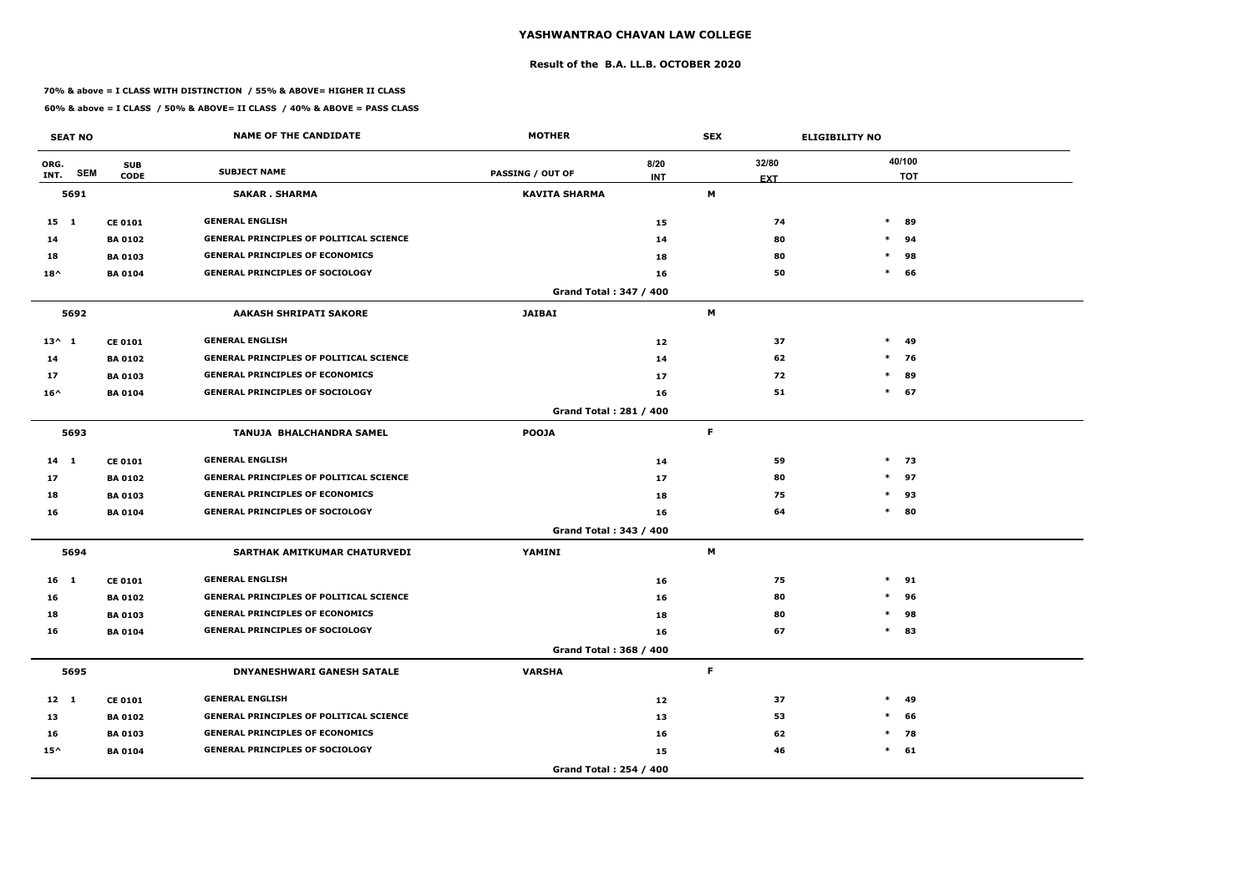### **Result of the B.A. LL.B. OCTOBER 2020**

### **70% & above = I CLASS WITH DISTINCTION / 55% & ABOVE= HIGHER II CLASS**

| <b>SEAT NO</b>  |            |                           | <b>NAME OF THE CANDIDATE</b>                   | <b>MOTHER</b>                 |                    | <b>SEX</b>  |                     | <b>ELIGIBILITY NO</b> |                      |
|-----------------|------------|---------------------------|------------------------------------------------|-------------------------------|--------------------|-------------|---------------------|-----------------------|----------------------|
| ORG.<br>INT.    | <b>SEM</b> | <b>SUB</b><br><b>CODE</b> | <b>SUBJECT NAME</b>                            | <b>PASSING / OUT OF</b>       | 8/20<br><b>INT</b> |             | 32/80<br><b>EXT</b> |                       | 40/100<br><b>TOT</b> |
|                 | 5691       |                           | <b>SAKAR . SHARMA</b>                          | <b>KAVITA SHARMA</b>          |                    | М           |                     |                       |                      |
| $15 \quad 1$    |            | <b>CE 0101</b>            | <b>GENERAL ENGLISH</b>                         |                               | 15                 |             | 74                  | $\ast$                | 89                   |
| 14              |            | <b>BA 0102</b>            | <b>GENERAL PRINCIPLES OF POLITICAL SCIENCE</b> |                               | 14                 |             | 80                  | $\ast$                | 94                   |
| 18              |            | <b>BA 0103</b>            | <b>GENERAL PRINCIPLES OF ECONOMICS</b>         |                               | 18                 |             | 80                  | $\ast$                | 98                   |
| $18^{\wedge}$   |            | <b>BA 0104</b>            | <b>GENERAL PRINCIPLES OF SOCIOLOGY</b>         |                               | 16                 |             | 50                  | $\ast$                | 66                   |
|                 |            |                           |                                                | Grand Total: 347 / 400        |                    |             |                     |                       |                      |
|                 | 5692       |                           | <b>AAKASH SHRIPATI SAKORE</b>                  | <b>JAIBAI</b>                 |                    | M           |                     |                       |                      |
| $13^{\wedge} 1$ |            | <b>CE 0101</b>            | <b>GENERAL ENGLISH</b>                         |                               | 12                 |             | 37                  | $*$                   | 49                   |
| 14              |            | <b>BA 0102</b>            | <b>GENERAL PRINCIPLES OF POLITICAL SCIENCE</b> |                               | 14                 |             | 62                  | $\ast$                | 76                   |
| 17              |            | <b>BA 0103</b>            | <b>GENERAL PRINCIPLES OF ECONOMICS</b>         |                               | 17                 |             | 72                  | $\ast$                | 89                   |
| $16^{\wedge}$   |            | <b>BA 0104</b>            | <b>GENERAL PRINCIPLES OF SOCIOLOGY</b>         |                               | 16                 |             | 51                  |                       | $*$ 67               |
|                 |            |                           |                                                | <b>Grand Total: 281 / 400</b> |                    |             |                     |                       |                      |
|                 | 5693       |                           | TANUJA BHALCHANDRA SAMEL                       | <b>POOJA</b>                  |                    | F.          |                     |                       |                      |
| $14 \quad 1$    |            | <b>CE 0101</b>            | <b>GENERAL ENGLISH</b>                         |                               | 14                 |             | 59                  |                       | $*$ 73               |
| 17              |            | <b>BA 0102</b>            | <b>GENERAL PRINCIPLES OF POLITICAL SCIENCE</b> |                               | 17                 |             | 80                  | $*$                   | 97                   |
| 18              |            | <b>BA 0103</b>            | <b>GENERAL PRINCIPLES OF ECONOMICS</b>         |                               | 18                 |             | 75                  | $\ast$                | 93                   |
| 16              |            | <b>BA 0104</b>            | <b>GENERAL PRINCIPLES OF SOCIOLOGY</b>         |                               | 16                 |             | 64                  |                       | $*$ 80               |
|                 |            |                           |                                                | Grand Total: 343 / 400        |                    |             |                     |                       |                      |
|                 | 5694       |                           | SARTHAK AMITKUMAR CHATURVEDI                   | YAMINI                        |                    | M           |                     |                       |                      |
| 16 <sub>1</sub> |            | <b>CE 0101</b>            | <b>GENERAL ENGLISH</b>                         |                               | 16                 |             | 75                  | $\ast$                | 91                   |
| 16              |            | <b>BA 0102</b>            | <b>GENERAL PRINCIPLES OF POLITICAL SCIENCE</b> |                               | 16                 |             | 80                  | $\ast$                | 96                   |
| 18              |            | <b>BA 0103</b>            | <b>GENERAL PRINCIPLES OF ECONOMICS</b>         |                               | 18                 |             | 80                  | $\ast$                | 98                   |
| 16              |            | <b>BA 0104</b>            | <b>GENERAL PRINCIPLES OF SOCIOLOGY</b>         |                               | 16                 |             | 67                  |                       | $*$ 83               |
|                 |            |                           |                                                | Grand Total: 368 / 400        |                    |             |                     |                       |                      |
|                 | 5695       |                           | <b>DNYANESHWARI GANESH SATALE</b>              | <b>VARSHA</b>                 |                    | $\mathsf F$ |                     |                       |                      |
| $12 \quad 1$    |            | <b>CE 0101</b>            | <b>GENERAL ENGLISH</b>                         |                               | 12                 |             | 37                  | $\ast$                | 49                   |
| 13              |            | <b>BA 0102</b>            | <b>GENERAL PRINCIPLES OF POLITICAL SCIENCE</b> |                               | 13                 |             | 53                  | $\ast$                | 66                   |
| 16              |            | <b>BA 0103</b>            | <b>GENERAL PRINCIPLES OF ECONOMICS</b>         |                               | 16                 |             | 62                  |                       | $*$ 78               |
| $15^{\wedge}$   |            | <b>BA 0104</b>            | <b>GENERAL PRINCIPLES OF SOCIOLOGY</b>         |                               | 15                 |             | 46                  |                       | $*$ 61               |
|                 |            |                           |                                                | Grand Total: 254 / 400        |                    |             |                     |                       |                      |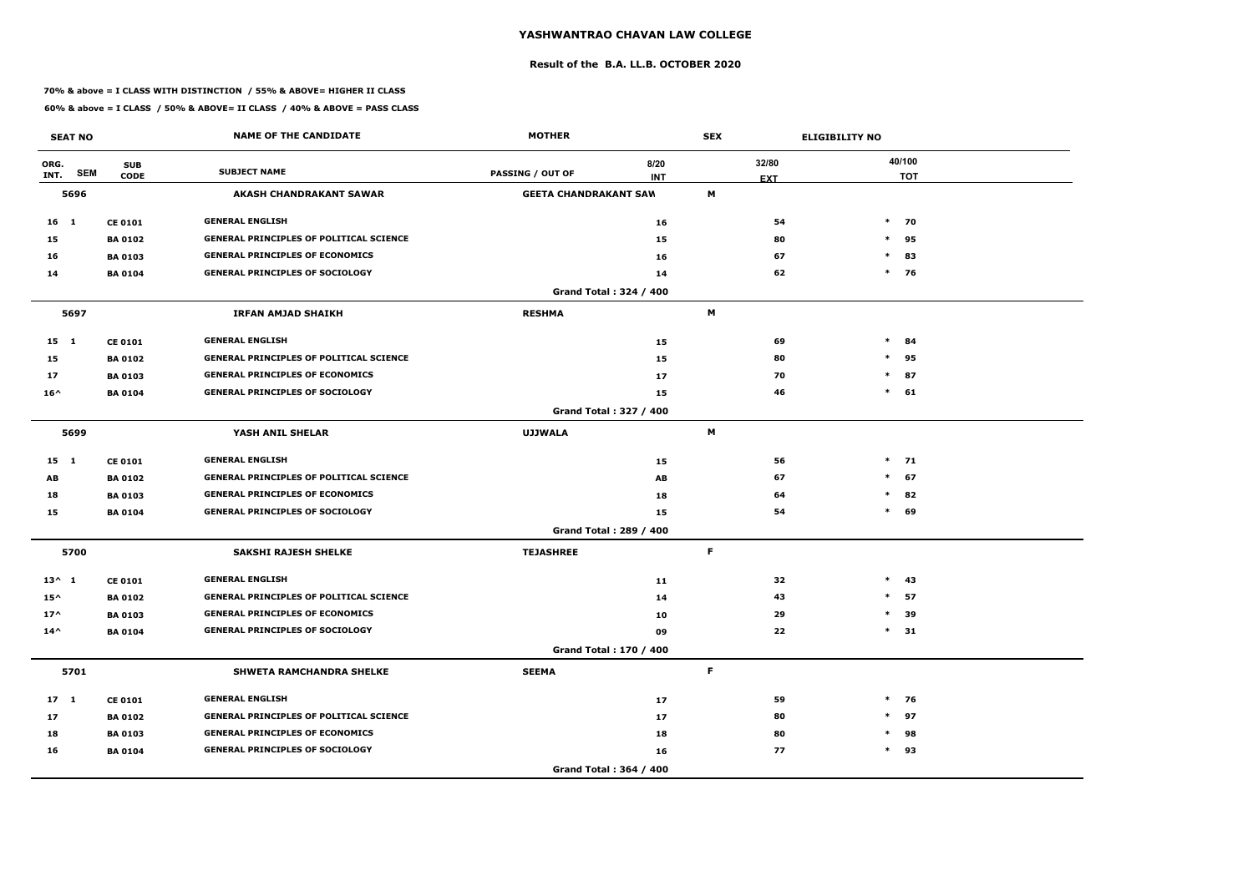### **Result of the B.A. LL.B. OCTOBER 2020**

### **70% & above = I CLASS WITH DISTINCTION / 55% & ABOVE= HIGHER II CLASS**

|                 | <b>SEAT NO</b> |                           | <b>NAME OF THE CANDIDATE</b>                   | <b>MOTHER</b>                |                        | <b>SEX</b> |                     | <b>ELIGIBILITY NO</b> |                      |
|-----------------|----------------|---------------------------|------------------------------------------------|------------------------------|------------------------|------------|---------------------|-----------------------|----------------------|
| ORG.<br>INT.    | <b>SEM</b>     | <b>SUB</b><br><b>CODE</b> | <b>SUBJECT NAME</b>                            | <b>PASSING / OUT OF</b>      | 8/20<br><b>INT</b>     |            | 32/80<br><b>EXT</b> |                       | 40/100<br><b>TOT</b> |
|                 | 5696           |                           | <b>AKASH CHANDRAKANT SAWAR</b>                 | <b>GEETA CHANDRAKANT SAW</b> |                        | M          |                     |                       |                      |
| 16 <sub>1</sub> |                | <b>CE 0101</b>            | <b>GENERAL ENGLISH</b>                         |                              | 16                     |            | 54                  |                       | $*$ 70               |
| 15              |                | <b>BA 0102</b>            | <b>GENERAL PRINCIPLES OF POLITICAL SCIENCE</b> |                              | 15                     |            | 80                  | $\ast$                | 95                   |
| 16              |                | <b>BA 0103</b>            | <b>GENERAL PRINCIPLES OF ECONOMICS</b>         |                              | 16                     |            | 67                  | $\ast$                | 83                   |
| 14              |                | <b>BA 0104</b>            | <b>GENERAL PRINCIPLES OF SOCIOLOGY</b>         |                              | 14                     |            | 62                  |                       | $*$ 76               |
|                 |                |                           |                                                |                              | Grand Total: 324 / 400 |            |                     |                       |                      |
|                 | 5697           |                           | <b>IRFAN AMJAD SHAIKH</b>                      | <b>RESHMA</b>                |                        | M          |                     |                       |                      |
| $15 \quad 1$    |                | <b>CE 0101</b>            | <b>GENERAL ENGLISH</b>                         |                              | 15                     |            | 69                  | $\ast$                | 84                   |
| 15              |                | <b>BA0102</b>             | <b>GENERAL PRINCIPLES OF POLITICAL SCIENCE</b> |                              | 15                     |            | 80                  | $\ast$                | 95                   |
| 17              |                | <b>BA 0103</b>            | <b>GENERAL PRINCIPLES OF ECONOMICS</b>         |                              | 17                     |            | 70                  | $\ast$                | 87                   |
| $16^{\wedge}$   |                | <b>BA 0104</b>            | <b>GENERAL PRINCIPLES OF SOCIOLOGY</b>         |                              | 15                     |            | 46                  | $\ast$                | 61                   |
|                 |                |                           |                                                |                              | Grand Total: 327 / 400 |            |                     |                       |                      |
|                 | 5699           |                           | YASH ANIL SHELAR                               | <b>UJJWALA</b>               |                        | M          |                     |                       |                      |
| $15 \quad 1$    |                | <b>CE 0101</b>            | <b>GENERAL ENGLISH</b>                         |                              | 15                     |            | 56                  |                       | $*$ 71               |
| AB              |                | <b>BA 0102</b>            | <b>GENERAL PRINCIPLES OF POLITICAL SCIENCE</b> |                              | AB                     |            | 67                  | $*$                   | 67                   |
| 18              |                | <b>BA 0103</b>            | <b>GENERAL PRINCIPLES OF ECONOMICS</b>         |                              | 18                     |            | 64                  | $\ast$                | 82                   |
| 15              |                | <b>BA 0104</b>            | <b>GENERAL PRINCIPLES OF SOCIOLOGY</b>         |                              | 15                     |            | 54                  | $\ast$                | 69                   |
|                 |                |                           |                                                |                              | Grand Total: 289 / 400 |            |                     |                       |                      |
|                 | 5700           |                           | <b>SAKSHI RAJESH SHELKE</b>                    | <b>TEJASHREE</b>             |                        | F.         |                     |                       |                      |
| $13^{\wedge} 1$ |                | <b>CE 0101</b>            | <b>GENERAL ENGLISH</b>                         |                              | 11                     |            | 32                  | $\ast$                | -43                  |
| $15^{\wedge}$   |                | <b>BA 0102</b>            | <b>GENERAL PRINCIPLES OF POLITICAL SCIENCE</b> |                              | 14                     |            | 43                  | $\ast$                | 57                   |
| $17^$           |                | <b>BA 0103</b>            | <b>GENERAL PRINCIPLES OF ECONOMICS</b>         |                              | 10                     |            | 29                  | $\ast$                | 39                   |
| $14^{\wedge}$   |                | <b>BA 0104</b>            | <b>GENERAL PRINCIPLES OF SOCIOLOGY</b>         |                              | 09                     |            | 22                  | $\ast$                | 31                   |
|                 |                |                           |                                                |                              | Grand Total: 170 / 400 |            |                     |                       |                      |
|                 | 5701           |                           | SHWETA RAMCHANDRA SHELKE                       | <b>SEEMA</b>                 |                        | F          |                     |                       |                      |
| $17 \quad 1$    |                | <b>CE 0101</b>            | <b>GENERAL ENGLISH</b>                         |                              | 17                     |            | 59                  |                       | $*$ 76               |
| 17              |                | <b>BA 0102</b>            | <b>GENERAL PRINCIPLES OF POLITICAL SCIENCE</b> |                              | $17$                   |            | 80                  | $\ast$                | 97                   |
| 18              |                | <b>BA 0103</b>            | <b>GENERAL PRINCIPLES OF ECONOMICS</b>         |                              | 18                     |            | 80                  | $\ast$                | 98                   |
| 16              |                | <b>BA 0104</b>            | <b>GENERAL PRINCIPLES OF SOCIOLOGY</b>         |                              | 16                     |            | 77                  |                       | $*$ 93               |
|                 |                |                           |                                                |                              | Grand Total: 364 / 400 |            |                     |                       |                      |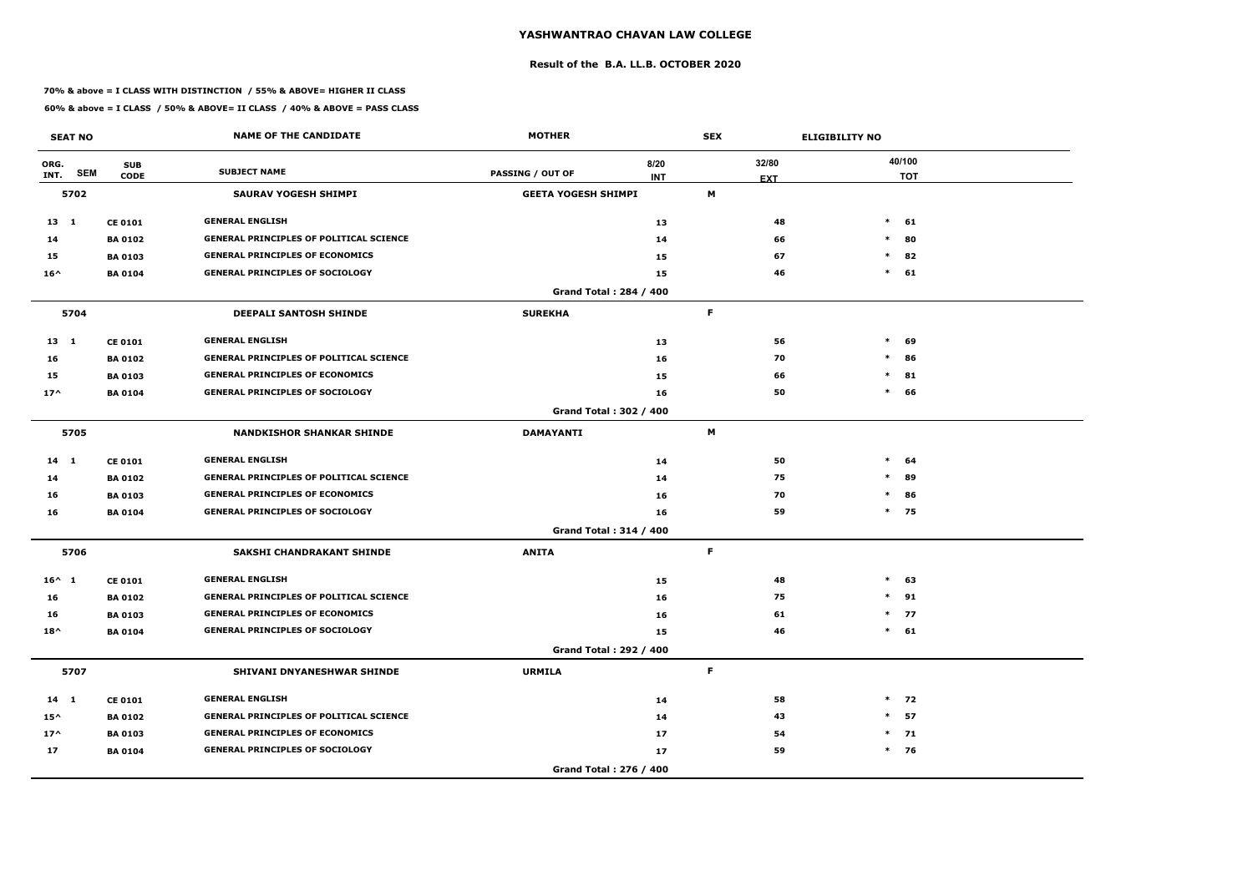### **Result of the B.A. LL.B. OCTOBER 2020**

### **70% & above = I CLASS WITH DISTINCTION / 55% & ABOVE= HIGHER II CLASS**

|                 | <b>SEAT NO</b> |                           | <b>NAME OF THE CANDIDATE</b>                   | <b>MOTHER</b>              |                               | <b>SEX</b> |                     | <b>ELIGIBILITY NO</b> |                      |
|-----------------|----------------|---------------------------|------------------------------------------------|----------------------------|-------------------------------|------------|---------------------|-----------------------|----------------------|
| ORG.<br>INT.    | <b>SEM</b>     | <b>SUB</b><br><b>CODE</b> | <b>SUBJECT NAME</b>                            | <b>PASSING / OUT OF</b>    | 8/20<br><b>INT</b>            |            | 32/80<br><b>EXT</b> |                       | 40/100<br><b>TOT</b> |
|                 | 5702           |                           | <b>SAURAV YOGESH SHIMPI</b>                    | <b>GEETA YOGESH SHIMPI</b> |                               | М          |                     |                       |                      |
| 13 1            |                | <b>CE 0101</b>            | <b>GENERAL ENGLISH</b>                         |                            | 13                            |            | 48                  | $*$                   | 61                   |
| 14              |                | <b>BA 0102</b>            | <b>GENERAL PRINCIPLES OF POLITICAL SCIENCE</b> |                            | 14                            |            | 66                  | $\ast$                | 80                   |
| 15              |                | <b>BA 0103</b>            | <b>GENERAL PRINCIPLES OF ECONOMICS</b>         |                            | 15                            |            | 67                  | $\ast$                | 82                   |
| $16^{\wedge}$   |                | <b>BA 0104</b>            | <b>GENERAL PRINCIPLES OF SOCIOLOGY</b>         |                            | 15                            |            | 46                  | $\ast$                | 61                   |
|                 |                |                           |                                                |                            | <b>Grand Total: 284 / 400</b> |            |                     |                       |                      |
|                 | 5704           |                           | <b>DEEPALI SANTOSH SHINDE</b>                  | <b>SUREKHA</b>             |                               | F          |                     |                       |                      |
| $13 \quad 1$    |                | <b>CE 0101</b>            | <b>GENERAL ENGLISH</b>                         |                            | 13                            |            | 56                  | $\ast$                | 69                   |
| 16              |                | <b>BA0102</b>             | <b>GENERAL PRINCIPLES OF POLITICAL SCIENCE</b> |                            | 16                            |            | 70                  | $\ast$                | 86                   |
| 15              |                | <b>BA 0103</b>            | <b>GENERAL PRINCIPLES OF ECONOMICS</b>         |                            | 15                            |            | 66                  | $\ast$                | 81                   |
| $17^$           |                | <b>BA 0104</b>            | <b>GENERAL PRINCIPLES OF SOCIOLOGY</b>         |                            | 16                            |            | 50                  | $\ast$                | 66                   |
|                 |                |                           |                                                |                            | Grand Total: 302 / 400        |            |                     |                       |                      |
|                 | 5705           |                           | <b>NANDKISHOR SHANKAR SHINDE</b>               | <b>DAMAYANTI</b>           |                               | М          |                     |                       |                      |
| $14$ 1          |                | <b>CE 0101</b>            | <b>GENERAL ENGLISH</b>                         |                            | 14                            |            | 50                  | $\ast$                | 64                   |
| 14              |                | <b>BA 0102</b>            | <b>GENERAL PRINCIPLES OF POLITICAL SCIENCE</b> |                            | 14                            |            | 75                  | $\ast$                | 89                   |
| 16              |                | <b>BA 0103</b>            | <b>GENERAL PRINCIPLES OF ECONOMICS</b>         |                            | 16                            |            | 70                  | $\ast$                | 86                   |
| 16              |                | <b>BA0104</b>             | <b>GENERAL PRINCIPLES OF SOCIOLOGY</b>         |                            | 16                            |            | 59                  |                       | $*$ 75               |
|                 |                |                           |                                                |                            | Grand Total: 314 / 400        |            |                     |                       |                      |
|                 | 5706           |                           | SAKSHI CHANDRAKANT SHINDE                      | <b>ANITA</b>               |                               | F.         |                     |                       |                      |
| $16^{\wedge} 1$ |                | <b>CE 0101</b>            | <b>GENERAL ENGLISH</b>                         |                            | 15                            |            | 48                  | $\ast$                | 63                   |
| 16              |                | <b>BA 0102</b>            | <b>GENERAL PRINCIPLES OF POLITICAL SCIENCE</b> |                            | 16                            |            | 75                  | $*$                   | 91                   |
| 16              |                | <b>BA 0103</b>            | <b>GENERAL PRINCIPLES OF ECONOMICS</b>         |                            | 16                            |            | 61                  |                       | $*$ 77               |
| $18^{\wedge}$   |                | <b>BA 0104</b>            | <b>GENERAL PRINCIPLES OF SOCIOLOGY</b>         |                            | 15                            |            | 46                  |                       | $*$ 61               |
|                 |                |                           |                                                |                            | Grand Total: 292 / 400        |            |                     |                       |                      |
|                 | 5707           |                           | SHIVANI DNYANESHWAR SHINDE                     | <b>URMILA</b>              |                               | F          |                     |                       |                      |
| $14 \quad 1$    |                | <b>CE 0101</b>            | <b>GENERAL ENGLISH</b>                         |                            | 14                            |            | 58                  |                       | $*$ 72               |
| $15^{\wedge}$   |                | <b>BA 0102</b>            | <b>GENERAL PRINCIPLES OF POLITICAL SCIENCE</b> |                            | 14                            |            | 43                  | $\ast$                | 57                   |
| $17^$           |                | <b>BA 0103</b>            | <b>GENERAL PRINCIPLES OF ECONOMICS</b>         |                            | 17                            |            | 54                  |                       | $*$ 71               |
| 17              |                | <b>BA 0104</b>            | <b>GENERAL PRINCIPLES OF SOCIOLOGY</b>         |                            | 17                            |            | 59                  |                       | $*$ 76               |
|                 |                |                           |                                                |                            | Grand Total: 276 / 400        |            |                     |                       |                      |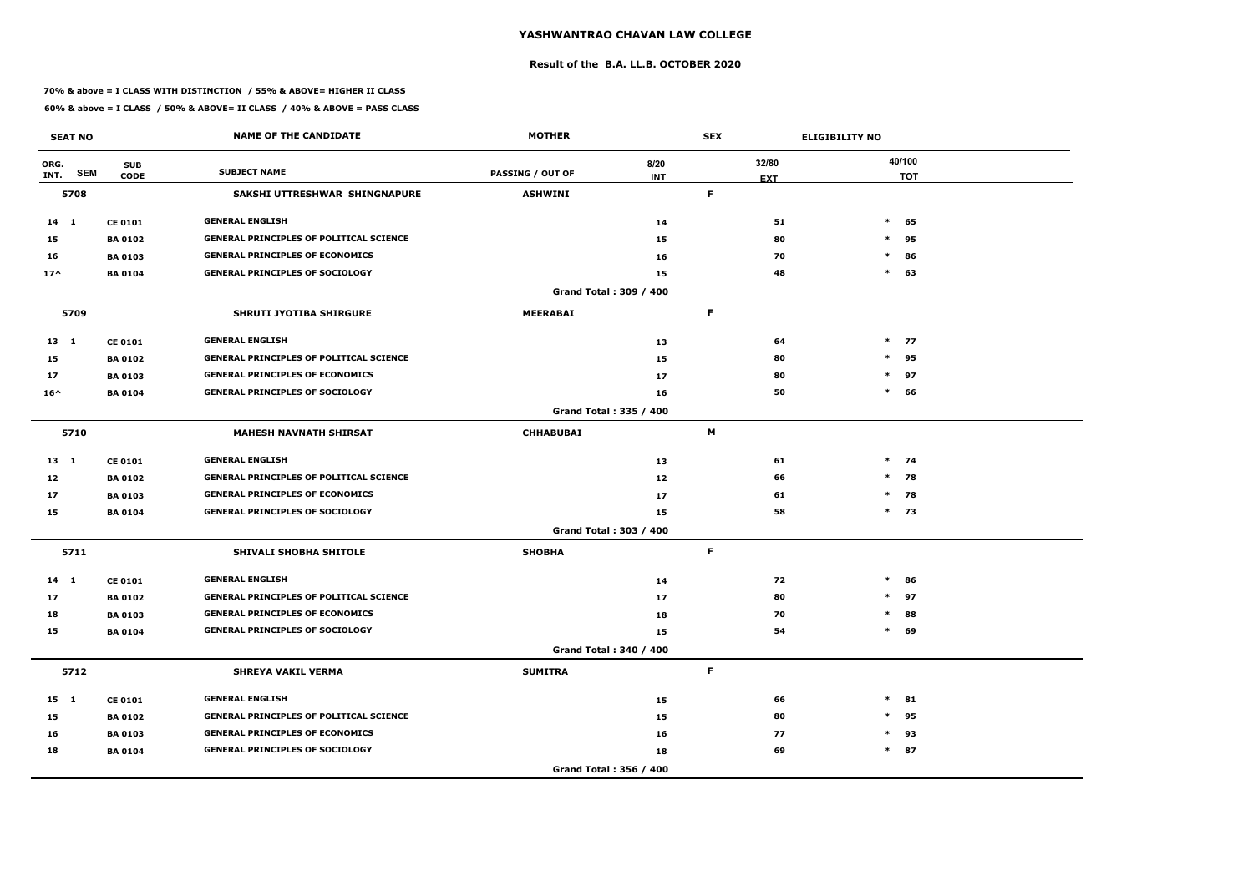### **Result of the B.A. LL.B. OCTOBER 2020**

### **70% & above = I CLASS WITH DISTINCTION / 55% & ABOVE= HIGHER II CLASS**

|               | <b>SEAT NO</b> |                           | <b>NAME OF THE CANDIDATE</b>                   | <b>MOTHER</b>           |                        | <b>SEX</b>          | <b>ELIGIBILITY NO</b> |
|---------------|----------------|---------------------------|------------------------------------------------|-------------------------|------------------------|---------------------|-----------------------|
| ORG.<br>INT.  | <b>SEM</b>     | <b>SUB</b><br><b>CODE</b> | <b>SUBJECT NAME</b>                            | <b>PASSING / OUT OF</b> | 8/20<br><b>INT</b>     | 32/80<br><b>EXT</b> | 40/100<br><b>TOT</b>  |
|               | 5708           |                           | SAKSHI UTTRESHWAR SHINGNAPURE                  | <b>ASHWINI</b>          |                        | F.                  |                       |
| $14 \quad 1$  |                | <b>CE 0101</b>            | <b>GENERAL ENGLISH</b>                         |                         | 14                     | 51                  | $*$<br>65             |
| 15            |                | <b>BA 0102</b>            | <b>GENERAL PRINCIPLES OF POLITICAL SCIENCE</b> |                         | 15                     | 80                  | $\ast$<br>95          |
| 16            |                | <b>BA 0103</b>            | <b>GENERAL PRINCIPLES OF ECONOMICS</b>         |                         | 16                     | 70                  | $\ast$<br>86          |
| $17^$         |                | <b>BA 0104</b>            | <b>GENERAL PRINCIPLES OF SOCIOLOGY</b>         |                         | 15                     | 48                  | $\ast$<br>63          |
|               |                |                           |                                                |                         | Grand Total: 309 / 400 |                     |                       |
|               | 5709           |                           | <b>SHRUTI JYOTIBA SHIRGURE</b>                 | <b>MEERABAI</b>         |                        | F.                  |                       |
| $13 \quad 1$  |                | <b>CE 0101</b>            | <b>GENERAL ENGLISH</b>                         |                         | 13                     | 64                  | $*$ 77                |
| 15            |                | <b>BA 0102</b>            | <b>GENERAL PRINCIPLES OF POLITICAL SCIENCE</b> |                         | 15                     | 80                  | $\ast$<br>95          |
| 17            |                | <b>BA 0103</b>            | <b>GENERAL PRINCIPLES OF ECONOMICS</b>         |                         | 17                     | 80                  | $\ast$<br>97          |
| $16^{\wedge}$ |                | <b>BA 0104</b>            | <b>GENERAL PRINCIPLES OF SOCIOLOGY</b>         |                         | 16                     | 50                  | $\ast$<br>66          |
|               |                |                           |                                                |                         | Grand Total: 335 / 400 |                     |                       |
|               | 5710           |                           | <b>MAHESH NAVNATH SHIRSAT</b>                  | <b>CHHABUBAI</b>        |                        | М                   |                       |
| $13 \quad 1$  |                | <b>CE 0101</b>            | <b>GENERAL ENGLISH</b>                         |                         | 13                     | 61                  | $*$ 74                |
| 12            |                | <b>BA 0102</b>            | <b>GENERAL PRINCIPLES OF POLITICAL SCIENCE</b> |                         | 12                     | 66                  | $\ast$<br>78          |
| 17            |                | <b>BA 0103</b>            | <b>GENERAL PRINCIPLES OF ECONOMICS</b>         |                         | 17                     | 61                  | $*$ 78                |
| 15            |                | <b>BA 0104</b>            | <b>GENERAL PRINCIPLES OF SOCIOLOGY</b>         |                         | 15                     | 58                  | $*$ 73                |
|               |                |                           |                                                |                         | Grand Total: 303 / 400 |                     |                       |
|               | 5711           |                           | <b>SHIVALI SHOBHA SHITOLE</b>                  | <b>SHOBHA</b>           |                        | F.                  |                       |
| $14$ 1        |                | <b>CE 0101</b>            | <b>GENERAL ENGLISH</b>                         |                         | 14                     | 72                  | $\ast$<br>86          |
| 17            |                | <b>BA 0102</b>            | <b>GENERAL PRINCIPLES OF POLITICAL SCIENCE</b> |                         | 17                     | 80                  | $*$<br>97             |
| 18            |                | <b>BA 0103</b>            | <b>GENERAL PRINCIPLES OF ECONOMICS</b>         |                         | 18                     | 70                  | $\ast$<br>88          |
| 15            |                | <b>BA 0104</b>            | <b>GENERAL PRINCIPLES OF SOCIOLOGY</b>         |                         | 15                     | 54                  | 69<br>$\ast$          |
|               |                |                           |                                                |                         | Grand Total: 340 / 400 |                     |                       |
|               | 5712           |                           | <b>SHREYA VAKIL VERMA</b>                      | <b>SUMITRA</b>          |                        | F                   |                       |
| 15 1          |                | <b>CE 0101</b>            | <b>GENERAL ENGLISH</b>                         |                         | 15                     | 66                  | $*$<br>81             |
| 15            |                | <b>BA 0102</b>            | <b>GENERAL PRINCIPLES OF POLITICAL SCIENCE</b> |                         | 15                     | 80                  | $\ast$<br>95          |
| 16            |                | <b>BA 0103</b>            | <b>GENERAL PRINCIPLES OF ECONOMICS</b>         |                         | 16                     | 77                  | 93<br>$\ast$          |
| 18            |                | <b>BA 0104</b>            | <b>GENERAL PRINCIPLES OF SOCIOLOGY</b>         |                         | 18                     | 69                  | $*$ 87                |
|               |                |                           |                                                |                         | Grand Total: 356 / 400 |                     |                       |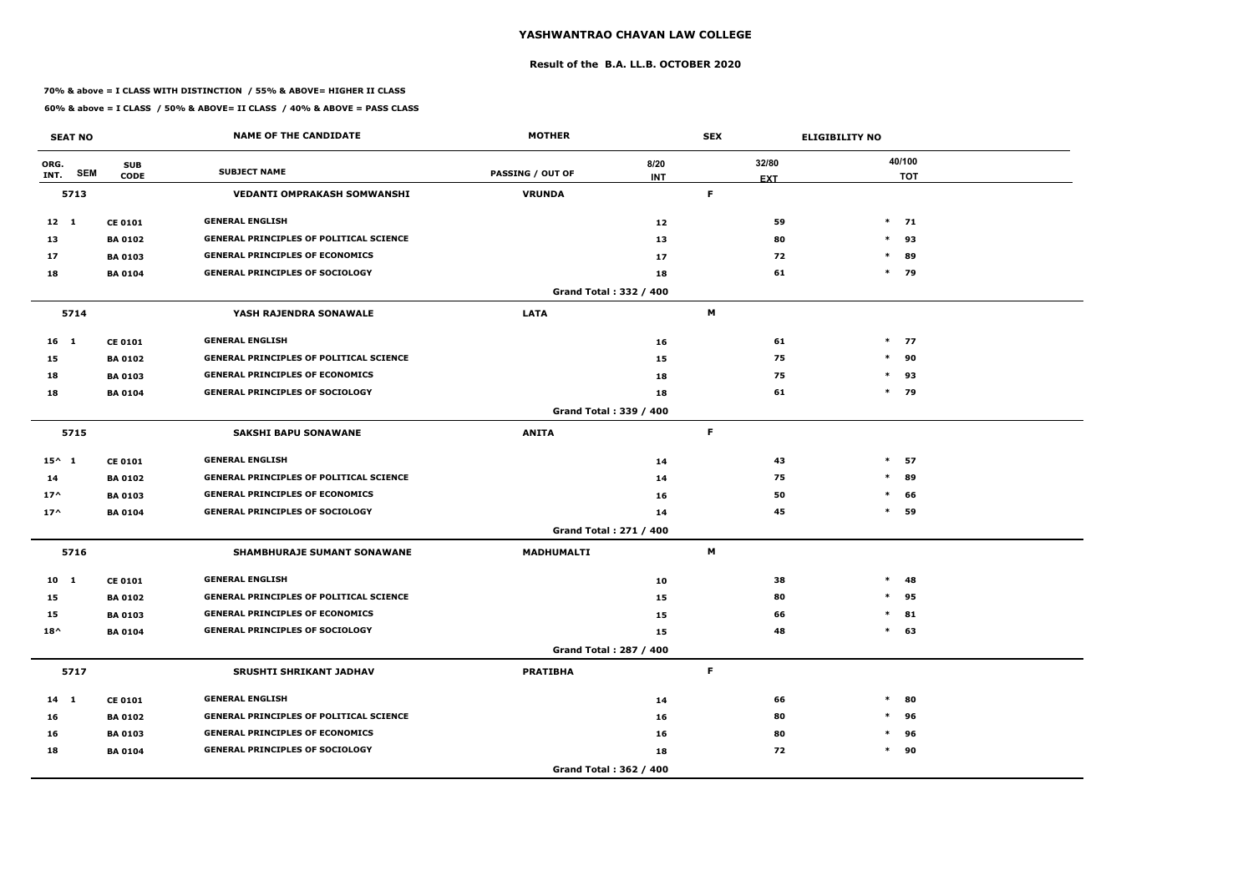### **Result of the B.A. LL.B. OCTOBER 2020**

### **70% & above = I CLASS WITH DISTINCTION / 55% & ABOVE= HIGHER II CLASS**

|                 | <b>SEAT NO</b> |                           | <b>NAME OF THE CANDIDATE</b>                   | <b>MOTHER</b>           |                        | <b>SEX</b>       | <b>ELIGIBILITY NO</b> |
|-----------------|----------------|---------------------------|------------------------------------------------|-------------------------|------------------------|------------------|-----------------------|
| ORG.<br>INT.    | <b>SEM</b>     | <b>SUB</b><br><b>CODE</b> | <b>SUBJECT NAME</b>                            | <b>PASSING / OUT OF</b> | 8/20<br><b>INT</b>     | 32/80            | 40/100<br><b>TOT</b>  |
|                 | 5713           |                           | <b>VEDANTI OMPRAKASH SOMWANSHI</b>             | <b>VRUNDA</b>           |                        | <b>EXT</b><br>F. |                       |
| $12 \quad 1$    |                | <b>CE 0101</b>            | <b>GENERAL ENGLISH</b>                         |                         | 12                     | 59               | $*$ 71                |
| 13              |                | <b>BA 0102</b>            | <b>GENERAL PRINCIPLES OF POLITICAL SCIENCE</b> |                         | 13                     | 80               | 93<br>$\ast$          |
| 17              |                | <b>BA 0103</b>            | <b>GENERAL PRINCIPLES OF ECONOMICS</b>         |                         | 17                     | 72               | $\ast$<br>89          |
| 18              |                | <b>BA 0104</b>            | <b>GENERAL PRINCIPLES OF SOCIOLOGY</b>         |                         | 18                     | 61               | $*$ 79                |
|                 |                |                           |                                                |                         | Grand Total: 332 / 400 |                  |                       |
|                 | 5714           |                           | YASH RAJENDRA SONAWALE                         | <b>LATA</b>             |                        | M                |                       |
| 16 <sub>1</sub> |                | <b>CE 0101</b>            | <b>GENERAL ENGLISH</b>                         |                         | 16                     | 61               | $*$ 77                |
| 15              |                | <b>BA 0102</b>            | <b>GENERAL PRINCIPLES OF POLITICAL SCIENCE</b> |                         | 15                     | 75               | $\ast$<br>90          |
| 18              |                | <b>BA 0103</b>            | <b>GENERAL PRINCIPLES OF ECONOMICS</b>         |                         | 18                     | 75               | $*$<br>93             |
| 18              |                | <b>BA 0104</b>            | <b>GENERAL PRINCIPLES OF SOCIOLOGY</b>         |                         | 18                     | 61               | $*$ 79                |
|                 |                |                           |                                                |                         | Grand Total: 339 / 400 |                  |                       |
|                 | 5715           |                           | <b>SAKSHI BAPU SONAWANE</b>                    | <b>ANITA</b>            |                        | F.               |                       |
| $15^{\wedge} 1$ |                | <b>CE 0101</b>            | <b>GENERAL ENGLISH</b>                         |                         | 14                     | 43               | $\ast$<br>57          |
| 14              |                | <b>BA 0102</b>            | <b>GENERAL PRINCIPLES OF POLITICAL SCIENCE</b> |                         | 14                     | 75               | 89<br>$\ast$          |
| $17^$           |                | <b>BA 0103</b>            | <b>GENERAL PRINCIPLES OF ECONOMICS</b>         |                         | 16                     | 50               | $\ast$<br>66          |
| $17^$           |                | <b>BA 0104</b>            | <b>GENERAL PRINCIPLES OF SOCIOLOGY</b>         |                         | 14                     | 45               | $\ast$<br>59          |
|                 |                |                           |                                                |                         | Grand Total: 271 / 400 |                  |                       |
|                 | 5716           |                           | <b>SHAMBHURAJE SUMANT SONAWANE</b>             | <b>MADHUMALTI</b>       |                        | M                |                       |
| 10 <sub>1</sub> |                | <b>CE 0101</b>            | <b>GENERAL ENGLISH</b>                         |                         | 10                     | 38               | $\ast$<br>-48         |
| 15              |                | <b>BA 0102</b>            | <b>GENERAL PRINCIPLES OF POLITICAL SCIENCE</b> |                         | 15                     | 80               | $\ast$<br>95          |
| 15              |                | <b>BA 0103</b>            | <b>GENERAL PRINCIPLES OF ECONOMICS</b>         |                         | 15                     | 66               | $*$ 81                |
| $18^{\wedge}$   |                | <b>BA 0104</b>            | <b>GENERAL PRINCIPLES OF SOCIOLOGY</b>         |                         | 15                     | 48               | $*$ 63                |
|                 |                |                           |                                                |                         | Grand Total: 287 / 400 |                  |                       |
|                 | 5717           |                           | <b>SRUSHTI SHRIKANT JADHAV</b>                 | <b>PRATIBHA</b>         |                        | F.               |                       |
| $14 \quad 1$    |                | <b>CE 0101</b>            | <b>GENERAL ENGLISH</b>                         |                         | 14                     | 66               | $\ast$<br>80          |
| 16              |                | <b>BA 0102</b>            | <b>GENERAL PRINCIPLES OF POLITICAL SCIENCE</b> |                         | 16                     | 80               | 96<br>$\ast$          |
| 16              |                | <b>BA 0103</b>            | <b>GENERAL PRINCIPLES OF ECONOMICS</b>         |                         | 16                     | 80               | 96<br>$\ast$          |
| 18              |                | <b>BA 0104</b>            | <b>GENERAL PRINCIPLES OF SOCIOLOGY</b>         |                         | 18                     | 72               | $*$ 90                |
|                 |                |                           |                                                |                         | Grand Total: 362 / 400 |                  |                       |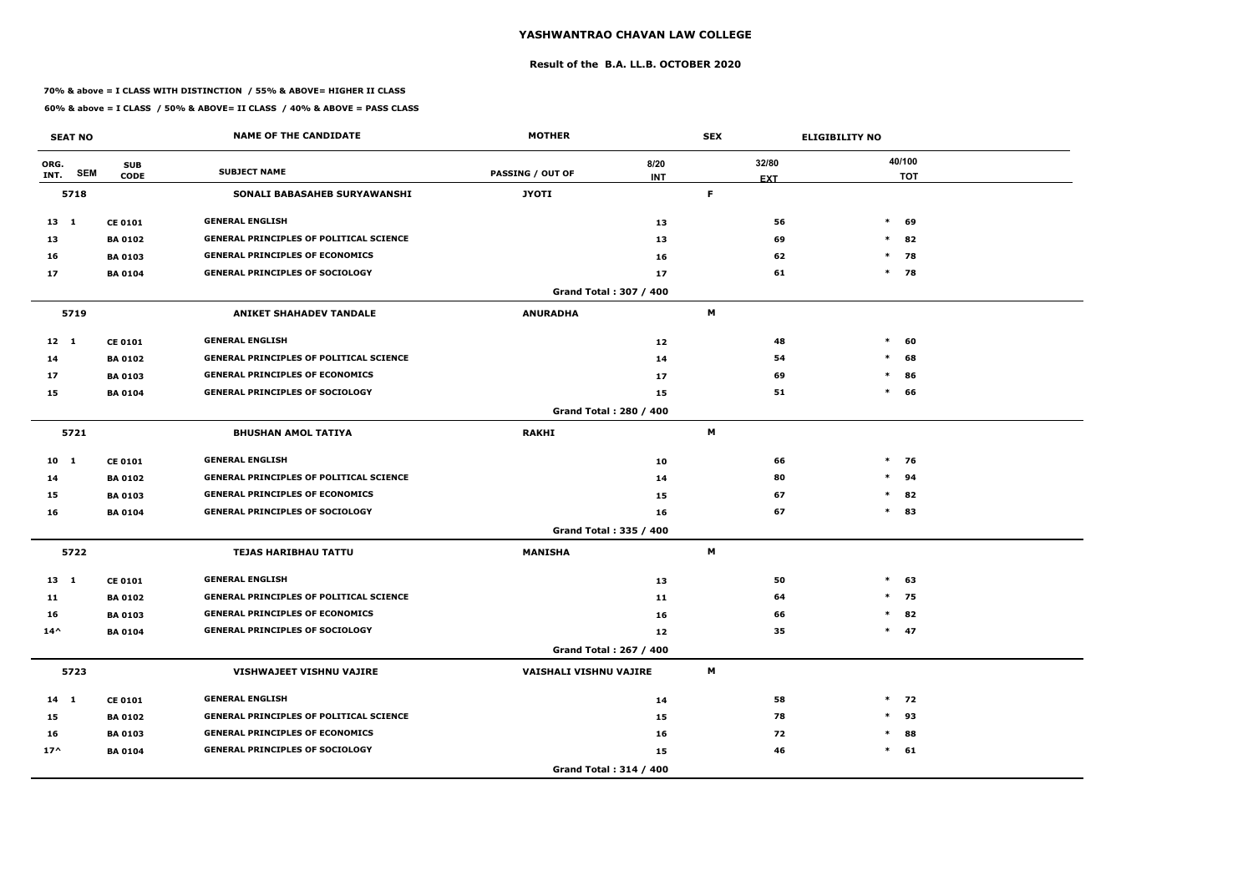### **Result of the B.A. LL.B. OCTOBER 2020**

### **70% & above = I CLASS WITH DISTINCTION / 55% & ABOVE= HIGHER II CLASS**

|               | <b>SEAT NO</b> |                           | <b>NAME OF THE CANDIDATE</b>                   | <b>MOTHER</b>                 |                        | <b>SEX</b>                |    | <b>ELIGIBILITY NO</b> |        |                      |
|---------------|----------------|---------------------------|------------------------------------------------|-------------------------------|------------------------|---------------------------|----|-----------------------|--------|----------------------|
| ORG.<br>INT.  | <b>SEM</b>     | <b>SUB</b><br><b>CODE</b> | <b>SUBJECT NAME</b>                            | <b>PASSING / OUT OF</b>       | 8/20<br><b>INT</b>     | 32/80<br><b>EXT</b>       |    |                       |        | 40/100<br><b>TOT</b> |
|               | 5718           |                           | SONALI BABASAHEB SURYAWANSHI                   | <b>JYOTI</b>                  |                        | F                         |    |                       |        |                      |
| $13 \quad 1$  |                | <b>CE 0101</b>            | <b>GENERAL ENGLISH</b>                         |                               | 13                     |                           | 56 |                       | $*$    | 69                   |
| 13            |                | <b>BA0102</b>             | <b>GENERAL PRINCIPLES OF POLITICAL SCIENCE</b> |                               | 13                     |                           | 69 |                       | $\ast$ | 82                   |
| 16            |                | <b>BA 0103</b>            | <b>GENERAL PRINCIPLES OF ECONOMICS</b>         |                               | 16                     |                           | 62 |                       | $\ast$ | 78                   |
| 17            |                | <b>BA 0104</b>            | <b>GENERAL PRINCIPLES OF SOCIOLOGY</b>         |                               | 17                     |                           | 61 |                       | $*$ 78 |                      |
|               |                |                           |                                                |                               | Grand Total: 307 / 400 |                           |    |                       |        |                      |
|               | 5719           |                           | <b>ANIKET SHAHADEV TANDALE</b>                 | <b>ANURADHA</b>               |                        | M                         |    |                       |        |                      |
| $12 \quad 1$  |                | <b>CE 0101</b>            | <b>GENERAL ENGLISH</b>                         |                               | 12                     |                           | 48 |                       | $\ast$ | 60                   |
| 14            |                | <b>BA0102</b>             | <b>GENERAL PRINCIPLES OF POLITICAL SCIENCE</b> |                               | 14                     |                           | 54 |                       | $\ast$ | 68                   |
| 17            |                | <b>BA0103</b>             | <b>GENERAL PRINCIPLES OF ECONOMICS</b>         |                               | 17                     |                           | 69 |                       | $\ast$ | 86                   |
| 15            |                | <b>BA0104</b>             | <b>GENERAL PRINCIPLES OF SOCIOLOGY</b>         |                               | 15                     |                           | 51 |                       | $*$    | 66                   |
|               |                |                           |                                                |                               | Grand Total: 280 / 400 |                           |    |                       |        |                      |
|               | 5721           |                           | <b>BHUSHAN AMOL TATIYA</b>                     | <b>RAKHI</b>                  |                        | M                         |    |                       |        |                      |
| $10 \quad 1$  |                | <b>CE 0101</b>            | <b>GENERAL ENGLISH</b>                         |                               | 10                     |                           | 66 |                       | $*$ 76 |                      |
| 14            |                | <b>BA0102</b>             | <b>GENERAL PRINCIPLES OF POLITICAL SCIENCE</b> |                               | 14                     |                           | 80 |                       | $\ast$ | 94                   |
| 15            |                | <b>BA 0103</b>            | <b>GENERAL PRINCIPLES OF ECONOMICS</b>         |                               | 15                     |                           | 67 |                       | $\ast$ | 82                   |
| 16            |                | <b>BA 0104</b>            | <b>GENERAL PRINCIPLES OF SOCIOLOGY</b>         |                               | 16                     |                           | 67 |                       | $\ast$ | 83                   |
|               |                |                           |                                                |                               | Grand Total: 335 / 400 |                           |    |                       |        |                      |
|               | 5722           |                           | <b>TEJAS HARIBHAU TATTU</b>                    | <b>MANISHA</b>                |                        | M                         |    |                       |        |                      |
| $13 \quad 1$  |                | <b>CE 0101</b>            | <b>GENERAL ENGLISH</b>                         |                               | 13                     |                           | 50 |                       | $\ast$ | 63                   |
| 11            |                | <b>BA0102</b>             | <b>GENERAL PRINCIPLES OF POLITICAL SCIENCE</b> |                               | 11                     |                           | 64 |                       | $\ast$ | 75                   |
| 16            |                | <b>BA 0103</b>            | <b>GENERAL PRINCIPLES OF ECONOMICS</b>         |                               | 16                     |                           | 66 |                       | $*$ 82 |                      |
| $14^{\wedge}$ |                | <b>BA 0104</b>            | <b>GENERAL PRINCIPLES OF SOCIOLOGY</b>         |                               | 12                     |                           | 35 |                       | $*$ 47 |                      |
|               |                |                           |                                                |                               | Grand Total: 267 / 400 |                           |    |                       |        |                      |
|               | 5723           |                           | VISHWAJEET VISHNU VAJIRE                       | <b>VAISHALI VISHNU VAJIRE</b> |                        | $\boldsymbol{\mathsf{M}}$ |    |                       |        |                      |
| $14$ 1        |                | <b>CE 0101</b>            | <b>GENERAL ENGLISH</b>                         |                               | 14                     |                           | 58 |                       |        | $*$ 72               |
| 15            |                | <b>BA 0102</b>            | <b>GENERAL PRINCIPLES OF POLITICAL SCIENCE</b> |                               | 15                     |                           | 78 |                       | $\ast$ | 93                   |
| 16            |                | <b>BA 0103</b>            | <b>GENERAL PRINCIPLES OF ECONOMICS</b>         |                               | 16                     |                           | 72 |                       | $\ast$ | 88                   |
| $17^{\wedge}$ |                | <b>BA 0104</b>            | <b>GENERAL PRINCIPLES OF SOCIOLOGY</b>         |                               | 15                     |                           | 46 |                       | $*$ 61 |                      |
|               |                |                           |                                                |                               | Grand Total: 314 / 400 |                           |    |                       |        |                      |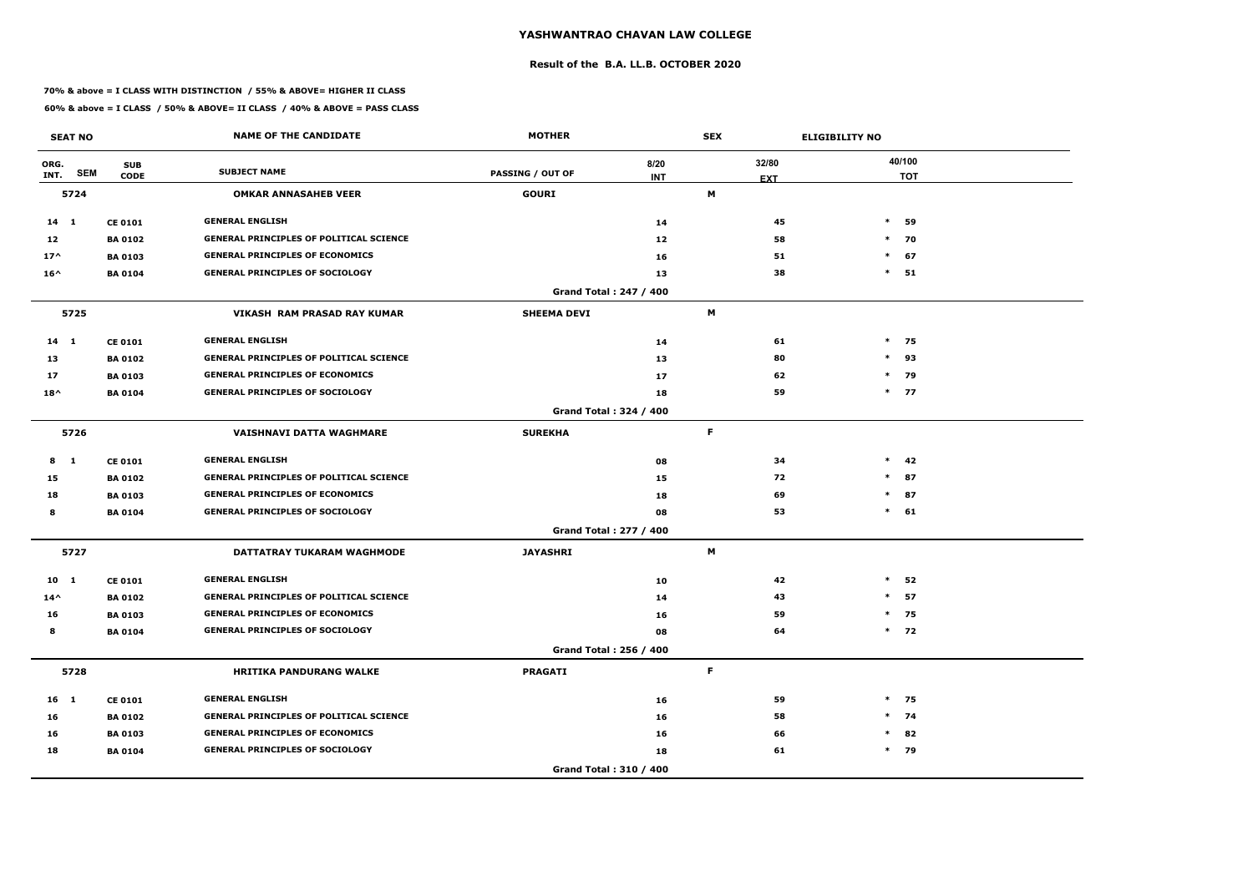### **Result of the B.A. LL.B. OCTOBER 2020**

### **70% & above = I CLASS WITH DISTINCTION / 55% & ABOVE= HIGHER II CLASS**

|                 | <b>SEAT NO</b> |                           | <b>NAME OF THE CANDIDATE</b>                   | <b>MOTHER</b>                 |                    | <b>SEX</b>          |    | <b>ELIGIBILITY NO</b> |                      |  |
|-----------------|----------------|---------------------------|------------------------------------------------|-------------------------------|--------------------|---------------------|----|-----------------------|----------------------|--|
| ORG.<br>INT.    | <b>SEM</b>     | <b>SUB</b><br><b>CODE</b> | <b>SUBJECT NAME</b>                            | <b>PASSING / OUT OF</b>       | 8/20<br><b>INT</b> | 32/80<br><b>EXT</b> |    |                       | 40/100<br><b>TOT</b> |  |
|                 | 5724           |                           | <b>OMKAR ANNASAHEB VEER</b>                    | <b>GOURI</b>                  |                    | М                   |    |                       |                      |  |
| $14 \quad 1$    |                | <b>CE 0101</b>            | <b>GENERAL ENGLISH</b>                         |                               | 14                 |                     | 45 | $*$                   | 59                   |  |
| 12              |                | <b>BA 0102</b>            | <b>GENERAL PRINCIPLES OF POLITICAL SCIENCE</b> |                               | 12                 |                     | 58 |                       | $*$ 70               |  |
| $17^$           |                | <b>BA 0103</b>            | <b>GENERAL PRINCIPLES OF ECONOMICS</b>         |                               | 16                 |                     | 51 | $\ast$                | 67                   |  |
| $16^{\wedge}$   |                | <b>BA 0104</b>            | <b>GENERAL PRINCIPLES OF SOCIOLOGY</b>         |                               | 13                 |                     | 38 | $\ast$                | 51                   |  |
|                 |                |                           |                                                | Grand Total: 247 / 400        |                    |                     |    |                       |                      |  |
|                 | 5725           |                           | VIKASH RAM PRASAD RAY KUMAR                    | <b>SHEEMA DEVI</b>            |                    | M                   |    |                       |                      |  |
| $14$ 1          |                | <b>CE 0101</b>            | <b>GENERAL ENGLISH</b>                         |                               | 14                 |                     | 61 |                       | $*$ 75               |  |
| 13              |                | <b>BA 0102</b>            | <b>GENERAL PRINCIPLES OF POLITICAL SCIENCE</b> |                               | 13                 |                     | 80 | $\ast$                | 93                   |  |
| 17              |                | <b>BA 0103</b>            | <b>GENERAL PRINCIPLES OF ECONOMICS</b>         |                               | 17                 |                     | 62 |                       | $\ast$<br>79         |  |
| $18^{\wedge}$   |                | <b>BA 0104</b>            | <b>GENERAL PRINCIPLES OF SOCIOLOGY</b>         |                               | 18                 |                     | 59 |                       | $*$ 77               |  |
|                 |                |                           |                                                | Grand Total: 324 / 400        |                    |                     |    |                       |                      |  |
|                 | 5726           |                           | <b>VAISHNAVI DATTA WAGHMARE</b>                | <b>SUREKHA</b>                |                    | F.                  |    |                       |                      |  |
| 8               | $\blacksquare$ | <b>CE 0101</b>            | <b>GENERAL ENGLISH</b>                         |                               | 08                 |                     | 34 |                       | $*$ 42               |  |
| 15              |                | <b>BA 0102</b>            | <b>GENERAL PRINCIPLES OF POLITICAL SCIENCE</b> |                               | 15                 |                     | 72 |                       | 87<br>$\ast$         |  |
| 18              |                | <b>BA 0103</b>            | <b>GENERAL PRINCIPLES OF ECONOMICS</b>         |                               | 18                 |                     | 69 |                       | $*$ 87               |  |
| 8               |                | <b>BA 0104</b>            | <b>GENERAL PRINCIPLES OF SOCIOLOGY</b>         |                               | 08                 |                     | 53 |                       | $*$ 61               |  |
|                 |                |                           |                                                | <b>Grand Total: 277 / 400</b> |                    |                     |    |                       |                      |  |
|                 | 5727           |                           | DATTATRAY TUKARAM WAGHMODE                     | <b>JAYASHRI</b>               |                    | М                   |    |                       |                      |  |
| 10 <sub>1</sub> |                | <b>CE 0101</b>            | <b>GENERAL ENGLISH</b>                         |                               | 10                 |                     | 42 | $\ast$                | 52                   |  |
| $14^{\wedge}$   |                | <b>BA 0102</b>            | <b>GENERAL PRINCIPLES OF POLITICAL SCIENCE</b> |                               | 14                 |                     | 43 | $\ast$                | 57                   |  |
| 16              |                | <b>BA 0103</b>            | <b>GENERAL PRINCIPLES OF ECONOMICS</b>         |                               | 16                 |                     | 59 |                       | $*$ 75               |  |
| 8               |                | <b>BA 0104</b>            | <b>GENERAL PRINCIPLES OF SOCIOLOGY</b>         |                               | 08                 |                     | 64 |                       | $*$ 72               |  |
|                 |                |                           |                                                | Grand Total: 256 / 400        |                    |                     |    |                       |                      |  |
|                 | 5728           |                           | <b>HRITIKA PANDURANG WALKE</b>                 | <b>PRAGATI</b>                |                    | F                   |    |                       |                      |  |
| $16$ 1          |                | <b>CE 0101</b>            | <b>GENERAL ENGLISH</b>                         |                               | 16                 |                     | 59 |                       | $*$ 75               |  |
| 16              |                | <b>BA 0102</b>            | <b>GENERAL PRINCIPLES OF POLITICAL SCIENCE</b> |                               | 16                 |                     | 58 |                       | $*$ 74               |  |
| 16              |                | <b>BA 0103</b>            | <b>GENERAL PRINCIPLES OF ECONOMICS</b>         |                               | 16                 |                     | 66 |                       | $*$ 82               |  |
| 18              |                | <b>BA 0104</b>            | <b>GENERAL PRINCIPLES OF SOCIOLOGY</b>         |                               | 18                 |                     | 61 |                       | $*$ 79               |  |
|                 |                |                           |                                                | Grand Total: 310 / 400        |                    |                     |    |                       |                      |  |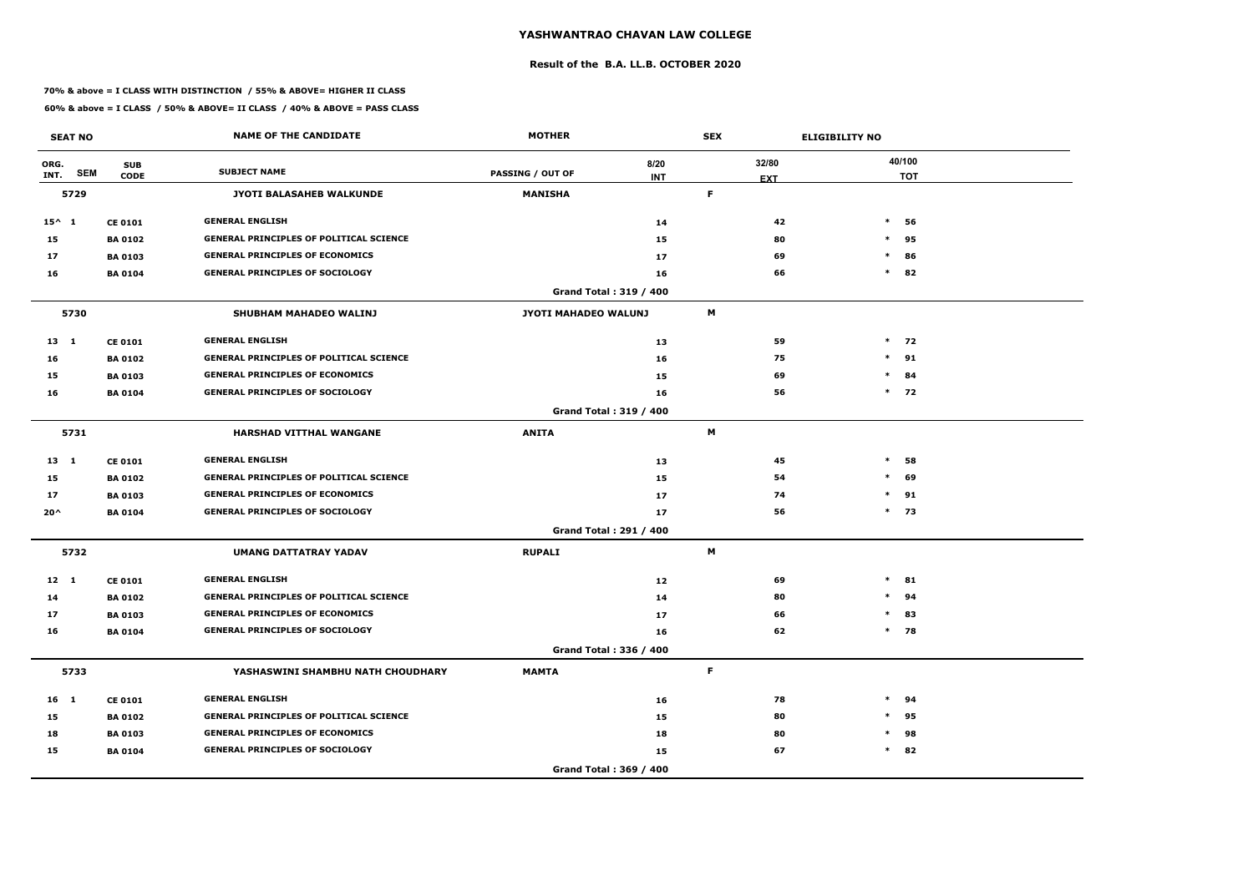### **Result of the B.A. LL.B. OCTOBER 2020**

### **70% & above = I CLASS WITH DISTINCTION / 55% & ABOVE= HIGHER II CLASS**

|                 | <b>SEAT NO</b> |                           | <b>NAME OF THE CANDIDATE</b>                   | <b>MOTHER</b>           |                               | <b>SEX</b>  |                     | <b>ELIGIBILITY NO</b> |                      |
|-----------------|----------------|---------------------------|------------------------------------------------|-------------------------|-------------------------------|-------------|---------------------|-----------------------|----------------------|
| ORG.<br>INT.    | <b>SEM</b>     | <b>SUB</b><br><b>CODE</b> | <b>SUBJECT NAME</b>                            | <b>PASSING / OUT OF</b> | 8/20<br><b>INT</b>            |             | 32/80<br><b>EXT</b> |                       | 40/100<br><b>TOT</b> |
|                 | 5729           |                           | JYOTI BALASAHEB WALKUNDE                       | <b>MANISHA</b>          |                               | F           |                     |                       |                      |
| $15^{\wedge}$ 1 |                | <b>CE 0101</b>            | <b>GENERAL ENGLISH</b>                         |                         | 14                            |             | 42                  | $\ast$                | 56                   |
| 15              |                | <b>BA 0102</b>            | <b>GENERAL PRINCIPLES OF POLITICAL SCIENCE</b> |                         | 15                            |             | 80                  |                       | $*$ 95               |
| 17              |                | <b>BA 0103</b>            | <b>GENERAL PRINCIPLES OF ECONOMICS</b>         |                         | 17                            |             | 69                  | $\ast$                | 86                   |
| 16              |                | <b>BA 0104</b>            | <b>GENERAL PRINCIPLES OF SOCIOLOGY</b>         |                         | 16                            |             | 66                  | $\ast$                | 82                   |
|                 |                |                           |                                                |                         | <b>Grand Total: 319 / 400</b> |             |                     |                       |                      |
|                 | 5730           |                           | SHUBHAM MAHADEO WALINJ                         | JYOTI MAHADEO WALUNJ    |                               | M           |                     |                       |                      |
| $13 \quad 1$    |                | <b>CE 0101</b>            | <b>GENERAL ENGLISH</b>                         |                         | 13                            |             | 59                  |                       | $*$ 72               |
| 16              |                | <b>BA 0102</b>            | <b>GENERAL PRINCIPLES OF POLITICAL SCIENCE</b> |                         | 16                            |             | 75                  |                       | $*$ 91               |
| 15              |                | <b>BA 0103</b>            | <b>GENERAL PRINCIPLES OF ECONOMICS</b>         |                         | 15                            |             | 69                  | $\ast$                | 84                   |
| 16              |                | <b>BA 0104</b>            | <b>GENERAL PRINCIPLES OF SOCIOLOGY</b>         |                         | 16                            |             | 56                  |                       | $*$ 72               |
|                 |                |                           |                                                |                         | <b>Grand Total: 319 / 400</b> |             |                     |                       |                      |
|                 | 5731           |                           | <b>HARSHAD VITTHAL WANGANE</b>                 | <b>ANITA</b>            |                               | M           |                     |                       |                      |
| $13 \quad 1$    |                | <b>CE 0101</b>            | <b>GENERAL ENGLISH</b>                         |                         | 13                            |             | 45                  | $\ast$                | 58                   |
| 15              |                | <b>BA 0102</b>            | <b>GENERAL PRINCIPLES OF POLITICAL SCIENCE</b> |                         | 15                            |             | 54                  | $\ast$                | 69                   |
| 17              |                | <b>BA 0103</b>            | <b>GENERAL PRINCIPLES OF ECONOMICS</b>         |                         | 17                            |             | 74                  |                       | $*$ 91               |
| $20^{\prime}$   |                | <b>BA 0104</b>            | <b>GENERAL PRINCIPLES OF SOCIOLOGY</b>         |                         | 17                            |             | 56                  |                       | $*$ 73               |
|                 |                |                           |                                                |                         | Grand Total: 291 / 400        |             |                     |                       |                      |
|                 | 5732           |                           | <b>UMANG DATTATRAY YADAV</b>                   | <b>RUPALI</b>           |                               | M           |                     |                       |                      |
| $12 \quad 1$    |                | <b>CE 0101</b>            | <b>GENERAL ENGLISH</b>                         |                         | 12                            |             | 69                  | $\ast$                | 81                   |
| 14              |                | <b>BA 0102</b>            | <b>GENERAL PRINCIPLES OF POLITICAL SCIENCE</b> |                         | 14                            |             | 80                  | $*$                   | 94                   |
| 17              |                | <b>BA 0103</b>            | <b>GENERAL PRINCIPLES OF ECONOMICS</b>         |                         | 17                            |             | 66                  |                       | $*$ 83               |
| 16              |                | <b>BA 0104</b>            | <b>GENERAL PRINCIPLES OF SOCIOLOGY</b>         |                         | 16                            |             | 62                  |                       | $*$ 78               |
|                 |                |                           |                                                |                         | Grand Total: 336 / 400        |             |                     |                       |                      |
|                 | 5733           |                           | YASHASWINI SHAMBHU NATH CHOUDHARY              | <b>MAMTA</b>            |                               | $\mathsf F$ |                     |                       |                      |
| $16 \quad 1$    |                | <b>CE 0101</b>            | <b>GENERAL ENGLISH</b>                         |                         | 16                            |             | 78                  |                       | $*$ 94               |
| 15              |                | <b>BA 0102</b>            | <b>GENERAL PRINCIPLES OF POLITICAL SCIENCE</b> |                         | 15                            |             | 80                  |                       | $*$ 95               |
| 18              |                | <b>BA 0103</b>            | <b>GENERAL PRINCIPLES OF ECONOMICS</b>         |                         | 18                            |             | 80                  |                       | $*$ 98               |
| 15              |                | <b>BA 0104</b>            | <b>GENERAL PRINCIPLES OF SOCIOLOGY</b>         |                         | 15                            |             | 67                  |                       | $*$ 82               |
|                 |                |                           |                                                |                         | Grand Total: 369 / 400        |             |                     |                       |                      |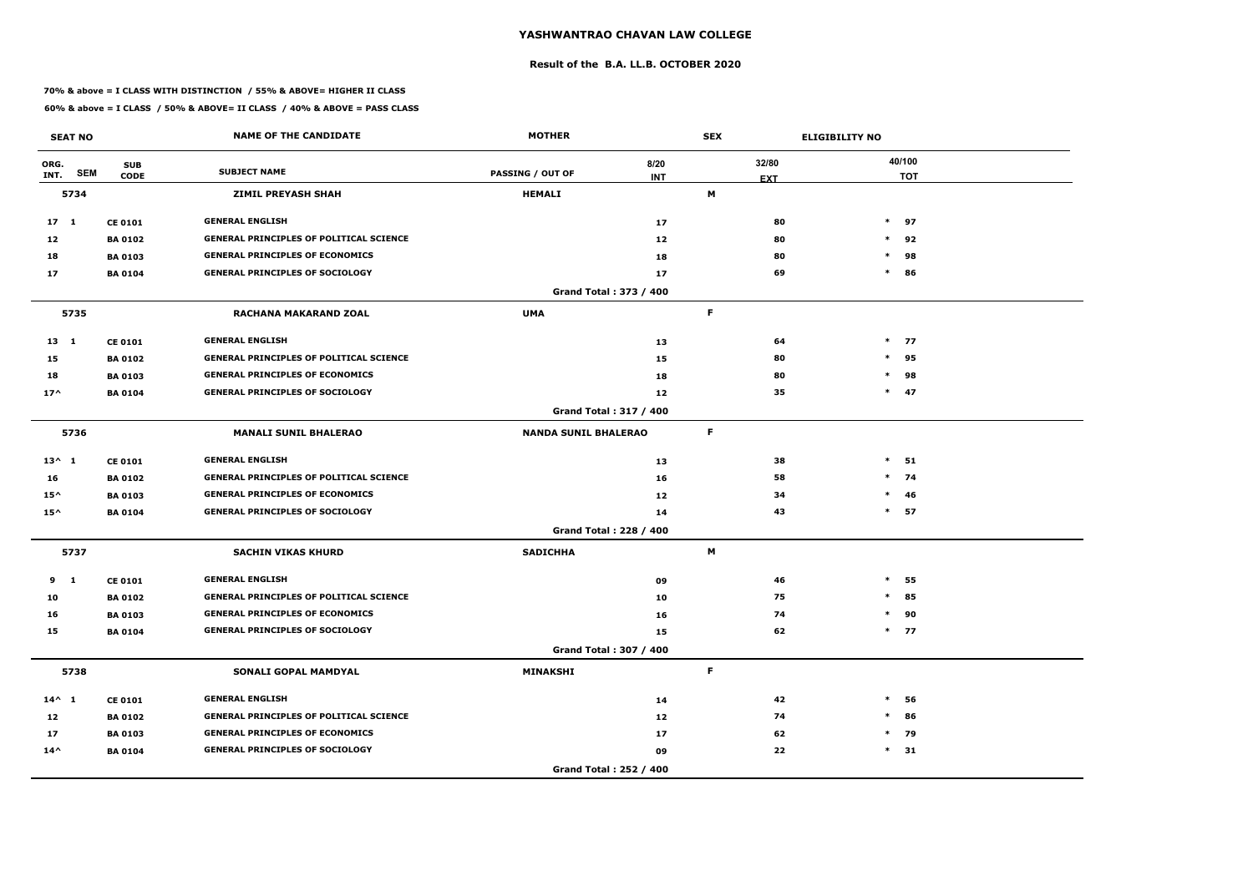### **Result of the B.A. LL.B. OCTOBER 2020**

### **70% & above = I CLASS WITH DISTINCTION / 55% & ABOVE= HIGHER II CLASS**

|                 | <b>SEAT NO</b> |                           | <b>NAME OF THE CANDIDATE</b>                   | <b>MOTHER</b>               |                        | <b>SEX</b>          | <b>ELIGIBILITY NO</b> |        |                      |
|-----------------|----------------|---------------------------|------------------------------------------------|-----------------------------|------------------------|---------------------|-----------------------|--------|----------------------|
| ORG.<br>INT.    | <b>SEM</b>     | <b>SUB</b><br><b>CODE</b> | <b>SUBJECT NAME</b>                            | <b>PASSING / OUT OF</b>     | 8/20<br><b>INT</b>     | 32/80<br><b>EXT</b> |                       |        | 40/100<br><b>TOT</b> |
|                 | 5734           |                           | <b>ZIMIL PREYASH SHAH</b>                      | <b>HEMALI</b>               |                        | M                   |                       |        |                      |
| 17 <sub>1</sub> |                | <b>CE 0101</b>            | <b>GENERAL ENGLISH</b>                         |                             | 17                     | 80                  |                       |        | $*$ 97               |
| 12              |                | <b>BA 0102</b>            | <b>GENERAL PRINCIPLES OF POLITICAL SCIENCE</b> |                             | 12                     | 80                  |                       | $\ast$ | 92                   |
| 18              |                | <b>BA0103</b>             | <b>GENERAL PRINCIPLES OF ECONOMICS</b>         |                             | 18                     | 80                  |                       | $\ast$ | 98                   |
| 17              |                | <b>BA 0104</b>            | <b>GENERAL PRINCIPLES OF SOCIOLOGY</b>         |                             | 17                     | 69                  |                       | $\ast$ | 86                   |
|                 |                |                           |                                                |                             | Grand Total: 373 / 400 |                     |                       |        |                      |
|                 | 5735           |                           | <b>RACHANA MAKARAND ZOAL</b>                   | <b>UMA</b>                  |                        | F.                  |                       |        |                      |
| $13 \quad 1$    |                | <b>CE 0101</b>            | <b>GENERAL ENGLISH</b>                         |                             | 13                     | 64                  |                       |        | $*$ 77               |
| 15              |                | <b>BA 0102</b>            | <b>GENERAL PRINCIPLES OF POLITICAL SCIENCE</b> |                             | 15                     | 80                  |                       | $\ast$ | 95                   |
| 18              |                | <b>BA 0103</b>            | <b>GENERAL PRINCIPLES OF ECONOMICS</b>         |                             | 18                     | 80                  |                       | $\ast$ | 98                   |
| $17^$           |                | <b>BA 0104</b>            | <b>GENERAL PRINCIPLES OF SOCIOLOGY</b>         |                             | 12                     | 35                  |                       |        | $*$ 47               |
|                 |                |                           |                                                |                             | Grand Total: 317 / 400 |                     |                       |        |                      |
|                 | 5736           |                           | <b>MANALI SUNIL BHALERAO</b>                   | <b>NANDA SUNIL BHALERAO</b> |                        | F.                  |                       |        |                      |
| $13^{\wedge} 1$ |                | <b>CE 0101</b>            | <b>GENERAL ENGLISH</b>                         |                             | 13                     | 38                  |                       | $\ast$ | 51                   |
| 16              |                | <b>BA 0102</b>            | <b>GENERAL PRINCIPLES OF POLITICAL SCIENCE</b> |                             | 16                     | 58                  |                       |        | $*$ 74               |
| $15^{\wedge}$   |                | <b>BA 0103</b>            | <b>GENERAL PRINCIPLES OF ECONOMICS</b>         |                             | 12                     | 34                  |                       | $\ast$ | 46                   |
| $15^{\wedge}$   |                | <b>BA 0104</b>            | <b>GENERAL PRINCIPLES OF SOCIOLOGY</b>         |                             | 14                     | 43                  |                       |        | $*$ 57               |
|                 |                |                           |                                                |                             | Grand Total: 228 / 400 |                     |                       |        |                      |
|                 | 5737           |                           | <b>SACHIN VIKAS KHURD</b>                      | <b>SADICHHA</b>             |                        | M                   |                       |        |                      |
| 9 1             |                | <b>CE 0101</b>            | <b>GENERAL ENGLISH</b>                         |                             | 09                     | 46                  |                       | $\ast$ | 55                   |
| 10              |                | <b>BA 0102</b>            | <b>GENERAL PRINCIPLES OF POLITICAL SCIENCE</b> |                             | 10                     | 75                  |                       | $\ast$ | 85                   |
| 16              |                | <b>BA 0103</b>            | <b>GENERAL PRINCIPLES OF ECONOMICS</b>         |                             | 16                     | 74                  |                       | $\ast$ | 90                   |
| 15              |                | <b>BA 0104</b>            | <b>GENERAL PRINCIPLES OF SOCIOLOGY</b>         |                             | 15                     | 62                  |                       |        | $*$ 77               |
|                 |                |                           |                                                |                             | Grand Total: 307 / 400 |                     |                       |        |                      |
|                 | 5738           |                           | SONALI GOPAL MAMDYAL                           | <b>MINAKSHI</b>             |                        | F                   |                       |        |                      |
| $14^{\wedge} 1$ |                | <b>CE 0101</b>            | <b>GENERAL ENGLISH</b>                         |                             | 14                     | 42                  |                       | $\ast$ | 56                   |
| 12              |                | <b>BA 0102</b>            | <b>GENERAL PRINCIPLES OF POLITICAL SCIENCE</b> |                             | 12                     | 74                  |                       | $\ast$ | 86                   |
| 17              |                | <b>BA 0103</b>            | <b>GENERAL PRINCIPLES OF ECONOMICS</b>         |                             | 17                     | 62                  |                       | $\ast$ | 79                   |
| $14^{\wedge}$   |                | <b>BA 0104</b>            | <b>GENERAL PRINCIPLES OF SOCIOLOGY</b>         |                             | 09                     | 22                  |                       |        | $*$ 31               |
|                 |                |                           |                                                |                             | Grand Total: 252 / 400 |                     |                       |        |                      |